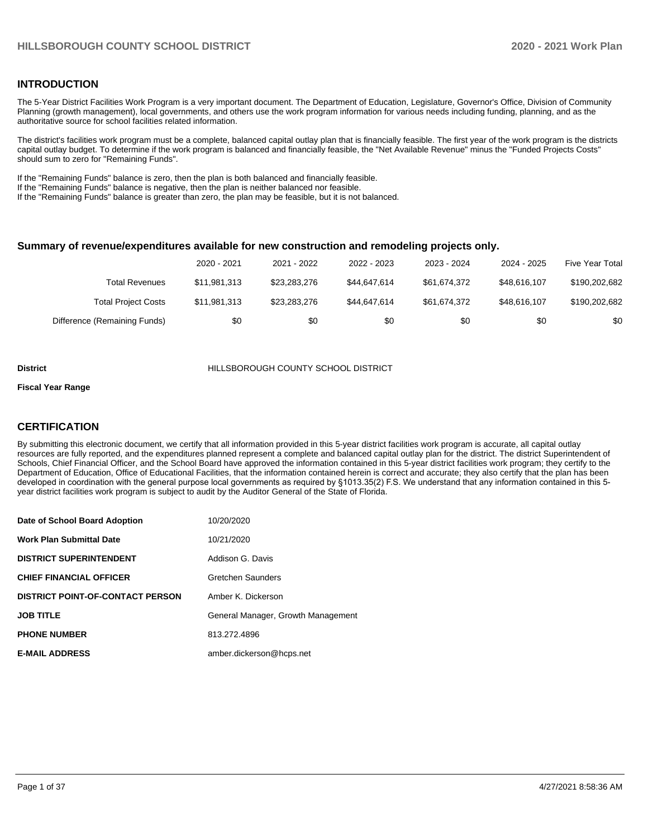#### **INTRODUCTION**

The 5-Year District Facilities Work Program is a very important document. The Department of Education, Legislature, Governor's Office, Division of Community Planning (growth management), local governments, and others use the work program information for various needs including funding, planning, and as the authoritative source for school facilities related information.

The district's facilities work program must be a complete, balanced capital outlay plan that is financially feasible. The first year of the work program is the districts capital outlay budget. To determine if the work program is balanced and financially feasible, the "Net Available Revenue" minus the "Funded Projects Costs" should sum to zero for "Remaining Funds".

If the "Remaining Funds" balance is zero, then the plan is both balanced and financially feasible.

If the "Remaining Funds" balance is negative, then the plan is neither balanced nor feasible.

If the "Remaining Funds" balance is greater than zero, the plan may be feasible, but it is not balanced.

#### **Summary of revenue/expenditures available for new construction and remodeling projects only.**

|                              | 2020 - 2021  | 2021 - 2022  | 2022 - 2023  | 2023 - 2024  | 2024 - 2025  | <b>Five Year Total</b> |
|------------------------------|--------------|--------------|--------------|--------------|--------------|------------------------|
| <b>Total Revenues</b>        | \$11,981,313 | \$23,283,276 | \$44.647.614 | \$61.674.372 | \$48.616.107 | \$190,202,682          |
| <b>Total Project Costs</b>   | \$11,981,313 | \$23,283,276 | \$44.647.614 | \$61.674.372 | \$48.616.107 | \$190,202,682          |
| Difference (Remaining Funds) | \$0          | \$0          | \$0          | \$0          | \$0          | \$0                    |

#### **District** HILLSBOROUGH COUNTY SCHOOL DISTRICT

#### **Fiscal Year Range**

#### **CERTIFICATION**

By submitting this electronic document, we certify that all information provided in this 5-year district facilities work program is accurate, all capital outlay resources are fully reported, and the expenditures planned represent a complete and balanced capital outlay plan for the district. The district Superintendent of Schools, Chief Financial Officer, and the School Board have approved the information contained in this 5-year district facilities work program; they certify to the Department of Education, Office of Educational Facilities, that the information contained herein is correct and accurate; they also certify that the plan has been developed in coordination with the general purpose local governments as required by §1013.35(2) F.S. We understand that any information contained in this 5 year district facilities work program is subject to audit by the Auditor General of the State of Florida.

| Date of School Board Adoption           | 10/20/2020                         |
|-----------------------------------------|------------------------------------|
| Work Plan Submittal Date                | 10/21/2020                         |
| <b>DISTRICT SUPERINTENDENT</b>          | Addison G. Davis                   |
| <b>CHIEF FINANCIAL OFFICER</b>          | Gretchen Saunders                  |
| <b>DISTRICT POINT-OF-CONTACT PERSON</b> | Amber K. Dickerson                 |
| JOB TITLE                               | General Manager, Growth Management |
| <b>PHONE NUMBER</b>                     | 813.272.4896                       |
| <b>E-MAIL ADDRESS</b>                   | amber.dickerson@hcps.net           |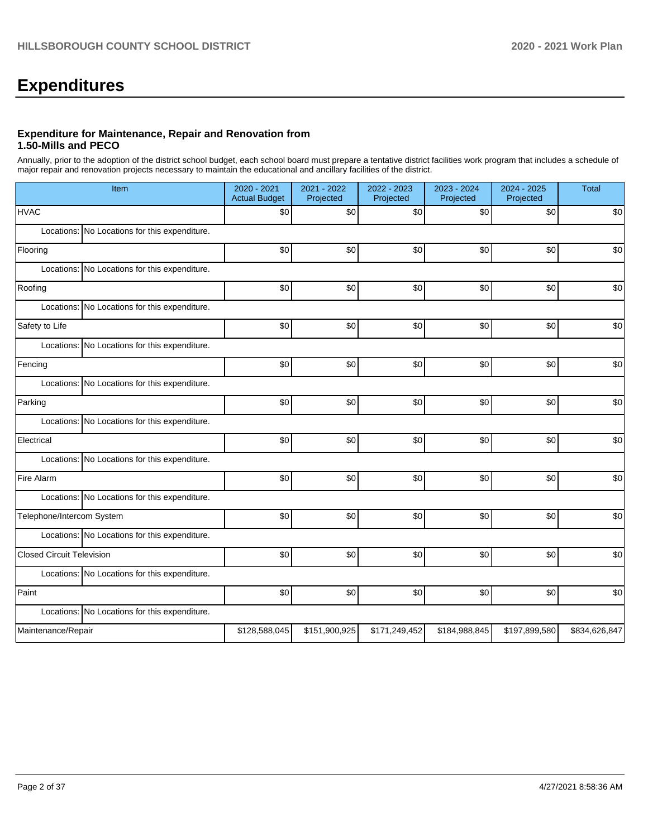# **Expenditures**

#### **Expenditure for Maintenance, Repair and Renovation from 1.50-Mills and PECO**

Annually, prior to the adoption of the district school budget, each school board must prepare a tentative district facilities work program that includes a schedule of major repair and renovation projects necessary to maintain the educational and ancillary facilities of the district.

| Item                                          | 2020 - 2021<br><b>Actual Budget</b> | 2021 - 2022<br>Projected | 2022 - 2023<br>Projected | 2023 - 2024<br>Projected | 2024 - 2025<br>Projected | <b>Total</b>  |
|-----------------------------------------------|-------------------------------------|--------------------------|--------------------------|--------------------------|--------------------------|---------------|
| <b>HVAC</b>                                   | \$0                                 | \$0                      | \$0                      | \$0                      | \$0                      | \$0           |
| Locations: No Locations for this expenditure. |                                     |                          |                          |                          |                          |               |
| Flooring                                      | \$0                                 | \$0                      | \$0                      | \$0                      | \$0                      | \$0           |
| Locations: No Locations for this expenditure. |                                     |                          |                          |                          |                          |               |
| Roofing                                       | \$0                                 | \$0                      | \$0                      | \$0                      | \$0                      | \$0           |
| Locations: No Locations for this expenditure. |                                     |                          |                          |                          |                          |               |
| Safety to Life                                | \$0                                 | \$0                      | \$0                      | \$0                      | \$0                      | \$0           |
| Locations: No Locations for this expenditure. |                                     |                          |                          |                          |                          |               |
| Fencing                                       | \$0                                 | \$0                      | \$0                      | \$0                      | \$0                      | \$0           |
| Locations: No Locations for this expenditure. |                                     |                          |                          |                          |                          |               |
| Parking                                       | \$0                                 | \$0                      | \$0                      | \$0                      | \$0                      | \$0           |
| Locations: No Locations for this expenditure. |                                     |                          |                          |                          |                          |               |
| Electrical                                    | \$0                                 | \$0                      | \$0                      | \$0                      | \$0                      | \$0           |
| Locations: No Locations for this expenditure. |                                     |                          |                          |                          |                          |               |
| Fire Alarm                                    | \$0                                 | \$0                      | \$0                      | \$0                      | \$0                      | \$0           |
| Locations: No Locations for this expenditure. |                                     |                          |                          |                          |                          |               |
| Telephone/Intercom System                     | \$0                                 | \$0                      | \$0                      | \$0                      | \$0                      | \$0           |
| Locations: No Locations for this expenditure. |                                     |                          |                          |                          |                          |               |
| <b>Closed Circuit Television</b>              | \$0                                 | \$0                      | \$0                      | \$0                      | \$0                      | \$0           |
| Locations: No Locations for this expenditure. |                                     |                          |                          |                          |                          |               |
| Paint                                         | \$0                                 | \$0                      | \$0                      | \$0                      | \$0                      | \$0           |
| Locations: No Locations for this expenditure. |                                     |                          |                          |                          |                          |               |
| Maintenance/Repair                            | \$128,588,045                       | \$151,900,925            | \$171,249,452            | \$184,988,845            | \$197,899,580            | \$834,626,847 |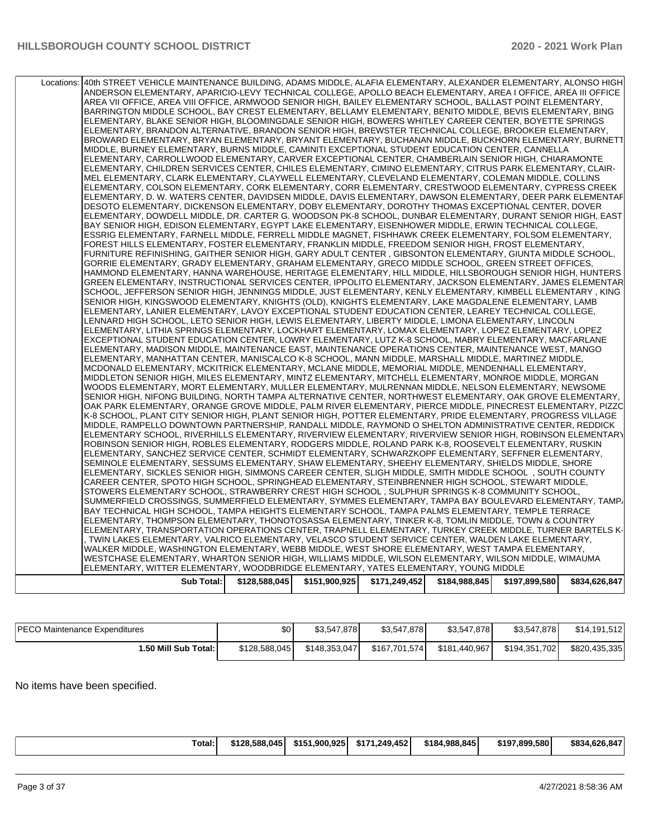| Locations: | 40th STREET VEHICLE MAINTENANCE BUILDING, ADAMS MIDDLE, ALAFIA ELEMENTARY, ALEXANDER ELEMENTARY, ALONSO HIGH<br>ANDERSON ELEMENTARY, APARICIO-LEVY TECHNICAL COLLEGE, APOLLO BEACH ELEMENTARY, AREA I OFFICE, AREA III OFFICE<br>AREA VII OFFICE, AREA VIII OFFICE, ARMWOOD SENIOR HIGH, BAILEY ELEMENTARY SCHOOL, BALLAST POINT ELEMENTARY,<br>BARRINGTON MIDDLE SCHOOL, BAY CREST ELEMENTARY, BELLAMY ELEMENTARY, BENITO MIDDLE, BEVIS ELEMENTARY, BING<br>ELEMENTARY, BLAKE SENIOR HIGH, BLOOMINGDALE SENIOR HIGH, BOWERS WHITLEY CAREER CENTER, BOYETTE SPRINGS<br>ELEMENTARY, BRANDON ALTERNATIVE, BRANDON SENIOR HIGH, BREWSTER TECHNICAL COLLEGE, BROOKER ELEMENTARY,<br>BROWARD ELEMENTARY, BRYAN ELEMENTARY, BRYANT ELEMENTARY, BUCHANAN MIDDLE, BUCKHORN ELEMENTARY, BURNETT<br>MIDDLE, BURNEY ELEMENTARY, BURNS MIDDLE, CAMINITI EXCEPTIONAL STUDENT EDUCATION CENTER, CANNELLA<br>ELEMENTARY, CARROLLWOOD ELEMENTARY, CARVER EXCEPTIONAL CENTER, CHAMBERLAIN SENIOR HIGH, CHIARAMONTE<br>ELEMENTARY, CHILDREN SERVICES CENTER, CHILES ELEMENTARY, CIMINO ELEMENTARY, CITRUS PARK ELEMENTARY, CLAIR-<br>MEL ELEMENTARY, CLARK ELEMENTARY, CLAYWELL ELEMENTARY, CLEVELAND ELEMENTARY, COLEMAN MIDDLE, COLLINS<br>ELEMENTARY, COLSON ELEMENTARY, CORK ELEMENTARY, CORR ELEMENTARY, CRESTWOOD ELEMENTARY, CYPRESS CREEK<br>ELEMENTARY, D. W. WATERS CENTER, DAVIDSEN MIDDLE, DAVIS ELEMENTARY, DAWSON ELEMENTARY, DEER PARK ELEMENTAF<br>DESOTO ELEMENTARY, DICKENSON ELEMENTARY, DOBY ELEMENTARY, DOROTHY THOMAS EXCEPTIONAL CENTER, DOVER<br>ELEMENTARY, DOWDELL MIDDLE, DR. CARTER G. WOODSON PK-8 SCHOOL, DUNBAR ELEMENTARY, DURANT SENIOR HIGH, EAST<br>BAY SENIOR HIGH, EDISON ELEMENTARY, EGYPT LAKE ELEMENTARY, EISENHOWER MIDDLE, ERWIN TECHNICAL COLLEGE,<br>ESSRIG ELEMENTARY, FARNELL MIDDLE, FERRELL MIDDLE MAGNET, FISHHAWK CREEK ELEMENTARY, FOLSOM ELEMENTARY,<br>FOREST HILLS ELEMENTARY, FOSTER ELEMENTARY, FRANKLIN MIDDLE, FREEDOM SENIOR HIGH, FROST ELEMENTARY,<br>FURNITURE REFINISHING, GAITHER SENIOR HIGH, GARY ADULT CENTER , GIBSONTON ELEMENTARY, GIUNTA MIDDLE SCHOOL,<br>GORRIE ELEMENTARY, GRADY ELEMENTARY, GRAHAM ELEMENTARY, GRECO MIDDLE SCHOOL, GREEN STREET OFFICES,<br>HAMMOND ELEMENTARY, HANNA WAREHOUSE, HERITAGE ELEMENTARY, HILL MIDDLE, HILLSBOROUGH SENIOR HIGH, HUNTERS<br>GREEN ELEMENTARY, INSTRUCTIONAL SERVICES CENTER, IPPOLITO ELEMENTARY, JACKSON ELEMENTARY, JAMES ELEMENTAR<br>SCHOOL, JEFFERSON SENIOR HIGH, JENNINGS MIDDLE, JUST ELEMENTARY, KENLY ELEMENTARY, KIMBELL ELEMENTARY, KING<br>SENIOR HIGH, KINGSWOOD ELEMENTARY, KNIGHTS (OLD), KNIGHTS ELEMENTARY, LAKE MAGDALENE ELEMENTARY, LAMB<br>ELEMENTARY, LANIER ELEMENTARY, LAVOY EXCEPTIONAL STUDENT EDUCATION CENTER, LEAREY TECHNICAL COLLEGE,<br>LENNARD HIGH SCHOOL, LETO SENIOR HIGH, LEWIS ELEMENTARY, LIBERTY MIDDLE, LIMONA ELEMENTARY, LINCOLN<br>ELEMENTARY, LITHIA SPRINGS ELEMENTARY, LOCKHART ELEMENTARY, LOMAX ELEMENTARY, LOPEZ ELEMENTARY, LOPEZ<br>EXCEPTIONAL STUDENT EDUCATION CENTER, LOWRY ELEMENTARY, LUTZ K-8 SCHOOL, MABRY ELEMENTARY, MACFARLANE<br>ELEMENTARY, MADISON MIDDLE, MAINTENANCE EAST, MAINTENANCE OPERATIONS CENTER, MAINTENANCE WEST, MANGO<br>ELEMENTARY, MANHATTAN CENTER, MANISCALCO K-8 SCHOOL, MANN MIDDLE, MARSHALL MIDDLE, MARTINEZ MIDDLE,<br>MCDONALD ELEMENTARY, MCKITRICK ELEMENTARY, MCLANE MIDDLE, MEMORIAL MIDDLE, MENDENHALL ELEMENTARY,<br>MIDDLETON SENIOR HIGH, MILES ELEMENTARY, MINTZ ELEMENTARY, MITCHELL ELEMENTARY, MONROE MIDDLE, MORGAN<br>WOODS ELEMENTARY, MORT ELEMENTARY, MULLER ELEMENTARY, MULRENNAN MIDDLE, NELSON ELEMENTARY, NEWSOME<br>SENIOR HIGH, NIFONG BUILDING, NORTH TAMPA ALTERNATIVE CENTER, NORTHWEST ELEMENTARY, OAK GROVE ELEMENTARY,<br>OAK PARK ELEMENTARY, ORANGE GROVE MIDDLE, PALM RIVER ELEMENTARY, PIERCE MIDDLE, PINECREST ELEMENTARY, PIZZC<br>K-8 SCHOOL, PLANT CITY SENIOR HIGH, PLANT SENIOR HIGH, POTTER ELEMENTARY, PRIDE ELEMENTARY, PROGRESS VILLAGE<br>MIDDLE, RAMPELLO DOWNTOWN PARTNERSHIP, RANDALL MIDDLE, RAYMOND O SHELTON ADMINISTRATIVE CENTER, REDDICK<br>ELEMENTARY SCHOOL, RIVERHILLS ELEMENTARY, RIVERVIEW ELEMENTARY, RIVERVIEW SENIOR HIGH, ROBINSON ELEMENTARY<br>ROBINSON SENIOR HIGH, ROBLES ELEMENTARY, RODGERS MIDDLE, ROLAND PARK K-8, ROOSEVELT ELEMENTARY, RUSKIN<br>ELEMENTARY, SANCHEZ SERVICE CENTER, SCHMIDT ELEMENTARY, SCHWARZKOPF ELEMENTARY, SEFFNER ELEMENTARY,<br>SEMINOLE ELEMENTARY, SESSUMS ELEMENTARY, SHAW ELEMENTARY, SHEEHY ELEMENTARY, SHIELDS MIDDLE, SHORE<br>ELEMENTARY, SICKLES SENIOR HIGH, SIMMONS CAREER CENTER, SLIGH MIDDLE, SMITH MIDDLE SCHOOL, SOUTH COUNTY<br>CAREER CENTER, SPOTO HIGH SCHOOL, SPRINGHEAD ELEMENTARY, STEINBRENNER HIGH SCHOOL, STEWART MIDDLE,<br>STOWERS ELEMENTARY SCHOOL, STRAWBERRY CREST HIGH SCHOOL, SULPHUR SPRINGS K-8 COMMUNITY SCHOOL,<br>SUMMERFIELD CROSSINGS, SUMMERFIELD ELEMENTARY, SYMMES ELEMENTARY, TAMPA BAY BOULEVARD ELEMENTARY, TAMP/<br>BAY TECHNICAL HIGH SCHOOL, TAMPA HEIGHTS ELEMENTARY SCHOOL, TAMPA PALMS ELEMENTARY, TEMPLE TERRACE<br>ELEMENTARY, THOMPSON ELEMENTARY, THONOTOSASSA ELEMENTARY, TINKER K-8, TOMLIN MIDDLE, TOWN & COUNTRY<br>ELEMENTARY, TRANSPORTATION OPERATIONS CENTER, TRAPNELL ELEMENTARY, TURKEY CREEK MIDDLE, TURNER BARTELS K-<br>, TWIN LAKES ELEMENTARY, VALRICO ELEMENTARY, VELASCO STUDENT SERVICE CENTER, WALDEN LAKE ELEMENTARY,<br>WALKER MIDDLE, WASHINGTON ELEMENTARY, WEBB MIDDLE, WEST SHORE ELEMENTARY, WEST TAMPA ELEMENTARY,<br>WESTCHASE ELEMENTARY, WHARTON SENIOR HIGH, WILLIAMS MIDDLE, WILSON ELEMENTARY, WILSON MIDDLE, WIMAUMA<br>ELEMENTARY, WITTER ELEMENTARY, WOODBRIDGE ELEMENTARY, YATES ELEMENTARY, YOUNG MIDDLE |               |               |               |               |               |               |
|------------|----------------------------------------------------------------------------------------------------------------------------------------------------------------------------------------------------------------------------------------------------------------------------------------------------------------------------------------------------------------------------------------------------------------------------------------------------------------------------------------------------------------------------------------------------------------------------------------------------------------------------------------------------------------------------------------------------------------------------------------------------------------------------------------------------------------------------------------------------------------------------------------------------------------------------------------------------------------------------------------------------------------------------------------------------------------------------------------------------------------------------------------------------------------------------------------------------------------------------------------------------------------------------------------------------------------------------------------------------------------------------------------------------------------------------------------------------------------------------------------------------------------------------------------------------------------------------------------------------------------------------------------------------------------------------------------------------------------------------------------------------------------------------------------------------------------------------------------------------------------------------------------------------------------------------------------------------------------------------------------------------------------------------------------------------------------------------------------------------------------------------------------------------------------------------------------------------------------------------------------------------------------------------------------------------------------------------------------------------------------------------------------------------------------------------------------------------------------------------------------------------------------------------------------------------------------------------------------------------------------------------------------------------------------------------------------------------------------------------------------------------------------------------------------------------------------------------------------------------------------------------------------------------------------------------------------------------------------------------------------------------------------------------------------------------------------------------------------------------------------------------------------------------------------------------------------------------------------------------------------------------------------------------------------------------------------------------------------------------------------------------------------------------------------------------------------------------------------------------------------------------------------------------------------------------------------------------------------------------------------------------------------------------------------------------------------------------------------------------------------------------------------------------------------------------------------------------------------------------------------------------------------------------------------------------------------------------------------------------------------------------------------------------------------------------------------------------------------------------------------------------------------------------------------------------------------------------------------------------------------------------------------------------------------------------------------------------------------------------------------------------------------------------------------------------------------------------------------------------------------------------------------------------------------------------------------------------------------------------------------------------------------------------------------------------------------------------------------------------------------------------------------------------------------------------------------------------------------------------------------------------------------------------------------------------------------------------------------------------------------------------------------------------------------------------------------------------------------------------------------------------------------------------------------------------------------------------------------------------------------------------------------------------------------------------------------------------------------------------------------------------------------------------------------------------------------------------------------------------------------------------------------------------------------------------------------------------------------------------------------------------------------------------------------------------------------------------------|---------------|---------------|---------------|---------------|---------------|---------------|
|            |                                                                                                                                                                                                                                                                                                                                                                                                                                                                                                                                                                                                                                                                                                                                                                                                                                                                                                                                                                                                                                                                                                                                                                                                                                                                                                                                                                                                                                                                                                                                                                                                                                                                                                                                                                                                                                                                                                                                                                                                                                                                                                                                                                                                                                                                                                                                                                                                                                                                                                                                                                                                                                                                                                                                                                                                                                                                                                                                                                                                                                                                                                                                                                                                                                                                                                                                                                                                                                                                                                                                                                                                                                                                                                                                                                                                                                                                                                                                                                                                                                                                                                                                                                                                                                                                                                                                                                                                                                                                                                                                                                                                                                                                                                                                                                                                                                                                                                                                                                                                                                                                                                                                                                                                                                                                                                                                                                                                                                                                                                                                                                                                                                                                                                          |               |               |               |               |               |               |
|            | <b>Sub Total:</b>                                                                                                                                                                                                                                                                                                                                                                                                                                                                                                                                                                                                                                                                                                                                                                                                                                                                                                                                                                                                                                                                                                                                                                                                                                                                                                                                                                                                                                                                                                                                                                                                                                                                                                                                                                                                                                                                                                                                                                                                                                                                                                                                                                                                                                                                                                                                                                                                                                                                                                                                                                                                                                                                                                                                                                                                                                                                                                                                                                                                                                                                                                                                                                                                                                                                                                                                                                                                                                                                                                                                                                                                                                                                                                                                                                                                                                                                                                                                                                                                                                                                                                                                                                                                                                                                                                                                                                                                                                                                                                                                                                                                                                                                                                                                                                                                                                                                                                                                                                                                                                                                                                                                                                                                                                                                                                                                                                                                                                                                                                                                                                                                                                                                                        | \$128,588,045 | \$151,900,925 | \$171,249,452 | \$184,988,845 | \$197,899,580 | \$834,626,847 |
|            |                                                                                                                                                                                                                                                                                                                                                                                                                                                                                                                                                                                                                                                                                                                                                                                                                                                                                                                                                                                                                                                                                                                                                                                                                                                                                                                                                                                                                                                                                                                                                                                                                                                                                                                                                                                                                                                                                                                                                                                                                                                                                                                                                                                                                                                                                                                                                                                                                                                                                                                                                                                                                                                                                                                                                                                                                                                                                                                                                                                                                                                                                                                                                                                                                                                                                                                                                                                                                                                                                                                                                                                                                                                                                                                                                                                                                                                                                                                                                                                                                                                                                                                                                                                                                                                                                                                                                                                                                                                                                                                                                                                                                                                                                                                                                                                                                                                                                                                                                                                                                                                                                                                                                                                                                                                                                                                                                                                                                                                                                                                                                                                                                                                                                                          |               |               |               |               |               |               |

| <b>PECO Maintenance Expenditures</b> | \$0 <sub>1</sub> | \$3.547.878   | \$3,547,878   | \$3.547.878   | \$3,547,878   | \$14,191,512  |
|--------------------------------------|------------------|---------------|---------------|---------------|---------------|---------------|
| 1.50 Mill Sub Total: I               | \$128,588,045    | \$148.353.047 | \$167.701.574 | \$181,440,967 | \$194,351,702 | \$820,435,335 |

No items have been specified.

|--|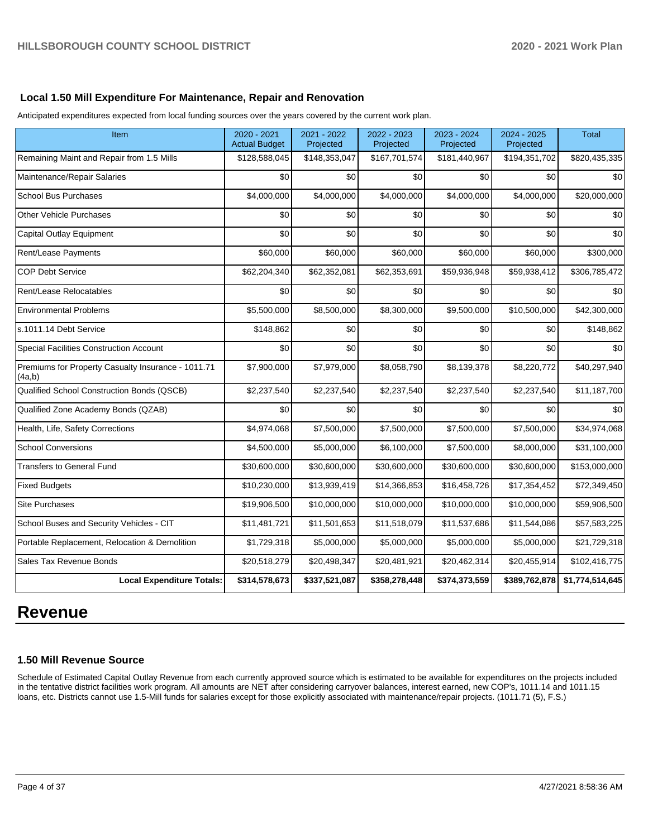#### **Local 1.50 Mill Expenditure For Maintenance, Repair and Renovation**

Anticipated expenditures expected from local funding sources over the years covered by the current work plan.

| Item                                                         | 2020 - 2021<br><b>Actual Budget</b> | 2021 - 2022<br>Projected | 2022 - 2023<br>Projected | 2023 - 2024<br>Projected | 2024 - 2025<br>Projected | <b>Total</b>    |
|--------------------------------------------------------------|-------------------------------------|--------------------------|--------------------------|--------------------------|--------------------------|-----------------|
| Remaining Maint and Repair from 1.5 Mills                    | \$128,588,045                       | \$148,353,047            | \$167,701,574            | \$181,440,967            | \$194,351,702            | \$820,435,335   |
| Maintenance/Repair Salaries                                  | \$0                                 | \$0                      | \$0                      | \$0 <sub>1</sub>         | \$0                      | \$0             |
| <b>School Bus Purchases</b>                                  | \$4,000,000                         | \$4,000,000              | \$4,000,000              | \$4,000,000              | \$4,000,000              | \$20,000,000    |
| <b>Other Vehicle Purchases</b>                               | \$0                                 | \$0                      | \$0                      | \$0                      | \$0                      | \$0             |
| <b>Capital Outlay Equipment</b>                              | \$0                                 | \$0                      | \$0                      | \$0                      | \$0                      | \$0             |
| Rent/Lease Payments                                          | \$60,000                            | \$60,000                 | \$60,000                 | \$60,000                 | \$60,000                 | \$300,000       |
| <b>COP Debt Service</b>                                      | \$62,204,340                        | \$62,352,081             | \$62,353,691             | \$59,936,948             | \$59,938,412             | \$306,785,472   |
| Rent/Lease Relocatables                                      | \$0                                 | \$0                      | \$0                      | \$0                      | \$0                      | \$0             |
| <b>Environmental Problems</b>                                | \$5,500,000                         | \$8,500,000              | \$8,300,000              | \$9,500,000              | \$10,500,000             | \$42,300,000    |
| s.1011.14 Debt Service                                       | \$148,862                           | \$0                      | \$0                      | \$0                      | \$0                      | \$148,862       |
| Special Facilities Construction Account                      | \$0                                 | \$0                      | \$0                      | \$0                      | \$0                      | \$0             |
| Premiums for Property Casualty Insurance - 1011.71<br>(4a,b) | \$7,900,000                         | \$7,979,000              | \$8,058,790              | \$8,139,378              | \$8,220,772              | \$40,297,940    |
| Qualified School Construction Bonds (QSCB)                   | \$2,237,540                         | \$2,237,540              | \$2,237,540              | \$2,237,540              | \$2,237,540              | \$11,187,700    |
| Qualified Zone Academy Bonds (QZAB)                          | \$0                                 | \$0                      | \$0                      | \$0                      | \$0                      | \$0             |
| Health, Life, Safety Corrections                             | \$4,974,068                         | \$7,500,000              | \$7,500,000              | \$7,500,000              | \$7,500,000              | \$34,974,068    |
| <b>School Conversions</b>                                    | \$4,500,000                         | \$5,000,000              | \$6,100,000              | \$7,500,000              | \$8,000,000              | \$31,100,000    |
| <b>Transfers to General Fund</b>                             | \$30,600,000                        | \$30,600,000             | \$30,600,000             | \$30,600,000             | \$30,600,000             | \$153,000,000   |
| <b>Fixed Budgets</b>                                         | \$10,230,000                        | \$13,939,419             | \$14,366,853             | \$16,458,726             | \$17,354,452             | \$72,349,450    |
| <b>Site Purchases</b>                                        | \$19,906,500                        | \$10,000,000             | \$10,000,000             | \$10,000,000             | \$10,000,000             | \$59,906,500    |
| School Buses and Security Vehicles - CIT                     | \$11,481,721                        | \$11,501,653             | \$11,518,079             | \$11,537,686             | \$11,544,086             | \$57,583,225    |
| Portable Replacement, Relocation & Demolition                | \$1,729,318                         | \$5,000,000              | \$5,000,000              | \$5,000,000              | \$5,000,000              | \$21,729,318    |
| Sales Tax Revenue Bonds                                      | \$20,518,279                        | \$20,498,347             | \$20,481,921             | \$20,462,314             | \$20,455,914             | \$102,416,775   |
| <b>Local Expenditure Totals:</b>                             | \$314,578,673                       | \$337,521,087            | \$358,278,448            | \$374,373,559            | \$389,762,878            | \$1,774,514,645 |

## **Revenue**

## **1.50 Mill Revenue Source**

Schedule of Estimated Capital Outlay Revenue from each currently approved source which is estimated to be available for expenditures on the projects included in the tentative district facilities work program. All amounts are NET after considering carryover balances, interest earned, new COP's, 1011.14 and 1011.15 loans, etc. Districts cannot use 1.5-Mill funds for salaries except for those explicitly associated with maintenance/repair projects. (1011.71 (5), F.S.)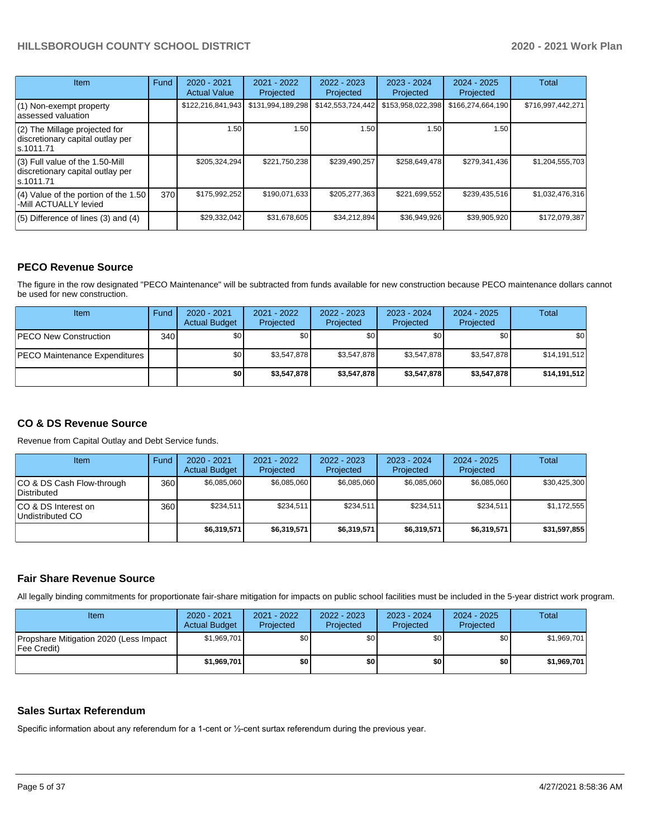| <b>Item</b>                                                                         | Fund | $2020 - 2021$<br><b>Actual Value</b> | $2021 - 2022$<br>Projected | $2022 - 2023$<br>Projected | $2023 - 2024$<br>Projected | $2024 - 2025$<br>Projected | <b>Total</b>      |
|-------------------------------------------------------------------------------------|------|--------------------------------------|----------------------------|----------------------------|----------------------------|----------------------------|-------------------|
| (1) Non-exempt property<br>lassessed valuation                                      |      | \$122,216,841,943                    | \$131,994,189,298          | \$142,553,724,442          | \$153,958,022,398          | \$166,274,664,190          | \$716,997,442,271 |
| (2) The Millage projected for<br>discretionary capital outlay per<br>ls.1011.71     |      | 1.50                                 | 1.50                       | 1.50                       | 1.50                       | 1.50                       |                   |
| $(3)$ Full value of the 1.50-Mill<br>discretionary capital outlay per<br>ls.1011.71 |      | \$205,324,294                        | \$221,750,238              | \$239,490,257              | \$258,649,478              | \$279,341,436              | \$1,204,555,703   |
| $(4)$ Value of the portion of the 1.50<br>-Mill ACTUALLY levied                     | 370I | \$175,992,252                        | \$190,071,633              | \$205,277,363              | \$221,699,552              | \$239,435,516              | \$1,032,476,316   |
| $(5)$ Difference of lines $(3)$ and $(4)$                                           |      | \$29,332,042                         | \$31,678,605               | \$34,212,894               | \$36,949,926               | \$39,905,920               | \$172,079,387     |

#### **PECO Revenue Source**

The figure in the row designated "PECO Maintenance" will be subtracted from funds available for new construction because PECO maintenance dollars cannot be used for new construction.

| Item                                 | Fund | $2020 - 2021$<br><b>Actual Budget</b> | 2021 - 2022<br>Projected | 2022 - 2023<br>Projected | $2023 - 2024$<br>Projected | $2024 - 2025$<br>Projected | Total        |
|--------------------------------------|------|---------------------------------------|--------------------------|--------------------------|----------------------------|----------------------------|--------------|
| <b>PECO New Construction</b>         | 340  | \$0                                   | \$0                      | \$0                      | \$0                        | \$0                        | \$0          |
| <b>PECO Maintenance Expenditures</b> |      | \$0                                   | \$3,547,878              | \$3,547,878              | \$3.547.878                | \$3,547,878                | \$14,191,512 |
|                                      |      | \$0                                   | \$3.547.878              | \$3,547,878              | \$3,547.878                | \$3,547,878                | \$14,191,512 |

### **CO & DS Revenue Source**

Revenue from Capital Outlay and Debt Service funds.

| <b>Item</b>                               | Fund | $2020 - 2021$<br><b>Actual Budget</b> | 2021 - 2022<br>Projected | $2022 - 2023$<br>Projected | $2023 - 2024$<br>Projected | $2024 - 2025$<br>Projected | Total        |
|-------------------------------------------|------|---------------------------------------|--------------------------|----------------------------|----------------------------|----------------------------|--------------|
| ICO & DS Cash Flow-through<br>Distributed | 360  | \$6,085,060                           | \$6,085,060              | \$6,085,060                | \$6,085,060                | \$6,085,060                | \$30,425,300 |
| ICO & DS Interest on<br>Undistributed CO  | 360  | \$234.511                             | \$234,511                | \$234.511                  | \$234.511                  | \$234.511                  | \$1,172,555  |
|                                           |      | \$6,319,571                           | \$6,319,571              | \$6,319,571                | \$6,319,571                | \$6,319,571                | \$31,597,855 |

#### **Fair Share Revenue Source**

All legally binding commitments for proportionate fair-share mitigation for impacts on public school facilities must be included in the 5-year district work program.

| Item                                                          | 2020 - 2021<br><b>Actual Budget</b> | 2021 - 2022<br>Projected | $2022 - 2023$<br>Projected | 2023 - 2024<br>Projected | 2024 - 2025<br>Projected | Total       |
|---------------------------------------------------------------|-------------------------------------|--------------------------|----------------------------|--------------------------|--------------------------|-------------|
| Propshare Mitigation 2020 (Less Impact<br><b>Fee Credit</b> ) | \$1,969,701                         | \$0                      | \$0                        | \$0                      | \$0 <sub>1</sub>         | \$1,969,701 |
|                                                               | \$1,969,701                         | \$0                      | \$0                        | \$0                      | \$0                      | \$1,969,701 |

#### **Sales Surtax Referendum**

Specific information about any referendum for a 1-cent or ½-cent surtax referendum during the previous year.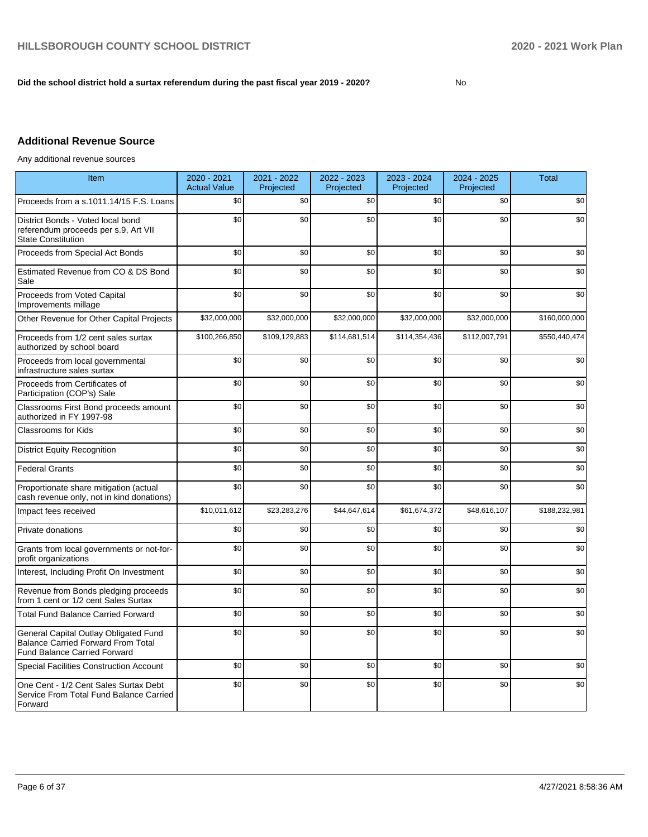#### **Did the school district hold a surtax referendum during the past fiscal year 2019 - 2020?**

No

## **Additional Revenue Source**

Any additional revenue sources

| Item                                                                                                               | 2020 - 2021<br><b>Actual Value</b> | 2021 - 2022<br>Projected | 2022 - 2023<br>Projected | 2023 - 2024<br>Projected | 2024 - 2025<br>Projected | <b>Total</b>  |
|--------------------------------------------------------------------------------------------------------------------|------------------------------------|--------------------------|--------------------------|--------------------------|--------------------------|---------------|
| Proceeds from a s.1011.14/15 F.S. Loans                                                                            | \$0                                | \$0                      | \$0                      | \$0                      | \$0                      | \$0           |
| District Bonds - Voted local bond<br>referendum proceeds per s.9, Art VII<br><b>State Constitution</b>             | \$0                                | \$0                      | \$0                      | \$0                      | \$0                      | \$0           |
| Proceeds from Special Act Bonds                                                                                    | \$0                                | \$0                      | \$0                      | \$0                      | \$0                      | \$0           |
| Estimated Revenue from CO & DS Bond<br>Sale                                                                        | \$0                                | \$0                      | \$0                      | \$0                      | \$0                      | \$0           |
| Proceeds from Voted Capital<br>Improvements millage                                                                | \$0                                | \$0                      | \$0                      | \$0                      | \$0                      | \$0           |
| Other Revenue for Other Capital Projects                                                                           | \$32,000,000                       | \$32,000,000             | \$32,000,000             | \$32,000,000             | \$32,000,000             | \$160,000,000 |
| Proceeds from 1/2 cent sales surtax<br>authorized by school board                                                  | \$100,266,850                      | \$109,129,883            | \$114,681,514            | \$114,354,436            | \$112,007,791            | \$550,440,474 |
| Proceeds from local governmental<br>infrastructure sales surtax                                                    | \$0                                | \$0                      | \$0                      | \$0                      | \$0                      | \$0           |
| Proceeds from Certificates of<br>Participation (COP's) Sale                                                        | \$0                                | \$0                      | \$0                      | \$0                      | \$0                      | \$0           |
| Classrooms First Bond proceeds amount<br>authorized in FY 1997-98                                                  | \$0                                | \$0                      | \$0                      | \$0                      | \$0                      | \$0           |
| <b>Classrooms for Kids</b>                                                                                         | \$0                                | \$0                      | \$0                      | \$0                      | \$0                      | \$0           |
| <b>District Equity Recognition</b>                                                                                 | \$0                                | \$0                      | \$0                      | \$0                      | \$0                      | \$0           |
| <b>Federal Grants</b>                                                                                              | \$0                                | \$0                      | \$0                      | \$0                      | \$0                      | \$0           |
| Proportionate share mitigation (actual<br>cash revenue only, not in kind donations)                                | \$0                                | \$0                      | \$0                      | \$0                      | \$0                      | \$0           |
| Impact fees received                                                                                               | \$10,011,612                       | \$23,283,276             | \$44,647,614             | \$61,674,372             | \$48,616,107             | \$188,232,981 |
| Private donations                                                                                                  | \$0                                | \$0                      | \$0                      | \$0                      | \$0                      | \$0           |
| Grants from local governments or not-for-<br>profit organizations                                                  | \$0                                | \$0                      | \$0                      | \$0                      | \$0                      | \$0           |
| Interest, Including Profit On Investment                                                                           | \$0                                | \$0                      | \$0                      | \$0                      | \$0                      | \$0           |
| Revenue from Bonds pledging proceeds<br>from 1 cent or 1/2 cent Sales Surtax                                       | \$0                                | \$0                      | \$0                      | \$0                      | \$0                      | \$0           |
| <b>Total Fund Balance Carried Forward</b>                                                                          | \$0                                | \$0                      | \$0                      | \$0                      | \$0                      | \$0           |
| General Capital Outlay Obligated Fund<br>Balance Carried Forward From Total<br><b>Fund Balance Carried Forward</b> | \$0                                | \$0                      | \$0                      | \$0                      | \$0                      | \$0           |
| Special Facilities Construction Account                                                                            | \$0                                | \$0                      | \$0                      | \$0                      | \$0                      | \$0           |
| One Cent - 1/2 Cent Sales Surtax Debt<br>Service From Total Fund Balance Carried<br>Forward                        | \$0                                | \$0                      | \$0                      | \$0                      | \$0                      | \$0           |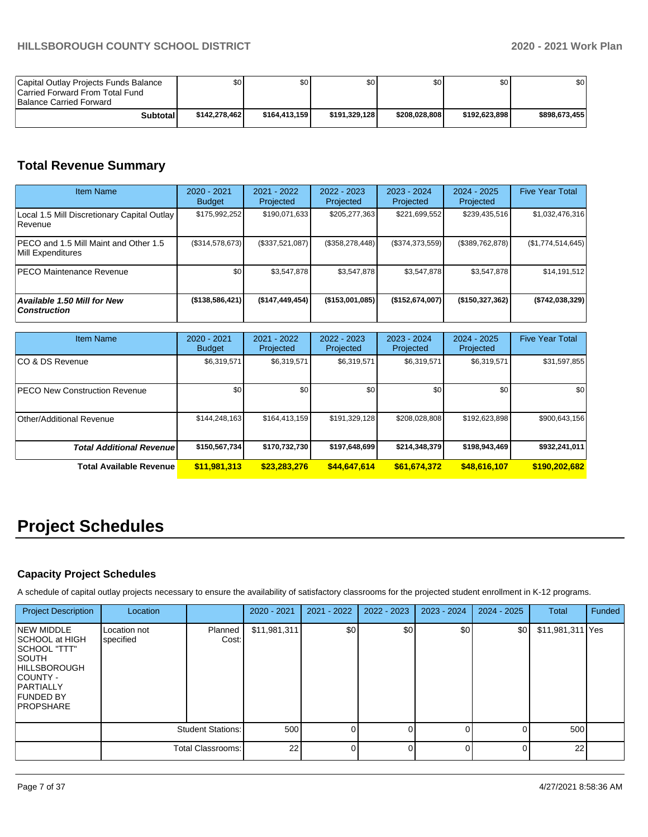| Capital Outlay Projects Funds Balance<br>Carried Forward From Total Fund<br><b>Balance Carried Forward</b> | \$0I          | \$0           | \$0           | \$0           | \$0           | ا 30          |
|------------------------------------------------------------------------------------------------------------|---------------|---------------|---------------|---------------|---------------|---------------|
| <b>Subtotal</b>                                                                                            | \$142,278,462 | \$164.413.159 | \$191.329.128 | \$208.028.808 | \$192.623.898 | \$898,673,455 |

# **Total Revenue Summary**

| <b>Item Name</b>                                                   | 2020 - 2021<br><b>Budget</b> | $2021 - 2022$<br>Projected | $2022 - 2023$<br>Projected | 2023 - 2024<br>Projected | 2024 - 2025<br>Projected | <b>Five Year Total</b> |
|--------------------------------------------------------------------|------------------------------|----------------------------|----------------------------|--------------------------|--------------------------|------------------------|
| Local 1.5 Mill Discretionary Capital Outlay<br><b>Revenue</b>      | \$175,992,252                | \$190,071,633              | \$205,277,363              | \$221,699,552            | \$239,435,516            | \$1,032,476,316        |
| <b>IPECO and 1.5 Mill Maint and Other 1.5</b><br>Mill Expenditures | (\$314,578,673)              | (\$337,521,087)            | (\$358, 278, 448)          | (\$374,373,559)          | (\$389,762,878)          | (\$1,774,514,645)      |
| <b>PECO Maintenance Revenue</b>                                    | \$0                          | \$3.547.878                | \$3,547,878                | \$3.547.878              | \$3.547.878              | \$14,191,512           |
| Available 1.50 Mill for New<br><b>Construction</b>                 | $($ \$138,586,421)           | (\$147,449,454)            | $($ \$153,001,085)         | (\$152,674,007)          | (\$150,327,362)          | ( \$742, 038, 329 ]    |

| <b>Item Name</b>                      | 2020 - 2021<br><b>Budget</b> | $2021 - 2022$<br>Projected | 2022 - 2023<br>Projected | $2023 - 2024$<br>Projected | $2024 - 2025$<br>Projected | <b>Five Year Total</b> |
|---------------------------------------|------------------------------|----------------------------|--------------------------|----------------------------|----------------------------|------------------------|
| ICO & DS Revenue                      | \$6,319,571                  | \$6,319,571                | \$6,319,571              | \$6,319,571                | \$6,319,571                | \$31,597,855           |
| <b>IPECO New Construction Revenue</b> | \$0                          | \$0                        | \$0                      | \$0                        | \$0                        | \$0                    |
| Other/Additional Revenue              | \$144,248,163                | \$164,413,159              | \$191,329,128            | \$208,028,808              | \$192,623,898              | \$900,643,156          |
| <b>Total Additional Revenuel</b>      | \$150,567,734                | \$170.732.730              | \$197,648,699            | \$214,348,379              | \$198,943,469              | \$932,241,011          |
| Total Available Revenue               | \$11,981,313                 | \$23,283,276               | \$44,647,614             | \$61,674,372               | \$48,616,107               | \$190,202,682          |

# **Project Schedules**

## **Capacity Project Schedules**

A schedule of capital outlay projects necessary to ensure the availability of satisfactory classrooms for the projected student enrollment in K-12 programs.

| <b>Project Description</b>                                                                                                                                         | Location                  |                          | 2020 - 2021  | 2021 - 2022 | 2022 - 2023 | 2023 - 2024 | $2024 - 2025$ | <b>Total</b>     | Funded |
|--------------------------------------------------------------------------------------------------------------------------------------------------------------------|---------------------------|--------------------------|--------------|-------------|-------------|-------------|---------------|------------------|--------|
| <b>NEW MIDDLE</b><br>SCHOOL at HIGH<br>SCHOOL "TTT"<br><b>SOUTH</b><br><b>HILLSBOROUGH</b><br>COUNTY -<br><b>PARTIALLY</b><br><b>FUNDED BY</b><br><b>PROPSHARE</b> | Location not<br>specified | Planned<br>Cost:         | \$11,981,311 | \$0         | \$0         | \$0         | \$0           | \$11,981,311 Yes |        |
|                                                                                                                                                                    |                           | <b>Student Stations:</b> | 500          |             | $\Omega$    |             |               | 500              |        |
|                                                                                                                                                                    |                           | Total Classrooms:        | 22           |             | 0           |             |               | 22               |        |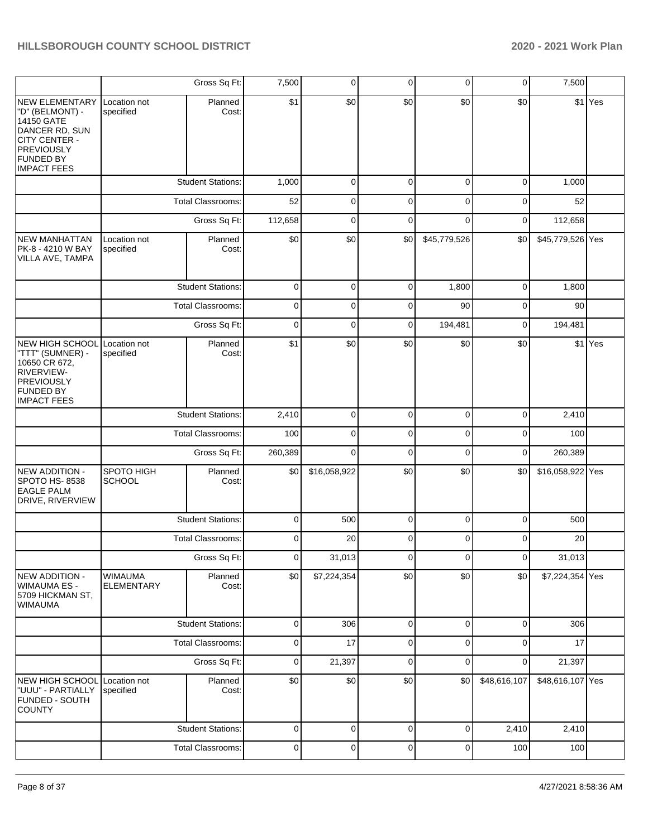|                                                                                                                                            |                                     | Gross Sq Ft:             | 7,500          | $\overline{0}$ | 0           | 0            | 0            | 7,500            |         |
|--------------------------------------------------------------------------------------------------------------------------------------------|-------------------------------------|--------------------------|----------------|----------------|-------------|--------------|--------------|------------------|---------|
| NEW ELEMENTARY<br>"D" (BELMONT) -<br>14150 GATE<br>DANCER RD, SUN<br>CITY CENTER -<br>PREVIOUSLY<br><b>FUNDED BY</b><br><b>IMPACT FEES</b> | Location not<br>specified           | Planned<br>Cost:         | \$1            | \$0            | \$0         | \$0          | \$0          |                  | \$1 Yes |
|                                                                                                                                            |                                     | <b>Student Stations:</b> | 1,000          | $\mathbf 0$    | $\mathbf 0$ | 0            | 0            | 1,000            |         |
|                                                                                                                                            |                                     | <b>Total Classrooms:</b> | 52             | $\mathbf 0$    | $\mathsf 0$ | $\mathbf 0$  | 0            | 52               |         |
|                                                                                                                                            |                                     | Gross Sq Ft:             | 112,658        | $\mathbf 0$    | $\mathbf 0$ | 0            | 0            | 112,658          |         |
| NEW MANHATTAN<br>PK-8 - 4210 W BAY<br>VILLA AVE, TAMPA                                                                                     | Location not<br>specified           | Planned<br>Cost:         | \$0            | \$0            | \$0         | \$45,779,526 | \$0          | \$45,779,526 Yes |         |
|                                                                                                                                            |                                     | <b>Student Stations:</b> | $\mathbf 0$    | 0              | $\mathbf 0$ | 1,800        | 0            | 1,800            |         |
|                                                                                                                                            |                                     | <b>Total Classrooms:</b> | 0              | 0              | 0           | 90           | 0            | 90               |         |
|                                                                                                                                            |                                     | Gross Sq Ft:             | $\mathbf 0$    | $\mathbf 0$    | $\mathbf 0$ | 194,481      | 0            | 194,481          |         |
| <b>NEW HIGH SCHOOL</b><br>"TTT" (SUMNER) -<br>10650 CR 672,<br><b>RIVERVIEW-</b><br>PREVIOUSLY<br><b>FUNDED BY</b><br><b>IMPACT FEES</b>   | Location not<br>specified           | Planned<br>Cost:         | \$1            | \$0            | \$0         | \$0          | \$0          |                  | \$1 Yes |
|                                                                                                                                            |                                     | <b>Student Stations:</b> | 2,410          | 0              | 0           | 0            | 0            | 2,410            |         |
|                                                                                                                                            |                                     | Total Classrooms:        | 100            | $\mathbf 0$    | $\mathbf 0$ | 0            | 0            | 100              |         |
|                                                                                                                                            |                                     | Gross Sq Ft:             | 260,389        | $\mathbf 0$    | $\mathbf 0$ | 0            | 0            | 260,389          |         |
| NEW ADDITION -<br>SPOTO HS-8538<br><b>EAGLE PALM</b><br>DRIVE, RIVERVIEW                                                                   | SPOTO HIGH<br><b>SCHOOL</b>         | Planned<br>Cost:         | \$0            | \$16,058,922   | \$0         | \$0          | \$0          | \$16,058,922 Yes |         |
|                                                                                                                                            |                                     | <b>Student Stations:</b> | $\mathbf 0$    | 500            | $\pmb{0}$   | 0            | 0            | 500              |         |
|                                                                                                                                            |                                     | <b>Total Classrooms:</b> | $\mathbf 0$    | 20             | 0           | 0            | $\Omega$     | 20               |         |
|                                                                                                                                            |                                     | Gross Sq Ft:             | $\overline{0}$ | 31,013         | 0           | 0            | 0            | 31,013           |         |
| NEW ADDITION -<br>WIMAUMA ES -<br>5709 HICKMAN ST,<br><b>WIMAUMA</b>                                                                       | <b>WIMAUMA</b><br><b>ELEMENTARY</b> | Planned<br>Cost:         | \$0            | \$7,224,354    | \$0         | \$0          | \$0          | \$7,224,354 Yes  |         |
|                                                                                                                                            |                                     | <b>Student Stations:</b> | $\pmb{0}$      | 306            | $\pmb{0}$   | 0            | 0            | 306              |         |
|                                                                                                                                            |                                     | Total Classrooms:        | $\mathbf 0$    | 17             | $\pmb{0}$   | 0            | 0            | 17               |         |
|                                                                                                                                            |                                     | Gross Sq Ft:             | $\mathbf 0$    | 21,397         | $\mathbf 0$ | 0            | 0            | 21,397           |         |
| NEW HIGH SCHOOL<br>"UUU" - PARTIALLY<br><b>FUNDED - SOUTH</b><br><b>COUNTY</b>                                                             | Location not<br>specified           | Planned<br>Cost:         | \$0            | \$0            | \$0         | \$0          | \$48,616,107 | \$48,616,107 Yes |         |
|                                                                                                                                            |                                     | <b>Student Stations:</b> | $\mathbf 0$    | $\pmb{0}$      | $\pmb{0}$   | 0            | 2,410        | 2,410            |         |
|                                                                                                                                            |                                     | Total Classrooms:        | $\pmb{0}$      | $\pmb{0}$      | $\pmb{0}$   | 0            | 100          | 100              |         |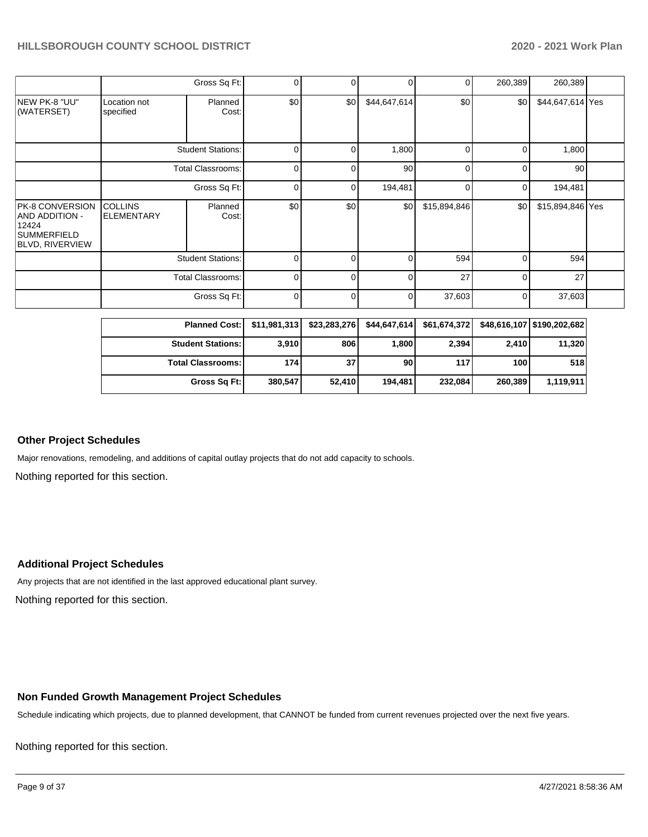|                                                                                            |                                     | Gross Sq Ft:             | 0           |          | $\Omega$     | 01             | 260,389     | 260,389          |  |
|--------------------------------------------------------------------------------------------|-------------------------------------|--------------------------|-------------|----------|--------------|----------------|-------------|------------------|--|
| NEW PK-8 "UU"<br>(WATERSET)                                                                | Location not<br>specified           | Planned<br>Cost:         | \$0         | \$0      | \$44,647,614 | \$0            | \$0         | \$44,647,614 Yes |  |
|                                                                                            |                                     | <b>Student Stations:</b> | $\mathbf 0$ | 0        | 1,800        | $\overline{0}$ | $\mathbf 0$ | 1,800            |  |
|                                                                                            |                                     | Total Classrooms:        | $\mathbf 0$ | 0        | 90           | $\overline{0}$ | 0           | 90               |  |
|                                                                                            |                                     | Gross Sq Ft:             | $\mathbf 0$ | 0        | 194,481      | $\overline{0}$ | $\mathbf 0$ | 194,481          |  |
| PK-8 CONVERSION<br><b>AND ADDITION -</b><br>12424<br>SUMMERFIELD<br><b>BLVD, RIVERVIEW</b> | <b>COLLINS</b><br><b>ELEMENTARY</b> | Planned<br>Cost:         | \$0         | \$0      | \$0          | \$15,894,846   | \$0         | \$15,894,846 Yes |  |
|                                                                                            | <b>Student Stations:</b>            |                          | $\Omega$    | $\Omega$ | $\Omega$     | 594            | $\Omega$    | 594              |  |
|                                                                                            | <b>Total Classrooms:</b>            |                          | $\Omega$    | $\Omega$ | $\Omega$     | 27             | $\Omega$    | 27               |  |
|                                                                                            |                                     | Gross Sq Ft:             | $\Omega$    | $\Omega$ | 0            | 37,603         | $\Omega$    | 37,603           |  |

| <b>Planned Cost: I</b>     | \$11.981.313 | \$23,283,276 | \$44.647.614 | \$61,674,372 |         | \$48.616.107 \$190.202.682 |
|----------------------------|--------------|--------------|--------------|--------------|---------|----------------------------|
| <b>Student Stations: I</b> | 3,910        | 806          | 1,800        | 2,394        | 2,410   | 11,320                     |
| <b>Total Classrooms: I</b> | 174          | 37           | 90           | 117          | 100     | 518                        |
| Gross Sq Ft:               | 380,547      | 52,410       | 194.481      | 232,084      | 260,389 | 1,119,911                  |

#### **Other Project Schedules**

Major renovations, remodeling, and additions of capital outlay projects that do not add capacity to schools.

Nothing reported for this section.

#### **Additional Project Schedules**

Nothing reported for this section. Any projects that are not identified in the last approved educational plant survey.

#### **Non Funded Growth Management Project Schedules**

Schedule indicating which projects, due to planned development, that CANNOT be funded from current revenues projected over the next five years.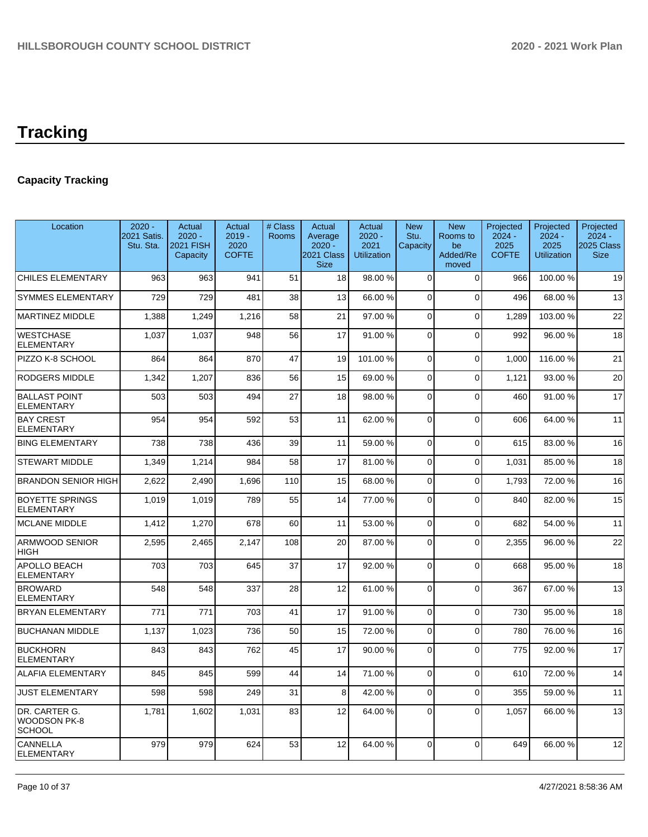# **Tracking**

## **Capacity Tracking**

| Location                                       | $2020 -$<br>2021 Satis.<br>Stu. Sta. | Actual<br>$2020 -$<br>2021 FISH<br>Capacity | Actual<br>$2019 -$<br>2020<br><b>COFTE</b> | # Class<br>Rooms | Actual<br>Average<br>$2020 -$<br>2021 Class<br><b>Size</b> | Actual<br>$2020 -$<br>2021<br><b>Utilization</b> | <b>New</b><br>Stu.<br>Capacity | <b>New</b><br>Rooms to<br>be<br>Added/Re<br>moved | Projected<br>$2024 -$<br>2025<br><b>COFTE</b> | Projected<br>$2024 -$<br>2025<br><b>Utilization</b> | Projected<br>$2024 -$<br>2025 Class<br><b>Size</b> |
|------------------------------------------------|--------------------------------------|---------------------------------------------|--------------------------------------------|------------------|------------------------------------------------------------|--------------------------------------------------|--------------------------------|---------------------------------------------------|-----------------------------------------------|-----------------------------------------------------|----------------------------------------------------|
| <b>CHILES ELEMENTARY</b>                       | 963                                  | 963                                         | 941                                        | 51               | 18                                                         | 98.00 %                                          | $\Omega$                       | $\Omega$                                          | 966                                           | 100.00%                                             | 19                                                 |
| <b>SYMMES ELEMENTARY</b>                       | 729                                  | 729                                         | 481                                        | 38               | 13                                                         | 66.00%                                           | $\Omega$                       | $\Omega$                                          | 496                                           | 68.00 %                                             | 13                                                 |
| <b>MARTINEZ MIDDLE</b>                         | 1,388                                | 1,249                                       | 1,216                                      | 58               | 21                                                         | 97.00 %                                          | $\Omega$                       | $\Omega$                                          | 1,289                                         | 103.00 %                                            | 22                                                 |
| <b>WESTCHASE</b><br><b>ELEMENTARY</b>          | 1,037                                | 1.037                                       | 948                                        | 56               | 17                                                         | 91.00 %                                          | $\Omega$                       | $\Omega$                                          | 992                                           | 96.00 %                                             | 18                                                 |
| PIZZO K-8 SCHOOL                               | 864                                  | 864                                         | 870                                        | 47               | 19                                                         | 101.00%                                          | $\Omega$                       | $\Omega$                                          | 1,000                                         | 116.00%                                             | 21                                                 |
| <b>RODGERS MIDDLE</b>                          | 1.342                                | 1,207                                       | 836                                        | 56               | 15                                                         | 69.00%                                           | $\Omega$                       | $\Omega$                                          | 1.121                                         | 93.00 %                                             | 20                                                 |
| <b>BALLAST POINT</b><br><b>ELEMENTARY</b>      | 503                                  | 503                                         | 494                                        | 27               | 18                                                         | 98.00 %                                          | $\Omega$                       | $\Omega$                                          | 460                                           | 91.00 %                                             | 17                                                 |
| <b>BAY CREST</b><br><b>ELEMENTARY</b>          | 954                                  | 954                                         | 592                                        | 53               | 11                                                         | 62.00%                                           | $\Omega$                       | $\Omega$                                          | 606                                           | 64.00%                                              | 11                                                 |
| <b>BING ELEMENTARY</b>                         | 738                                  | 738                                         | 436                                        | 39               | 11                                                         | 59.00 %                                          | $\Omega$                       | $\Omega$                                          | 615                                           | 83.00 %                                             | 16                                                 |
| <b>STEWART MIDDLE</b>                          | 1,349                                | 1,214                                       | 984                                        | 58               | 17                                                         | 81.00%                                           | $\Omega$                       | $\Omega$                                          | 1,031                                         | 85.00 %                                             | 18                                                 |
| <b>BRANDON SENIOR HIGH</b>                     | 2,622                                | 2,490                                       | 1,696                                      | 110              | 15                                                         | 68.00 %                                          | 0                              | $\Omega$                                          | 1,793                                         | 72.00 %                                             | 16                                                 |
| <b>BOYETTE SPRINGS</b><br><b>ELEMENTARY</b>    | 1,019                                | 1,019                                       | 789                                        | 55               | 14                                                         | 77.00 %                                          | $\Omega$                       | $\Omega$                                          | 840                                           | 82.00%                                              | 15                                                 |
| <b>MCLANE MIDDLE</b>                           | 1,412                                | 1,270                                       | 678                                        | 60               | 11                                                         | 53.00 %                                          | $\mathbf 0$                    | $\mathbf 0$                                       | 682                                           | 54.00 %                                             | 11                                                 |
| <b>ARMWOOD SENIOR</b><br><b>HIGH</b>           | 2,595                                | 2,465                                       | 2.147                                      | 108              | 20                                                         | 87.00%                                           | $\Omega$                       | $\Omega$                                          | 2,355                                         | 96.00 %                                             | 22                                                 |
| APOLLO BEACH<br><b>ELEMENTARY</b>              | 703                                  | 703                                         | 645                                        | 37               | 17                                                         | 92.00 %                                          | $\Omega$                       | $\Omega$                                          | 668                                           | 95.00 %                                             | 18                                                 |
| <b>BROWARD</b><br><b>ELEMENTARY</b>            | 548                                  | 548                                         | 337                                        | 28               | 12                                                         | 61.00%                                           | 0                              | $\mathbf 0$                                       | 367                                           | 67.00 %                                             | 13                                                 |
| <b>BRYAN ELEMENTARY</b>                        | 771                                  | 771                                         | 703                                        | 41               | 17                                                         | 91.00 %                                          | $\Omega$                       | $\Omega$                                          | 730                                           | 95.00 %                                             | 18                                                 |
| <b>BUCHANAN MIDDLE</b>                         | 1,137                                | 1,023                                       | 736                                        | 50               | 15                                                         | 72.00 %                                          | 0                              | $\mathbf 0$                                       | 780                                           | 76.00 %                                             | 16                                                 |
| <b>BUCKHORN</b><br>ELEMENTARY                  | 843                                  | 843                                         | 762                                        | 45               | 17                                                         | 90.00%                                           | $\Omega$                       | $\Omega$                                          | 775                                           | 92.00 %                                             | 17                                                 |
| <b>ALAFIA ELEMENTARY</b>                       | 845                                  | 845                                         | 599                                        | 44               | 14                                                         | 71.00%                                           | $\Omega$                       | $\Omega$                                          | 610                                           | 72.00 %                                             | 14                                                 |
| <b>JUST ELEMENTARY</b>                         | 598                                  | 598                                         | 249                                        | 31               | 8                                                          | 42.00 %                                          | $\Omega$                       | $\Omega$                                          | 355                                           | 59.00 %                                             | 11                                                 |
| DR. CARTER G.<br>WOODSON PK-8<br><b>SCHOOL</b> | 1,781                                | 1,602                                       | 1,031                                      | 83               | 12                                                         | 64.00%                                           | $\Omega$                       | $\Omega$                                          | 1.057                                         | 66.00 %                                             | 13                                                 |
| CANNELLA<br><b>ELEMENTARY</b>                  | 979                                  | 979                                         | 624                                        | 53               | 12                                                         | 64.00%                                           | $\Omega$                       | $\Omega$                                          | 649                                           | 66.00 %                                             | 12                                                 |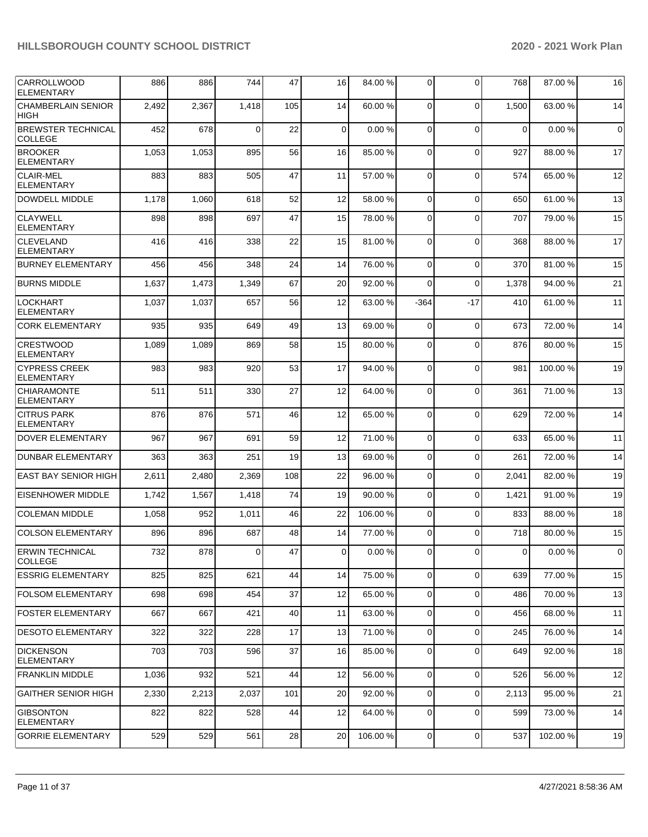| CARROLLWOOD<br><b>ELEMENTARY</b>          | 886   | 886   | 744      | 47  | 16             | 84.00 % | 0              | $\Omega$    | 768            | 87.00 %  | 16 |
|-------------------------------------------|-------|-------|----------|-----|----------------|---------|----------------|-------------|----------------|----------|----|
| <b>CHAMBERLAIN SENIOR</b><br><b>HIGH</b>  | 2,492 | 2,367 | 1,418    | 105 | 14             | 60.00 % | $\mathbf 0$    | $\Omega$    | 1,500          | 63.00 %  | 14 |
| <b>BREWSTER TECHNICAL</b><br>COLLEGE      | 452   | 678   | $\Omega$ | 22  | $\mathbf 0$    | 0.00%   | $\mathbf 0$    | $\Omega$    | 0              | 0.00%    | 0  |
| <b>BROOKER</b><br><b>ELEMENTARY</b>       | 1,053 | 1,053 | 895      | 56  | 16             | 85.00 % | 0              | $\Omega$    | 927            | 88.00 %  | 17 |
| <b>CLAIR-MEL</b><br><b>ELEMENTARY</b>     | 883   | 883   | 505      | 47  | 11             | 57.00 % | $\mathbf 0$    | $\Omega$    | 574            | 65.00 %  | 12 |
| <b>DOWDELL MIDDLE</b>                     | 1,178 | 1,060 | 618      | 52  | 12             | 58.00 % | $\mathbf 0$    | $\Omega$    | 650            | 61.00%   | 13 |
| <b>CLAYWELL</b><br><b>ELEMENTARY</b>      | 898   | 898   | 697      | 47  | 15             | 78.00 % | $\mathbf 0$    | $\Omega$    | 707            | 79.00 %  | 15 |
| <b>CLEVELAND</b><br><b>ELEMENTARY</b>     | 416   | 416   | 338      | 22  | 15             | 81.00 % | 0              | $\Omega$    | 368            | 88.00 %  | 17 |
| <b>BURNEY ELEMENTARY</b>                  | 456   | 456   | 348      | 24  | 14             | 76.00 % | 0              | $\mathbf 0$ | 370            | 81.00%   | 15 |
| <b>BURNS MIDDLE</b>                       | 1,637 | 1,473 | 1,349    | 67  | 20             | 92.00 % | 0              | $\Omega$    | 1,378          | 94.00 %  | 21 |
| <b>LOCKHART</b><br><b>ELEMENTARY</b>      | 1,037 | 1,037 | 657      | 56  | 12             | 63.00 % | $-364$         | $-17$       | 410            | 61.00 %  | 11 |
| <b>CORK ELEMENTARY</b>                    | 935   | 935   | 649      | 49  | 13             | 69.00 % | $\mathbf 0$    | $\Omega$    | 673            | 72.00 %  | 14 |
| <b>CRESTWOOD</b><br><b>ELEMENTARY</b>     | 1,089 | 1,089 | 869      | 58  | 15             | 80.00 % | $\mathbf 0$    | $\Omega$    | 876            | 80.00 %  | 15 |
| <b>CYPRESS CREEK</b><br><b>ELEMENTARY</b> | 983   | 983   | 920      | 53  | 17             | 94.00 % | 0              | $\Omega$    | 981            | 100.00 % | 19 |
| <b>CHIARAMONTE</b><br><b>ELEMENTARY</b>   | 511   | 511   | 330      | 27  | 12             | 64.00 % | 0              | $\Omega$    | 361            | 71.00 %  | 13 |
| <b>CITRUS PARK</b><br><b>ELEMENTARY</b>   | 876   | 876   | 571      | 46  | 12             | 65.00 % | $\mathbf 0$    | $\Omega$    | 629            | 72.00 %  | 14 |
| <b>DOVER ELEMENTARY</b>                   | 967   | 967   | 691      | 59  | 12             | 71.00%  | 0              | $\Omega$    | 633            | 65.00 %  | 11 |
| <b>DUNBAR ELEMENTARY</b>                  | 363   | 363   | 251      | 19  | 13             | 69.00 % | 0              | $\Omega$    | 261            | 72.00 %  | 14 |
| <b>EAST BAY SENIOR HIGH</b>               | 2,611 | 2,480 | 2,369    | 108 | 22             | 96.00 % | 0              | $\Omega$    | 2,041          | 82.00 %  | 19 |
| <b>EISENHOWER MIDDLE</b>                  | 1,742 | 1,567 | 1,418    | 74  | 19             | 90.00 % | 0              | $\Omega$    | 1,421          | 91.00 %  | 19 |
| <b>COLEMAN MIDDLE</b>                     | 1,058 | 952   | 1,011    | 46  | 22             | 106.00% | 0              | $\Omega$    | 833            | 88.00 %  | 18 |
| <b>COLSON ELEMENTARY</b>                  | 896   | 896   | 687      | 48  | 14             | 77.00 % | 0              | $\Omega$    | 718            | 80.00 %  | 15 |
| <b>ERWIN TECHNICAL</b><br><b>COLLEGE</b>  | 732   | 878   | 0        | 47  | $\overline{0}$ | 0.00%   | 0              | 0           | $\overline{0}$ | 0.00%    | 0  |
| <b>ESSRIG ELEMENTARY</b>                  | 825   | 825   | 621      | 44  | 14             | 75.00 % | $\overline{0}$ | $\Omega$    | 639            | 77.00 %  | 15 |
| <b>FOLSOM ELEMENTARY</b>                  | 698   | 698   | 454      | 37  | 12             | 65.00 % | $\overline{0}$ | $\mathbf 0$ | 486            | 70.00%   | 13 |
| <b>FOSTER ELEMENTARY</b>                  | 667   | 667   | 421      | 40  | 11             | 63.00 % | $\overline{0}$ | $\mathbf 0$ | 456            | 68.00 %  | 11 |
| <b>DESOTO ELEMENTARY</b>                  | 322   | 322   | 228      | 17  | 13             | 71.00 % | 0              | $\mathbf 0$ | 245            | 76.00 %  | 14 |
| <b>DICKENSON</b><br><b>ELEMENTARY</b>     | 703   | 703   | 596      | 37  | 16             | 85.00 % | $\mathbf 0$    | $\Omega$    | 649            | 92.00 %  | 18 |
| <b>FRANKLIN MIDDLE</b>                    | 1,036 | 932   | 521      | 44  | 12             | 56.00 % | $\overline{0}$ | $\Omega$    | 526            | 56.00 %  | 12 |
| <b>GAITHER SENIOR HIGH</b>                | 2,330 | 2,213 | 2,037    | 101 | 20             | 92.00%  | $\mathbf 0$    | $\mathbf 0$ | 2,113          | 95.00 %  | 21 |
| <b>GIBSONTON</b><br>ELEMENTARY            | 822   | 822   | 528      | 44  | 12             | 64.00 % | $\mathbf 0$    | $\Omega$    | 599            | 73.00 %  | 14 |
| <b>GORRIE ELEMENTARY</b>                  | 529   | 529   | 561      | 28  | 20             | 106.00% | $\overline{0}$ | 0           | 537            | 102.00%  | 19 |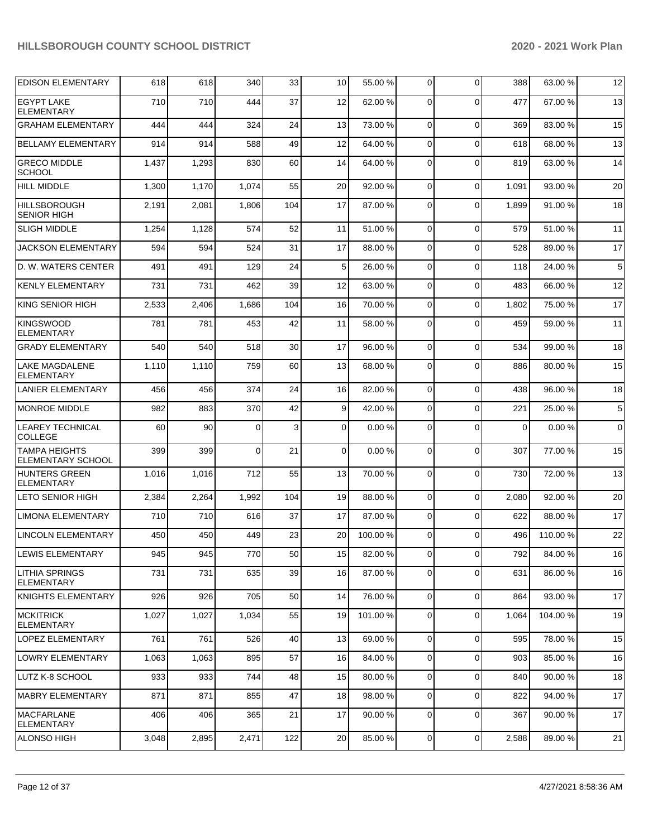| <b>EDISON ELEMENTARY</b>                   | 618   | 618   | 340      | 33  | 10              | 55.00 % | 0              | $\Omega$       | 388         | 63.00 % | 12          |
|--------------------------------------------|-------|-------|----------|-----|-----------------|---------|----------------|----------------|-------------|---------|-------------|
| <b>EGYPT LAKE</b><br><b>ELEMENTARY</b>     | 710   | 710   | 444      | 37  | 12              | 62.00 % | $\Omega$       | $\Omega$       | 477         | 67.00 % | 13          |
| <b>GRAHAM ELEMENTARY</b>                   | 444   | 444   | 324      | 24  | 13              | 73.00 % | 0              | $\Omega$       | 369         | 83.00 % | 15          |
| <b>BELLAMY ELEMENTARY</b>                  | 914   | 914   | 588      | 49  | 12              | 64.00 % | 0              | $\Omega$       | 618         | 68.00 % | 13          |
| <b>GRECO MIDDLE</b><br><b>SCHOOL</b>       | 1,437 | 1,293 | 830      | 60  | 14              | 64.00 % | $\Omega$       | $\Omega$       | 819         | 63.00 % | 14          |
| <b>HILL MIDDLE</b>                         | 1,300 | 1,170 | 1,074    | 55  | 20              | 92.00 % | $\Omega$       | $\Omega$       | 1,091       | 93.00 % | 20          |
| <b>HILLSBOROUGH</b><br><b>SENIOR HIGH</b>  | 2,191 | 2,081 | 1,806    | 104 | 17              | 87.00 % | $\Omega$       | $\Omega$       | 1,899       | 91.00 % | 18          |
| <b>SLIGH MIDDLE</b>                        | 1,254 | 1,128 | 574      | 52  | 11              | 51.00 % | $\Omega$       | $\Omega$       | 579         | 51.00 % | 11          |
| <b>JACKSON ELEMENTARY</b>                  | 594   | 594   | 524      | 31  | 17              | 88.00 % | $\Omega$       | $\Omega$       | 528         | 89.00 % | 17          |
| D. W. WATERS CENTER                        | 491   | 491   | 129      | 24  | 5               | 26.00 % | $\Omega$       | $\Omega$       | 118         | 24.00 % | 5           |
| <b>KENLY ELEMENTARY</b>                    | 731   | 731   | 462      | 39  | 12              | 63.00 % | $\Omega$       | $\Omega$       | 483         | 66.00 % | 12          |
| KING SENIOR HIGH                           | 2,533 | 2,406 | 1,686    | 104 | 16              | 70.00 % | $\Omega$       | $\Omega$       | 1,802       | 75.00 % | 17          |
| <b>KINGSWOOD</b><br><b>ELEMENTARY</b>      | 781   | 781   | 453      | 42  | 11              | 58.00 % | $\Omega$       | $\Omega$       | 459         | 59.00 % | 11          |
| <b>GRADY ELEMENTARY</b>                    | 540   | 540   | 518      | 30  | 17              | 96.00 % | 0              | $\Omega$       | 534         | 99.00 % | 18          |
| <b>LAKE MAGDALENE</b><br><b>ELEMENTARY</b> | 1,110 | 1,110 | 759      | 60  | 13              | 68.00 % | $\Omega$       | $\Omega$       | 886         | 80.00 % | 15          |
| <b>LANIER ELEMENTARY</b>                   | 456   | 456   | 374      | 24  | 16              | 82.00 % | $\Omega$       | $\Omega$       | 438         | 96.00 % | 18          |
| <b>MONROE MIDDLE</b>                       | 982   | 883   | 370      | 42  | 9               | 42.00 % | 0              | $\Omega$       | 221         | 25.00 % | 5           |
| <b>LEAREY TECHNICAL</b><br><b>COLLEGE</b>  | 60    | 90    | $\Omega$ | 3   | 0               | 0.00%   | $\Omega$       | $\Omega$       | $\mathbf 0$ | 0.00%   | $\mathbf 0$ |
| <b>TAMPA HEIGHTS</b><br>ELEMENTARY SCHOOL  | 399   | 399   | $\Omega$ | 21  | $\Omega$        | 0.00%   | $\Omega$       | $\Omega$       | 307         | 77.00 % | 15          |
| <b>HUNTERS GREEN</b><br>ELEMENTARY         | 1,016 | 1,016 | 712      | 55  | 13              | 70.00 % | $\Omega$       | $\Omega$       | 730         | 72.00 % | 13          |
| <b>LETO SENIOR HIGH</b>                    | 2,384 | 2,264 | 1,992    | 104 | 19              | 88.00 % | $\Omega$       | $\Omega$       | 2,080       | 92.00 % | 20          |
| <b>LIMONA ELEMENTARY</b>                   | 710   | 710   | 616      | 37  | 17              | 87.00 % | 0              | $\Omega$       | 622         | 88.00 % | 17          |
| <b>LINCOLN ELEMENTARY</b>                  | 450   | 450   | 449      | 23  | 20              | 100.00% | 0              | $\Omega$       | 496         | 110.00% | 22          |
| LEWIS ELEMENTARY                           | 945   | 945   | 770      | 50  | 15 <sup>1</sup> | 82.00%  | $\overline{0}$ | $\overline{0}$ | 792         | 84.00 % | 16          |
| <b>LITHIA SPRINGS</b><br><b>ELEMENTARY</b> | 731   | 731   | 635      | 39  | 16              | 87.00 % | 0              | $\Omega$       | 631         | 86.00 % | 16          |
| KNIGHTS ELEMENTARY                         | 926   | 926   | 705      | 50  | 14              | 76.00 % | 0              | $\Omega$       | 864         | 93.00 % | 17          |
| MCKITRICK<br><b>ELEMENTARY</b>             | 1,027 | 1,027 | 1,034    | 55  | 19              | 101.00% | 0              | $\Omega$       | 1,064       | 104.00% | 19          |
| <b>LOPEZ ELEMENTARY</b>                    | 761   | 761   | 526      | 40  | 13              | 69.00 % | $\mathbf 0$    | $\Omega$       | 595         | 78.00 % | 15          |
| <b>LOWRY ELEMENTARY</b>                    | 1,063 | 1,063 | 895      | 57  | 16              | 84.00 % | 0              | $\mathbf 0$    | 903         | 85.00 % | 16          |
| LUTZ K-8 SCHOOL                            | 933   | 933   | 744      | 48  | 15              | 80.00 % | $\mathbf 0$    | $\mathbf 0$    | 840         | 90.00 % | 18          |
| <b>MABRY ELEMENTARY</b>                    | 871   | 871   | 855      | 47  | 18              | 98.00 % | $\mathbf 0$    | $\mathbf 0$    | 822         | 94.00 % | 17          |
| MACFARLANE<br><b>ELEMENTARY</b>            | 406   | 406   | 365      | 21  | 17              | 90.00 % | 0              | $\Omega$       | 367         | 90.00 % | 17          |
| ALONSO HIGH                                | 3,048 | 2,895 | 2,471    | 122 | 20              | 85.00 % | $\overline{0}$ | $\overline{0}$ | 2,588       | 89.00%  | 21          |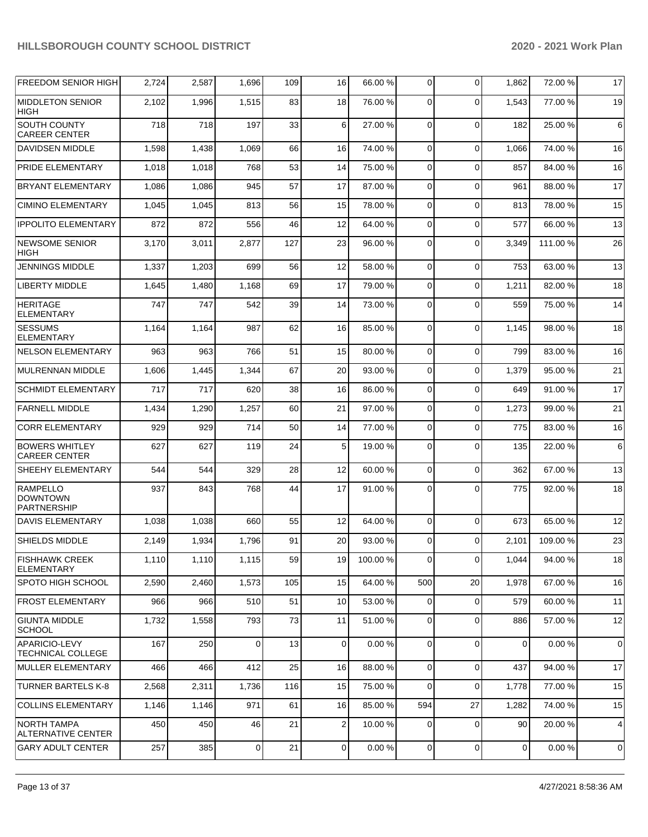| <b>FREEDOM SENIOR HIGH</b>                               | 2,724 | 2,587 | 1,696          | 109 | 16                      | 66.00 %   | 0           | $\Omega$ | 1,862       | 72.00 %   | 17 |
|----------------------------------------------------------|-------|-------|----------------|-----|-------------------------|-----------|-------------|----------|-------------|-----------|----|
| <b>MIDDLETON SENIOR</b><br><b>HIGH</b>                   | 2,102 | 1,996 | 1,515          | 83  | 18                      | 76.00 %   | $\Omega$    | $\Omega$ | 1,543       | 77.00 %   | 19 |
| SOUTH COUNTY<br><b>CAREER CENTER</b>                     | 718   | 718   | 197            | 33  | 6                       | 27.00 %   | $\Omega$    | $\Omega$ | 182         | 25.00 %   | 6  |
| <b>DAVIDSEN MIDDLE</b>                                   | 1,598 | 1,438 | 1,069          | 66  | 16                      | 74.00 %   | $\Omega$    | $\Omega$ | 1,066       | 74.00 %   | 16 |
| PRIDE ELEMENTARY                                         | 1,018 | 1,018 | 768            | 53  | 14                      | 75.00 %   | $\Omega$    | $\Omega$ | 857         | 84.00 %   | 16 |
| <b>BRYANT ELEMENTARY</b>                                 | 1,086 | 1,086 | 945            | 57  | 17                      | 87.00 %   | 0           | $\Omega$ | 961         | 88.00 %   | 17 |
| <b>CIMINO ELEMENTARY</b>                                 | 1,045 | 1,045 | 813            | 56  | 15                      | 78.00 %   | $\Omega$    | $\Omega$ | 813         | 78.00 %   | 15 |
| <b>IPPOLITO ELEMENTARY</b>                               | 872   | 872   | 556            | 46  | 12                      | 64.00%    | $\Omega$    | $\Omega$ | 577         | 66.00 %   | 13 |
| <b>NEWSOME SENIOR</b><br><b>HIGH</b>                     | 3,170 | 3,011 | 2,877          | 127 | 23                      | 96.00 %   | 0           | $\Omega$ | 3,349       | 111.00 %  | 26 |
| JENNINGS MIDDLE                                          | 1,337 | 1,203 | 699            | 56  | 12                      | 58.00 %   | 0           | $\Omega$ | 753         | 63.00 %   | 13 |
| LIBERTY MIDDLE                                           | 1,645 | 1,480 | 1,168          | 69  | 17                      | 79.00 %   | 0           | $\Omega$ | 1,211       | 82.00 %   | 18 |
| <b>HERITAGE</b><br><b>ELEMENTARY</b>                     | 747   | 747   | 542            | 39  | 14                      | 73.00 %   | $\Omega$    | $\Omega$ | 559         | 75.00 %   | 14 |
| <b>SESSUMS</b><br><b>ELEMENTARY</b>                      | 1,164 | 1,164 | 987            | 62  | 16                      | 85.00 %   | $\Omega$    | $\Omega$ | 1,145       | 98.00 %   | 18 |
| <b>NELSON ELEMENTARY</b>                                 | 963   | 963   | 766            | 51  | 15                      | 80.00 %   | $\Omega$    | $\Omega$ | 799         | 83.00 %   | 16 |
| <b>MULRENNAN MIDDLE</b>                                  | 1,606 | 1,445 | 1,344          | 67  | 20                      | 93.00 %   | $\Omega$    | $\Omega$ | 1,379       | 95.00 %   | 21 |
| <b>SCHMIDT ELEMENTARY</b>                                | 717   | 717   | 620            | 38  | 16                      | 86.00 %   | 0           | $\Omega$ | 649         | 91.00 %   | 17 |
| <b>FARNELL MIDDLE</b>                                    | 1,434 | 1,290 | 1,257          | 60  | 21                      | 97.00 %   | $\Omega$    | $\Omega$ | 1,273       | 99.00 %   | 21 |
| <b>CORR ELEMENTARY</b>                                   | 929   | 929   | 714            | 50  | 14                      | 77.00 %   | $\Omega$    | $\Omega$ | 775         | 83.00 %   | 16 |
| <b>BOWERS WHITLEY</b><br><b>CAREER CENTER</b>            | 627   | 627   | 119            | 24  | 5                       | 19.00 %   | 0           | $\Omega$ | 135         | 22.00 %   | 6  |
| SHEEHY ELEMENTARY                                        | 544   | 544   | 329            | 28  | 12                      | 60.00 %   | 0           | $\Omega$ | 362         | 67.00 %   | 13 |
| <b>RAMPELLO</b><br><b>DOWNTOWN</b><br><b>PARTNERSHIP</b> | 937   | 843   | 768            | 44  | 17                      | 91.00 %   | $\Omega$    | $\Omega$ | 775         | 92.00 %   | 18 |
| <b>DAVIS ELEMENTARY</b>                                  | 1,038 | 1,038 | 660            | 55  | 12                      | 64.00 %   | 0           | $\Omega$ | 673         | 65.00 %   | 12 |
| <b>SHIELDS MIDDLE</b>                                    | 2,149 | 1,934 | 1,796          | 91  | 20                      | 93.00 %   | 0           | $\Omega$ | 2,101       | 109.00%   | 23 |
| <b>FISHHAWK CREEK</b><br><b>ELEMENTARY</b>               | 1,110 | 1,110 | 1,115          | 59  | 19                      | 100.00%   | 0           | $\Omega$ | 1,044       | 94.00 %   | 18 |
| SPOTO HIGH SCHOOL                                        | 2,590 | 2,460 | 1,573          | 105 | 15                      | 64.00 %   | 500         | 20       | 1,978       | 67.00 %   | 16 |
| <b>FROST ELEMENTARY</b>                                  | 966   | 966   | 510            | 51  | 10                      | 53.00 %   | $\Omega$    | $\Omega$ | 579         | 60.00 %   | 11 |
| <b>GIUNTA MIDDLE</b><br><b>SCHOOL</b>                    | 1,732 | 1,558 | 793            | 73  | 11                      | 51.00 %   | $\Omega$    | $\Omega$ | 886         | 57.00 %   | 12 |
| APARICIO-LEVY<br>TECHNICAL COLLEGE                       | 167   | 250   | 0              | 13  | 0                       | 0.00%     | $\mathbf 0$ | $\Omega$ | $\mathbf 0$ | 0.00%     | 0  |
| MULLER ELEMENTARY                                        | 466   | 466   | 412            | 25  | 16                      | 88.00 %   | $\mathbf 0$ | $\Omega$ | 437         | 94.00 %   | 17 |
| <b>TURNER BARTELS K-8</b>                                | 2,568 | 2,311 | 1,736          | 116 | 15                      | 75.00 %   | 0           | $\Omega$ | 1,778       | 77.00 %   | 15 |
| <b>COLLINS ELEMENTARY</b>                                | 1,146 | 1,146 | 971            | 61  | 16                      | 85.00 %   | 594         | 27       | 1,282       | 74.00 %   | 15 |
| <b>NORTH TAMPA</b><br><b>ALTERNATIVE CENTER</b>          | 450   | 450   | 46             | 21  | $\overline{\mathbf{c}}$ | 10.00 %   | 0           | $\Omega$ | 90          | 20.00 %   | 4  |
| <b>GARY ADULT CENTER</b>                                 | 257   | 385   | $\overline{0}$ | 21  | 0                       | $0.00 \%$ | 0           | 0        | $\mathbf 0$ | $0.00 \%$ | 0  |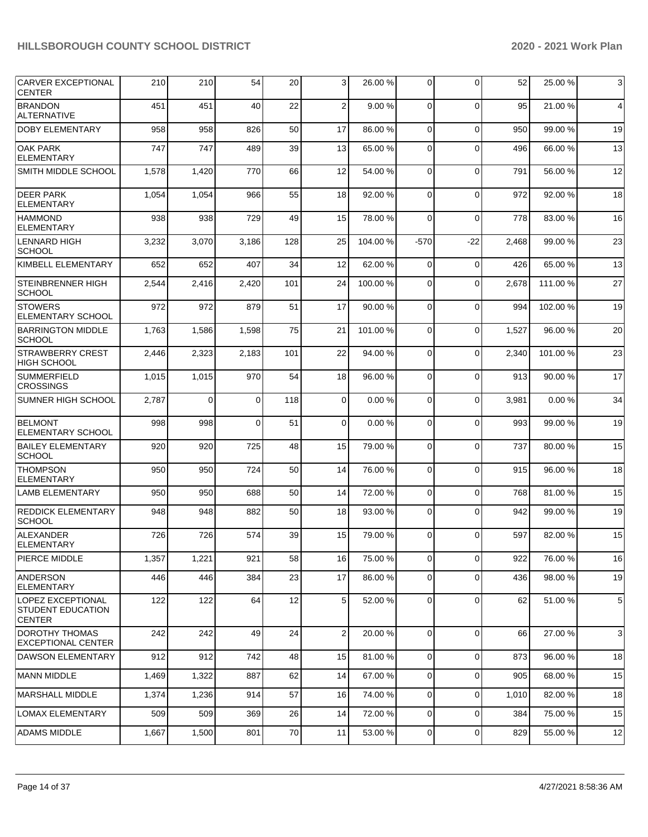| <b>CARVER EXCEPTIONAL</b><br><b>CENTER</b>              | 210   | 210   | 54       | 20  | 3                | 26.00 % | 0              | $\Omega$    | 52    | 25.00 %  | 3  |
|---------------------------------------------------------|-------|-------|----------|-----|------------------|---------|----------------|-------------|-------|----------|----|
| <b>BRANDON</b><br><b>ALTERNATIVE</b>                    | 451   | 451   | 40       | 22  | $\overline{2}$   | 9.00%   | $\Omega$       | $\Omega$    | 95    | 21.00 %  | 4  |
| <b>DOBY ELEMENTARY</b>                                  | 958   | 958   | 826      | 50  | 17               | 86.00 % | $\Omega$       | $\Omega$    | 950   | 99.00 %  | 19 |
| <b>OAK PARK</b><br><b>ELEMENTARY</b>                    | 747   | 747   | 489      | 39  | 13               | 65.00 % | $\Omega$       | $\Omega$    | 496   | 66.00 %  | 13 |
| SMITH MIDDLE SCHOOL                                     | 1,578 | 1,420 | 770      | 66  | 12               | 54.00 % | 0              | $\Omega$    | 791   | 56.00 %  | 12 |
| <b>DEER PARK</b><br><b>ELEMENTARY</b>                   | 1,054 | 1,054 | 966      | 55  | 18               | 92.00 % | $\Omega$       | $\Omega$    | 972   | 92.00 %  | 18 |
| <b>HAMMOND</b><br><b>ELEMENTARY</b>                     | 938   | 938   | 729      | 49  | 15               | 78.00 % | $\Omega$       | $\Omega$    | 778   | 83.00 %  | 16 |
| LENNARD HIGH<br><b>SCHOOL</b>                           | 3,232 | 3,070 | 3,186    | 128 | 25               | 104.00% | $-570$         | -22         | 2,468 | 99.00 %  | 23 |
| KIMBELL ELEMENTARY                                      | 652   | 652   | 407      | 34  | 12               | 62.00 % | $\Omega$       | $\Omega$    | 426   | 65.00 %  | 13 |
| <b>STEINBRENNER HIGH</b><br><b>SCHOOL</b>               | 2,544 | 2,416 | 2,420    | 101 | 24               | 100.00% | $\Omega$       | $\Omega$    | 2,678 | 111.00 % | 27 |
| <b>STOWERS</b><br><b>ELEMENTARY SCHOOL</b>              | 972   | 972   | 879      | 51  | 17               | 90.00 % | 0              | $\Omega$    | 994   | 102.00%  | 19 |
| <b>BARRINGTON MIDDLE</b><br><b>SCHOOL</b>               | 1,763 | 1,586 | 1,598    | 75  | 21               | 101.00% | $\Omega$       | $\Omega$    | 1,527 | 96.00 %  | 20 |
| <b>STRAWBERRY CREST</b><br><b>HIGH SCHOOL</b>           | 2,446 | 2,323 | 2,183    | 101 | 22               | 94.00 % | $\Omega$       | $\Omega$    | 2,340 | 101.00%  | 23 |
| <b>SUMMERFIELD</b><br><b>CROSSINGS</b>                  | 1,015 | 1,015 | 970      | 54  | 18               | 96.00 % | $\Omega$       | $\Omega$    | 913   | 90.00 %  | 17 |
| SUMNER HIGH SCHOOL                                      | 2,787 | 0     | $\Omega$ | 118 | $\overline{0}$   | 0.00%   | 0              | $\Omega$    | 3,981 | 0.00%    | 34 |
| <b>BELMONT</b><br><b>ELEMENTARY SCHOOL</b>              | 998   | 998   | $\Omega$ | 51  | $\mathbf 0$      | 0.00%   | $\Omega$       | $\Omega$    | 993   | 99.00 %  | 19 |
| <b>BAILEY ELEMENTARY</b><br><b>SCHOOL</b>               | 920   | 920   | 725      | 48  | 15               | 79.00 % | $\mathbf 0$    | $\Omega$    | 737   | 80.00 %  | 15 |
| <b>THOMPSON</b><br><b>ELEMENTARY</b>                    | 950   | 950   | 724      | 50  | 14               | 76.00 % | $\Omega$       | $\Omega$    | 915   | 96.00 %  | 18 |
| <b>LAMB ELEMENTARY</b>                                  | 950   | 950   | 688      | 50  | 14               | 72.00 % | $\mathbf 0$    | $\Omega$    | 768   | 81.00 %  | 15 |
| <b>REDDICK ELEMENTARY</b><br><b>SCHOOL</b>              | 948   | 948   | 882      | 50  | 18               | 93.00 % | $\Omega$       | $\Omega$    | 942   | 99.00 %  | 19 |
| <b>ALEXANDER</b><br><b>ELEMENTARY</b>                   | 726   | 726   | 574      | 39  | 15               | 79.00 % | $\Omega$       | $\Omega$    | 597   | 82.00 %  | 15 |
| PIERCE MIDDLE                                           | 1,357 | 1,221 | 921      | 58  | 16               | 75.00 % | $\overline{0}$ | $\Omega$    | 922   | 76.00 %  | 16 |
| ANDERSON<br><b>ELEMENTARY</b>                           | 446   | 446   | 384      | 23  | 17               | 86.00 % | 0              | $\Omega$    | 436   | 98.00 %  | 19 |
| LOPEZ EXCEPTIONAL<br>STUDENT EDUCATION<br><b>CENTER</b> | 122   | 122   | 64       | 12  | 5                | 52.00 % | 0              | $\Omega$    | 62    | 51.00 %  | 5  |
| DOROTHY THOMAS<br><b>EXCEPTIONAL CENTER</b>             | 242   | 242   | 49       | 24  | $\boldsymbol{2}$ | 20.00 % | $\overline{0}$ | $\Omega$    | 66    | 27.00 %  | 3  |
| <b>DAWSON ELEMENTARY</b>                                | 912   | 912   | 742      | 48  | 15               | 81.00 % | $\overline{0}$ | $\mathbf 0$ | 873   | 96.00 %  | 18 |
| <b>MANN MIDDLE</b>                                      | 1,469 | 1,322 | 887      | 62  | 14               | 67.00 % | $\overline{0}$ | $\mathbf 0$ | 905   | 68.00 %  | 15 |
| <b>MARSHALL MIDDLE</b>                                  | 1,374 | 1,236 | 914      | 57  | 16               | 74.00 % | $\overline{0}$ | $\mathbf 0$ | 1,010 | 82.00 %  | 18 |
| <b>LOMAX ELEMENTARY</b>                                 | 509   | 509   | 369      | 26  | 14               | 72.00 % | $\overline{0}$ | $\Omega$    | 384   | 75.00 %  | 15 |
| <b>ADAMS MIDDLE</b>                                     | 1,667 | 1,500 | 801      | 70  | 11               | 53.00 % | $\mathbf 0$    | 0           | 829   | 55.00 %  | 12 |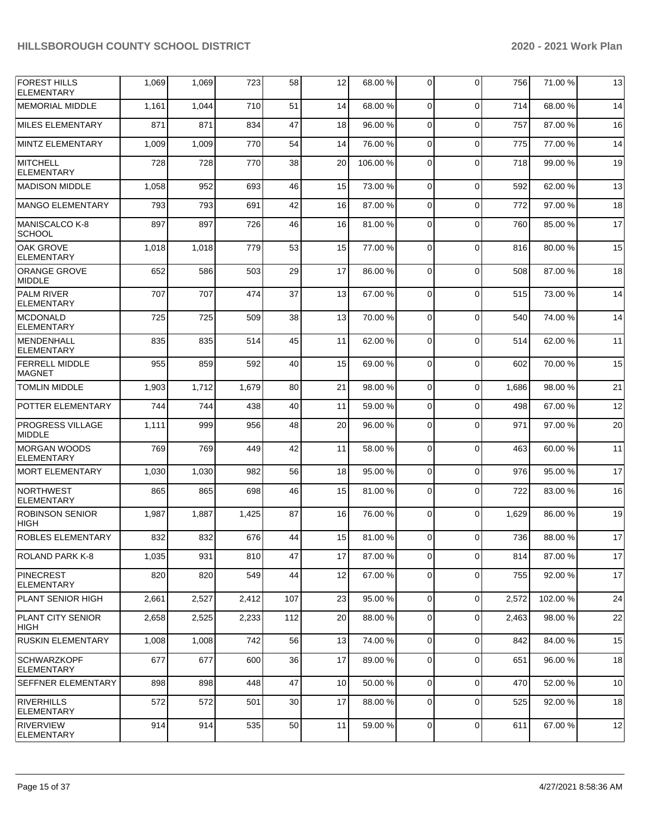| <b>FOREST HILLS</b><br><b>ELEMENTARY</b> | 1,069 | 1,069 | 723   | 58  | 12 | 68.00 % | 0              | $\Omega$       | 756   | 71.00 % | 13 |
|------------------------------------------|-------|-------|-------|-----|----|---------|----------------|----------------|-------|---------|----|
| <b>MEMORIAL MIDDLE</b>                   | 1,161 | 1,044 | 710   | 51  | 14 | 68.00 % | $\Omega$       | $\Omega$       | 714   | 68.00 % | 14 |
| <b>MILES ELEMENTARY</b>                  | 871   | 871   | 834   | 47  | 18 | 96.00 % | 0              | $\Omega$       | 757   | 87.00 % | 16 |
| <b>MINTZ ELEMENTARY</b>                  | 1,009 | 1,009 | 770   | 54  | 14 | 76.00 % | 0              | $\Omega$       | 775   | 77.00 % | 14 |
| <b>MITCHELL</b><br><b>ELEMENTARY</b>     | 728   | 728   | 770   | 38  | 20 | 106.00% | $\Omega$       | $\Omega$       | 718   | 99.00 % | 19 |
| <b>MADISON MIDDLE</b>                    | 1,058 | 952   | 693   | 46  | 15 | 73.00 % | $\mathbf 0$    | $\Omega$       | 592   | 62.00 % | 13 |
| <b>MANGO ELEMENTARY</b>                  | 793   | 793   | 691   | 42  | 16 | 87.00 % | $\Omega$       | $\Omega$       | 772   | 97.00 % | 18 |
| <b>MANISCALCO K-8</b><br><b>SCHOOL</b>   | 897   | 897   | 726   | 46  | 16 | 81.00%  | 0              | $\Omega$       | 760   | 85.00 % | 17 |
| <b>OAK GROVE</b><br><b>ELEMENTARY</b>    | 1,018 | 1,018 | 779   | 53  | 15 | 77.00 % | 0              | $\Omega$       | 816   | 80.00 % | 15 |
| <b>ORANGE GROVE</b><br><b>MIDDLE</b>     | 652   | 586   | 503   | 29  | 17 | 86.00 % | $\Omega$       | $\Omega$       | 508   | 87.00 % | 18 |
| <b>PALM RIVER</b><br><b>ELEMENTARY</b>   | 707   | 707   | 474   | 37  | 13 | 67.00 % | 0              | $\Omega$       | 515   | 73.00 % | 14 |
| <b>MCDONALD</b><br><b>ELEMENTARY</b>     | 725   | 725   | 509   | 38  | 13 | 70.00%  | $\Omega$       | $\Omega$       | 540   | 74.00 % | 14 |
| <b>MENDENHALL</b><br><b>ELEMENTARY</b>   | 835   | 835   | 514   | 45  | 11 | 62.00%  | $\Omega$       | $\Omega$       | 514   | 62.00%  | 11 |
| <b>FERRELL MIDDLE</b><br><b>MAGNET</b>   | 955   | 859   | 592   | 40  | 15 | 69.00 % | $\Omega$       | $\Omega$       | 602   | 70.00 % | 15 |
| <b>TOMLIN MIDDLE</b>                     | 1,903 | 1,712 | 1,679 | 80  | 21 | 98.00 % | $\overline{0}$ | $\Omega$       | 1,686 | 98.00 % | 21 |
| POTTER ELEMENTARY                        | 744   | 744   | 438   | 40  | 11 | 59.00 % | 0              | $\Omega$       | 498   | 67.00 % | 12 |
| <b>PROGRESS VILLAGE</b><br><b>MIDDLE</b> | 1,111 | 999   | 956   | 48  | 20 | 96.00 % | 0              | $\Omega$       | 971   | 97.00 % | 20 |
| <b>MORGAN WOODS</b><br><b>ELEMENTARY</b> | 769   | 769   | 449   | 42  | 11 | 58.00 % | $\Omega$       | $\Omega$       | 463   | 60.00 % | 11 |
| <b>MORT ELEMENTARY</b>                   | 1,030 | 1,030 | 982   | 56  | 18 | 95.00 % | 0              | $\Omega$       | 976   | 95.00 % | 17 |
| <b>NORTHWEST</b><br><b>ELEMENTARY</b>    | 865   | 865   | 698   | 46  | 15 | 81.00%  | 0              | $\Omega$       | 722   | 83.00 % | 16 |
| <b>ROBINSON SENIOR</b><br><b>HIGH</b>    | 1,987 | 1,887 | 1,425 | 87  | 16 | 76.00 % | 0              | $\Omega$       | 1,629 | 86.00 % | 19 |
| ROBLES ELEMENTARY                        | 832   | 832   | 676   | 44  | 15 | 81.00%  | $\Omega$       | $\Omega$       | 736   | 88.00 % | 17 |
| ROLAND PARK K-8                          | 1,035 | 931   | 810   | 47  | 17 | 87.00 % | $\mathbf 0$    | $\overline{0}$ | 814   | 87.00%  | 17 |
| PINECREST<br><b>ELEMENTARY</b>           | 820   | 820   | 549   | 44  | 12 | 67.00 % | $\overline{0}$ | $\Omega$       | 755   | 92.00 % | 17 |
| PLANT SENIOR HIGH                        | 2,661 | 2,527 | 2,412 | 107 | 23 | 95.00 % | $\overline{0}$ | $\Omega$       | 2,572 | 102.00% | 24 |
| <b>PLANT CITY SENIOR</b><br>HIGH         | 2,658 | 2,525 | 2,233 | 112 | 20 | 88.00 % | $\overline{0}$ | $\mathbf 0$    | 2,463 | 98.00 % | 22 |
| <b>RUSKIN ELEMENTARY</b>                 | 1,008 | 1,008 | 742   | 56  | 13 | 74.00 % | $\overline{0}$ | $\Omega$       | 842   | 84.00 % | 15 |
| <b>SCHWARZKOPF</b><br><b>ELEMENTARY</b>  | 677   | 677   | 600   | 36  | 17 | 89.00 % | 0              | $\Omega$       | 651   | 96.00 % | 18 |
| <b>SEFFNER ELEMENTARY</b>                | 898   | 898   | 448   | 47  | 10 | 50.00 % | $\overline{0}$ | $\mathbf 0$    | 470   | 52.00 % | 10 |
| RIVERHILLS<br>ELEMENTARY                 | 572   | 572   | 501   | 30  | 17 | 88.00%  | 0              | $\Omega$       | 525   | 92.00 % | 18 |
| RIVERVIEW<br>ELEMENTARY                  | 914   | 914   | 535   | 50  | 11 | 59.00 % | $\mathbf 0$    | $\mathbf 0$    | 611   | 67.00 % | 12 |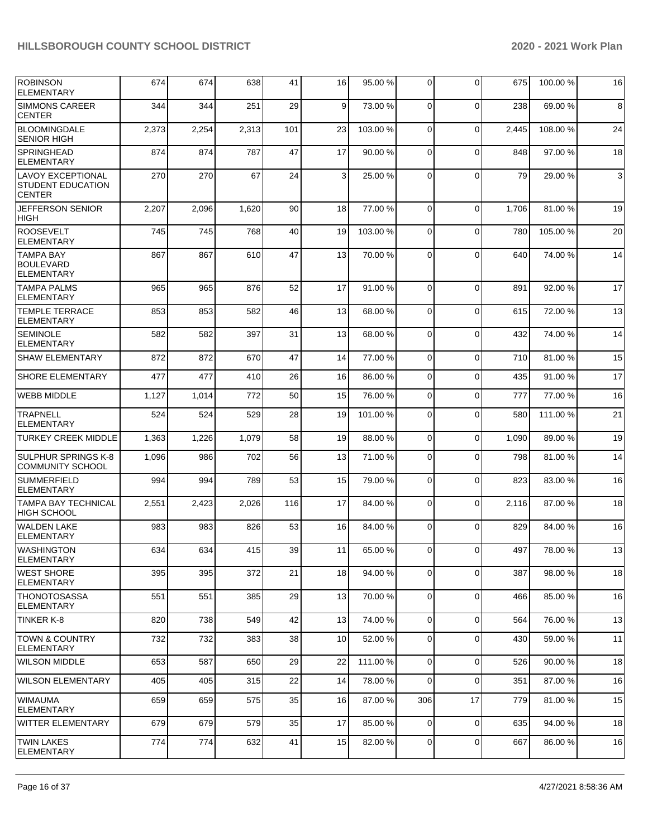| <b>ROBINSON</b><br><b>ELEMENTARY</b>                                  | 674   | 674   | 638   | 41  | 16 | 95.00 %  | $\mathbf 0$    | $\Omega$       | 675   | 100.00%  | 16 |
|-----------------------------------------------------------------------|-------|-------|-------|-----|----|----------|----------------|----------------|-------|----------|----|
| <b>SIMMONS CAREER</b><br><b>CENTER</b>                                | 344   | 344   | 251   | 29  | 9  | 73.00 %  | $\mathbf 0$    | $\Omega$       | 238   | 69.00 %  | 8  |
| BLOOMINGDALE<br><b>SENIOR HIGH</b>                                    | 2,373 | 2,254 | 2,313 | 101 | 23 | 103.00%  | $\mathbf 0$    | $\Omega$       | 2,445 | 108.00%  | 24 |
| <b>SPRINGHEAD</b><br><b>ELEMENTARY</b>                                | 874   | 874   | 787   | 47  | 17 | 90.00 %  | 0              | $\Omega$       | 848   | 97.00 %  | 18 |
| <b>LAVOY EXCEPTIONAL</b><br><b>STUDENT EDUCATION</b><br><b>CENTER</b> | 270   | 270   | 67    | 24  | 3  | 25.00 %  | $\Omega$       | $\Omega$       | 79    | 29.00 %  | 3  |
| <b>JEFFERSON SENIOR</b><br><b>HIGH</b>                                | 2,207 | 2,096 | 1,620 | 90  | 18 | 77.00 %  | $\Omega$       | $\Omega$       | 1,706 | 81.00 %  | 19 |
| <b>ROOSEVELT</b><br><b>ELEMENTARY</b>                                 | 745   | 745   | 768   | 40  | 19 | 103.00%  | 0              | $\Omega$       | 780   | 105.00 % | 20 |
| <b>TAMPA BAY</b><br><b>BOULEVARD</b><br><b>ELEMENTARY</b>             | 867   | 867   | 610   | 47  | 13 | 70.00 %  | 0              | $\Omega$       | 640   | 74.00 %  | 14 |
| <b>TAMPA PALMS</b><br><b>ELEMENTARY</b>                               | 965   | 965   | 876   | 52  | 17 | 91.00 %  | $\Omega$       | $\Omega$       | 891   | 92.00 %  | 17 |
| <b>TEMPLE TERRACE</b><br><b>ELEMENTARY</b>                            | 853   | 853   | 582   | 46  | 13 | 68.00 %  | 0              | $\Omega$       | 615   | 72.00 %  | 13 |
| <b>SEMINOLE</b><br>ELEMENTARY                                         | 582   | 582   | 397   | 31  | 13 | 68.00 %  | 0              | $\Omega$       | 432   | 74.00 %  | 14 |
| <b>SHAW ELEMENTARY</b>                                                | 872   | 872   | 670   | 47  | 14 | 77.00 %  | $\mathbf 0$    | $\Omega$       | 710   | 81.00 %  | 15 |
| <b>SHORE ELEMENTARY</b>                                               | 477   | 477   | 410   | 26  | 16 | 86.00 %  | $\mathbf 0$    | $\Omega$       | 435   | 91.00%   | 17 |
| <b>WEBB MIDDLE</b>                                                    | 1,127 | 1,014 | 772   | 50  | 15 | 76.00 %  | $\mathbf 0$    | $\Omega$       | 777   | 77.00 %  | 16 |
| <b>TRAPNELL</b><br><b>ELEMENTARY</b>                                  | 524   | 524   | 529   | 28  | 19 | 101.00%  | $\mathbf 0$    | $\Omega$       | 580   | 111.00 % | 21 |
| <b>TURKEY CREEK MIDDLE</b>                                            | 1,363 | 1,226 | 1,079 | 58  | 19 | 88.00 %  | 0              | $\Omega$       | 1,090 | 89.00 %  | 19 |
| <b>SULPHUR SPRINGS K-8</b><br><b>COMMUNITY SCHOOL</b>                 | 1,096 | 986   | 702   | 56  | 13 | 71.00 %  | 0              | $\Omega$       | 798   | 81.00 %  | 14 |
| <b>SUMMERFIELD</b><br><b>ELEMENTARY</b>                               | 994   | 994   | 789   | 53  | 15 | 79.00 %  | $\mathbf 0$    | $\Omega$       | 823   | 83.00 %  | 16 |
| <b>TAMPA BAY TECHNICAL</b><br><b>HIGH SCHOOL</b>                      | 2,551 | 2,423 | 2,026 | 116 | 17 | 84.00 %  | $\mathbf 0$    | $\Omega$       | 2,116 | 87.00 %  | 18 |
| <b>WALDEN LAKE</b><br><b>ELEMENTARY</b>                               | 983   | 983   | 826   | 53  | 16 | 84.00%   | 0              | $\Omega$       | 829   | 84.00 %  | 16 |
| <b>WASHINGTON</b><br>ELEMENTARY                                       | 634   | 634   | 415   | 39  | 11 | 65.00 %  | $\overline{0}$ | $\overline{0}$ | 497   | 78.00 %  | 13 |
| <b>WEST SHORE</b><br>ELEMENTARY                                       | 395   | 395   | 372   | 21  | 18 | 94.00 %  | $\overline{0}$ | $\Omega$       | 387   | 98.00 %  | 18 |
| <b>THONOTOSASSA</b><br><b>ELEMENTARY</b>                              | 551   | 551   | 385   | 29  | 13 | 70.00%   | 0              | $\mathbf 0$    | 466   | 85.00 %  | 16 |
| TINKER K-8                                                            | 820   | 738   | 549   | 42  | 13 | 74.00 %  | $\overline{0}$ | $\mathbf 0$    | 564   | 76.00 %  | 13 |
| <b>TOWN &amp; COUNTRY</b><br><b>ELEMENTARY</b>                        | 732   | 732   | 383   | 38  | 10 | 52.00 %  | $\mathbf 0$    | $\Omega$       | 430   | 59.00 %  | 11 |
| <b>WILSON MIDDLE</b>                                                  | 653   | 587   | 650   | 29  | 22 | 111.00 % | $\mathbf 0$    | $\Omega$       | 526   | 90.00%   | 18 |
| <b>WILSON ELEMENTARY</b>                                              | 405   | 405   | 315   | 22  | 14 | 78.00 %  | $\mathbf 0$    | $\Omega$       | 351   | 87.00 %  | 16 |
| <b>WIMAUMA</b><br><b>ELEMENTARY</b>                                   | 659   | 659   | 575   | 35  | 16 | 87.00 %  | 306            | 17             | 779   | 81.00 %  | 15 |
| WITTER ELEMENTARY                                                     | 679   | 679   | 579   | 35  | 17 | 85.00 %  | 0              | $\mathbf 0$    | 635   | 94.00 %  | 18 |
| <b>TWIN LAKES</b><br><b>ELEMENTARY</b>                                | 774   | 774   | 632   | 41  | 15 | 82.00 %  | 0              | 0              | 667   | 86.00 %  | 16 |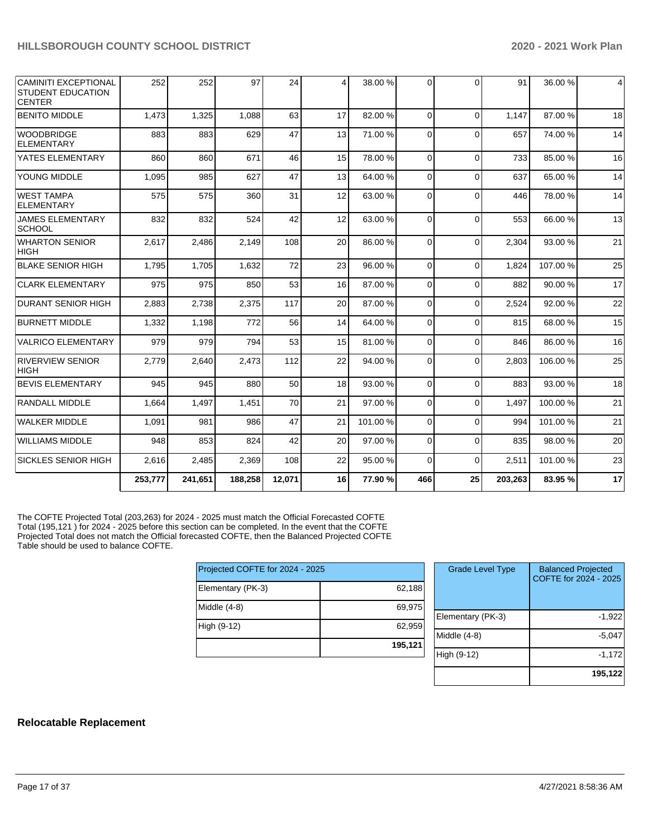| <b>CAMINITI EXCEPTIONAL</b><br>STUDENT EDUCATION<br><b>CENTER</b> | 252     | 252     | 97      | 24     | 4  | 38.00 % | 0              | $\Omega$ | 91      | 36.00 % | 4  |
|-------------------------------------------------------------------|---------|---------|---------|--------|----|---------|----------------|----------|---------|---------|----|
| <b>BENITO MIDDLE</b>                                              | 1,473   | 1,325   | 1,088   | 63     | 17 | 82.00 % | $\Omega$       | $\Omega$ | 1.147   | 87.00 % | 18 |
| <b>WOODBRIDGE</b><br><b>ELEMENTARY</b>                            | 883     | 883     | 629     | 47     | 13 | 71.00 % | $\Omega$       | $\Omega$ | 657     | 74.00 % | 14 |
| YATES ELEMENTARY                                                  | 860     | 860     | 671     | 46     | 15 | 78.00 % | $\overline{0}$ | $\Omega$ | 733     | 85.00 % | 16 |
| YOUNG MIDDLE                                                      | 1,095   | 985     | 627     | 47     | 13 | 64.00%  | $\Omega$       | $\Omega$ | 637     | 65.00 % | 14 |
| <b>WEST TAMPA</b><br><b>ELEMENTARY</b>                            | 575     | 575     | 360     | 31     | 12 | 63.00 % | $\Omega$       | $\Omega$ | 446     | 78.00 % | 14 |
| <b>JAMES ELEMENTARY</b><br><b>SCHOOL</b>                          | 832     | 832     | 524     | 42     | 12 | 63.00 % | $\Omega$       | $\Omega$ | 553     | 66.00 % | 13 |
| <b>WHARTON SENIOR</b><br><b>HIGH</b>                              | 2,617   | 2,486   | 2,149   | 108    | 20 | 86.00 % | 0              | $\Omega$ | 2,304   | 93.00 % | 21 |
| <b>BLAKE SENIOR HIGH</b>                                          | 1,795   | 1,705   | 1,632   | 72     | 23 | 96.00 % | 0              | $\Omega$ | 1,824   | 107.00% | 25 |
| <b>CLARK ELEMENTARY</b>                                           | 975     | 975     | 850     | 53     | 16 | 87.00 % | $\mathbf 0$    | $\Omega$ | 882     | 90.00 % | 17 |
| <b>DURANT SENIOR HIGH</b>                                         | 2,883   | 2,738   | 2,375   | 117    | 20 | 87.00 % | 0              | $\Omega$ | 2,524   | 92.00 % | 22 |
| <b>BURNETT MIDDLE</b>                                             | 1,332   | 1,198   | 772     | 56     | 14 | 64.00%  | $\Omega$       | $\Omega$ | 815     | 68.00 % | 15 |
| <b>VALRICO ELEMENTARY</b>                                         | 979     | 979     | 794     | 53     | 15 | 81.00%  | $\Omega$       | $\Omega$ | 846     | 86.00%  | 16 |
| <b>RIVERVIEW SENIOR</b><br><b>HIGH</b>                            | 2,779   | 2,640   | 2,473   | 112    | 22 | 94.00 % | $\Omega$       | $\Omega$ | 2,803   | 106.00% | 25 |
| <b>BEVIS ELEMENTARY</b>                                           | 945     | 945     | 880     | 50     | 18 | 93.00 % | $\Omega$       | $\Omega$ | 883     | 93.00 % | 18 |
| <b>RANDALL MIDDLE</b>                                             | 1,664   | 1,497   | 1,451   | 70     | 21 | 97.00 % | $\Omega$       | $\Omega$ | 1,497   | 100.00% | 21 |
| <b>WALKER MIDDLE</b>                                              | 1,091   | 981     | 986     | 47     | 21 | 101.00% | $\overline{0}$ | $\Omega$ | 994     | 101.00% | 21 |
| <b>WILLIAMS MIDDLE</b>                                            | 948     | 853     | 824     | 42     | 20 | 97.00%  | $\Omega$       | $\Omega$ | 835     | 98.00 % | 20 |
| <b>SICKLES SENIOR HIGH</b>                                        | 2,616   | 2,485   | 2,369   | 108    | 22 | 95.00 % | $\mathbf 0$    | $\Omega$ | 2,511   | 101.00% | 23 |
|                                                                   | 253,777 | 241,651 | 188,258 | 12,071 | 16 | 77.90 % | 466            | 25       | 203,263 | 83.95 % | 17 |

The COFTE Projected Total (203,263) for 2024 - 2025 must match the Official Forecasted COFTE Total (195,121 ) for 2024 - 2025 before this section can be completed. In the event that the COFTE Projected Total does not match the Official forecasted COFTE, then the Balanced Projected COFTE Table should be used to balance COFTE.

| Projected COFTE for 2024 - 2025 |         |
|---------------------------------|---------|
| Elementary (PK-3)               | 62,188  |
| Middle $(4-8)$                  | 69,975  |
| High (9-12)                     | 62,959  |
|                                 | 195,121 |

| <b>Grade Level Type</b> | <b>Balanced Projected</b><br>COFTE for 2024 - 2025 |
|-------------------------|----------------------------------------------------|
| Elementary (PK-3)       | $-1,922$                                           |
| Middle $(4-8)$          | $-5,047$                                           |
| High (9-12)             | $-1,172$                                           |
|                         | 195,122                                            |

### **Relocatable Replacement**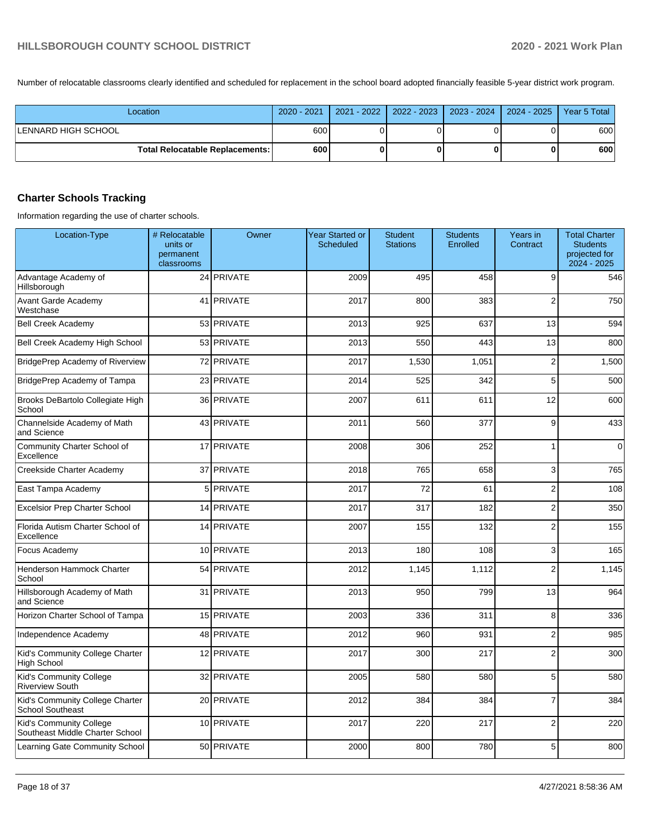Number of relocatable classrooms clearly identified and scheduled for replacement in the school board adopted financially feasible 5-year district work program.

| Location                                 | 2020 - 2021 | 2021 - 2022 |  | 2022 - 2023   2023 - 2024   2024 - 2025 | Year 5 Total |
|------------------------------------------|-------------|-------------|--|-----------------------------------------|--------------|
| ILENNARD HIGH SCHOOL                     | 600         |             |  |                                         | 600          |
| <b>Total Relocatable Replacements: I</b> | 600         |             |  |                                         | 600          |

## **Charter Schools Tracking**

Information regarding the use of charter schools.

| Location-Type                                              | # Relocatable<br>units or<br>permanent<br>classrooms | Owner          | <b>Year Started or</b><br>Scheduled | <b>Student</b><br><b>Stations</b> | <b>Students</b><br>Enrolled | Years in<br>Contract | <b>Total Charter</b><br><b>Students</b><br>projected for<br>2024 - 2025 |
|------------------------------------------------------------|------------------------------------------------------|----------------|-------------------------------------|-----------------------------------|-----------------------------|----------------------|-------------------------------------------------------------------------|
| Advantage Academy of<br>Hillsborough                       |                                                      | 24 PRIVATE     | 2009                                | 495                               | 458                         | 9                    | 546                                                                     |
| Avant Garde Academy<br>Westchase                           |                                                      | 41 PRIVATE     | 2017                                | 800                               | 383                         | $\overline{2}$       | 750                                                                     |
| <b>Bell Creek Academy</b>                                  |                                                      | 53 PRIVATE     | 2013                                | 925                               | 637                         | 13                   | 594                                                                     |
| Bell Creek Academy High School                             |                                                      | 53 PRIVATE     | 2013                                | 550                               | 443                         | 13                   | 800                                                                     |
| BridgePrep Academy of Riverview                            |                                                      | 72 PRIVATE     | 2017                                | 1,530                             | 1,051                       | $\overline{2}$       | 1,500                                                                   |
| BridgePrep Academy of Tampa                                |                                                      | 23 PRIVATE     | 2014                                | 525                               | 342                         | 5                    | 500                                                                     |
| Brooks DeBartolo Collegiate High<br>School                 |                                                      | 36 PRIVATE     | 2007                                | 611                               | 611                         | 12                   | 600                                                                     |
| Channelside Academy of Math<br>and Science                 |                                                      | 43 PRIVATE     | 2011                                | 560                               | 377                         | 9                    | 433                                                                     |
| Community Charter School of<br>Excellence                  |                                                      | 17 PRIVATE     | 2008                                | 306                               | 252                         | 1                    | $\mathbf 0$                                                             |
| Creekside Charter Academy                                  |                                                      | 37 PRIVATE     | 2018                                | 765                               | 658                         | 3                    | 765                                                                     |
| East Tampa Academy                                         | 5 <sup>1</sup>                                       | <b>PRIVATE</b> | 2017                                | 72                                | 61                          | $\overline{2}$       | 108                                                                     |
| <b>Excelsior Prep Charter School</b>                       | 14                                                   | <b>PRIVATE</b> | 2017                                | 317                               | 182                         | $\overline{2}$       | 350                                                                     |
| Florida Autism Charter School of<br>Excellence             |                                                      | 14 PRIVATE     | 2007                                | 155                               | 132                         | $\overline{2}$       | 155                                                                     |
| Focus Academy                                              |                                                      | 10 PRIVATE     | 2013                                | 180                               | 108                         | 3                    | 165                                                                     |
| Henderson Hammock Charter<br>School                        |                                                      | 54 PRIVATE     | 2012                                | 1,145                             | 1,112                       | $\overline{2}$       | 1,145                                                                   |
| Hillsborough Academy of Math<br>and Science                |                                                      | 31 PRIVATE     | 2013                                | 950                               | 799                         | 13                   | 964                                                                     |
| Horizon Charter School of Tampa                            |                                                      | 15 PRIVATE     | 2003                                | 336                               | 311                         | 8                    | 336                                                                     |
| Independence Academy                                       |                                                      | 48 PRIVATE     | 2012                                | 960                               | 931                         | $\overline{2}$       | 985                                                                     |
| Kid's Community College Charter<br><b>High School</b>      |                                                      | 12 PRIVATE     | 2017                                | 300                               | 217                         | $\overline{2}$       | 300                                                                     |
| Kid's Community College<br>Riverview South                 |                                                      | 32 PRIVATE     | 2005                                | 580                               | 580                         | 5                    | 580                                                                     |
| Kid's Community College Charter<br><b>School Southeast</b> |                                                      | 20 PRIVATE     | 2012                                | 384                               | 384                         | $\overline{7}$       | 384                                                                     |
| Kid's Community College<br>Southeast Middle Charter School |                                                      | 10 PRIVATE     | 2017                                | 220                               | 217                         | $\overline{2}$       | 220                                                                     |
| Learning Gate Community School                             |                                                      | 50 PRIVATE     | 2000                                | 800                               | 780                         | 5                    | 800                                                                     |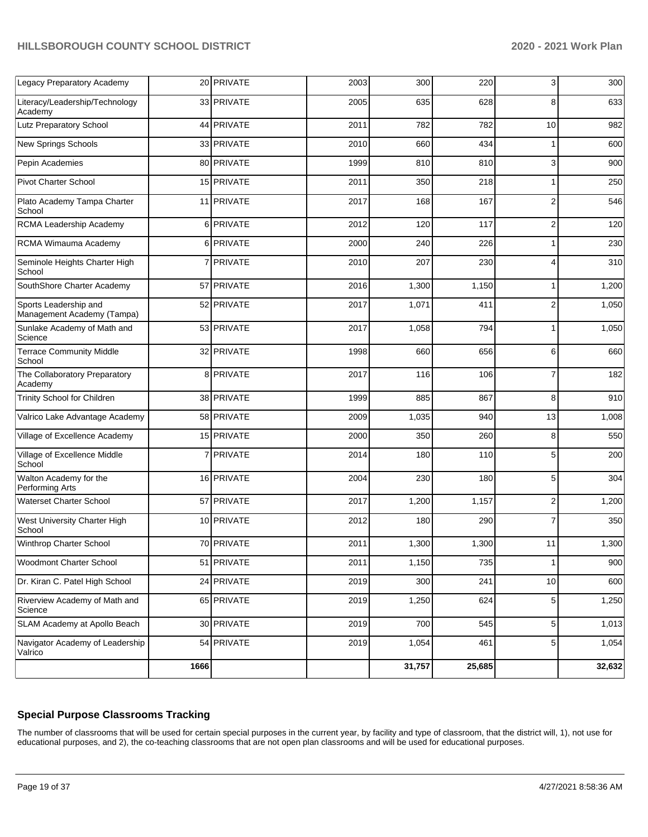| Legacy Preparatory Academy                          |                | 20 PRIVATE | 2003 | 300    | 220    | 3              | 300    |
|-----------------------------------------------------|----------------|------------|------|--------|--------|----------------|--------|
| Literacy/Leadership/Technology<br>Academy           |                | 33 PRIVATE | 2005 | 635    | 628    | 8              | 633    |
| Lutz Preparatory School                             |                | 44 PRIVATE | 2011 | 782    | 782    | 10             | 982    |
| New Springs Schools                                 |                | 33 PRIVATE | 2010 | 660    | 434    | 1              | 600    |
| Pepin Academies                                     |                | 80 PRIVATE | 1999 | 810    | 810    | 3              | 900    |
| <b>Pivot Charter School</b>                         |                | 15 PRIVATE | 2011 | 350    | 218    | 1              | 250    |
| Plato Academy Tampa Charter<br>School               |                | 11 PRIVATE | 2017 | 168    | 167    | $\overline{c}$ | 546    |
| RCMA Leadership Academy                             | 6              | PRIVATE    | 2012 | 120    | 117    | $\overline{2}$ | 120    |
| RCMA Wimauma Academy                                | 61             | PRIVATE    | 2000 | 240    | 226    | 1              | 230    |
| Seminole Heights Charter High<br>School             | 7              | PRIVATE    | 2010 | 207    | 230    | 4              | 310    |
| SouthShore Charter Academy                          |                | 57 PRIVATE | 2016 | 1,300  | 1,150  | $\mathbf{1}$   | 1,200  |
| Sports Leadership and<br>Management Academy (Tampa) |                | 52 PRIVATE | 2017 | 1,071  | 411    | $\overline{2}$ | 1,050  |
| Sunlake Academy of Math and<br>Science              |                | 53 PRIVATE | 2017 | 1,058  | 794    | 1              | 1,050  |
| <b>Terrace Community Middle</b><br>School           |                | 32 PRIVATE | 1998 | 660    | 656    | 6              | 660    |
| The Collaboratory Preparatory<br>Academy            |                | 8 PRIVATE  | 2017 | 116    | 106    | $\overline{7}$ | 182    |
| Trinity School for Children                         |                | 38 PRIVATE | 1999 | 885    | 867    | 8              | 910    |
| Valrico Lake Advantage Academy                      |                | 58 PRIVATE | 2009 | 1,035  | 940    | 13             | 1,008  |
| Village of Excellence Academy                       |                | 15 PRIVATE | 2000 | 350    | 260    | 8              | 550    |
| Village of Excellence Middle<br>School              | $\overline{7}$ | PRIVATE    | 2014 | 180    | 110    | 5              | 200    |
| Walton Academy for the<br>Performing Arts           |                | 16 PRIVATE | 2004 | 230    | 180    | 5              | 304    |
| <b>Waterset Charter School</b>                      |                | 57 PRIVATE | 2017 | 1,200  | 1,157  | $\overline{2}$ | 1,200  |
| West University Charter High<br>School              |                | 10 PRIVATE | 2012 | 180    | 290    | $\overline{7}$ | 350    |
| Winthrop Charter School                             |                | 70 PRIVATE | 2011 | 1,300  | 1,300  | 11             | 1,300  |
| Woodmont Charter School                             |                | 51 PRIVATE | 2011 | 1,150  | 735    | 1              | 900    |
| Dr. Kiran C. Patel High School                      |                | 24 PRIVATE | 2019 | 300    | 241    | $10$           | 600    |
| Riverview Academy of Math and<br>Science            |                | 65 PRIVATE | 2019 | 1,250  | 624    | 5              | 1,250  |
| SLAM Academy at Apollo Beach                        |                | 30 PRIVATE | 2019 | 700    | 545    | 5              | 1,013  |
| Navigator Academy of Leadership<br>Valrico          |                | 54 PRIVATE | 2019 | 1,054  | 461    | 5              | 1,054  |
|                                                     | 1666           |            |      | 31,757 | 25,685 |                | 32,632 |

### **Special Purpose Classrooms Tracking**

The number of classrooms that will be used for certain special purposes in the current year, by facility and type of classroom, that the district will, 1), not use for educational purposes, and 2), the co-teaching classrooms that are not open plan classrooms and will be used for educational purposes.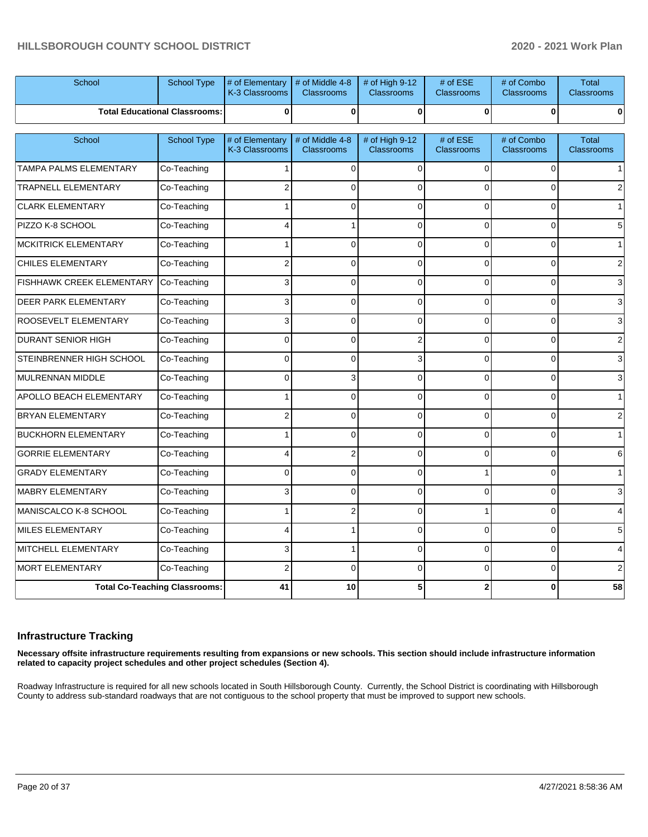| School                      | School Type                          | # of Elementary<br>K-3 Classrooms | # of Middle 4-8<br>Classrooms        | # of High 9-12<br>Classrooms | # of ESE<br><b>Classrooms</b> | # of Combo<br><b>Classrooms</b> | <b>Total</b><br><b>Classrooms</b> |
|-----------------------------|--------------------------------------|-----------------------------------|--------------------------------------|------------------------------|-------------------------------|---------------------------------|-----------------------------------|
|                             | <b>Total Educational Classrooms:</b> | 0                                 | $\bf{0}$                             | $\bf{0}$                     | $\mathbf{0}$                  | $\bf{0}$                        | 0                                 |
| School                      | School Type                          | # of Elementary<br>K-3 Classrooms | # of Middle 4-8<br><b>Classrooms</b> | # of High 9-12<br>Classrooms | # of ESE<br><b>Classrooms</b> | # of Combo<br><b>Classrooms</b> | <b>Total</b><br>Classrooms        |
| TAMPA PALMS ELEMENTARY      | Co-Teaching                          |                                   | $\Omega$                             | $\Omega$                     | $\Omega$                      | $\Omega$                        |                                   |
| <b>TRAPNELL ELEMENTARY</b>  | Co-Teaching                          | $\overline{2}$                    | $\Omega$                             | $\Omega$                     | $\Omega$                      | $\Omega$                        | 2                                 |
| <b>CLARK ELEMENTARY</b>     | Co-Teaching                          |                                   | $\Omega$                             | $\Omega$                     | $\Omega$                      | $\Omega$                        |                                   |
| PIZZO K-8 SCHOOL            | Co-Teaching                          | 4                                 | 1                                    | $\Omega$                     | $\Omega$                      | $\Omega$                        | 5                                 |
| <b>MCKITRICK ELEMENTARY</b> | Co-Teaching                          |                                   | $\mathbf 0$                          | $\Omega$                     | $\Omega$                      | $\Omega$                        |                                   |
| CHILES ELEMENTARY           | Co-Teaching                          | $\overline{2}$                    | $\Omega$                             | $\Omega$                     | $\Omega$                      | $\Omega$                        | 2                                 |
| FISHHAWK CREEK ELEMENTARY   | Co-Teaching                          | 3                                 | $\mathbf 0$                          | 0                            | $\Omega$                      | $\Omega$                        | 3                                 |
| <b>DEER PARK ELEMENTARY</b> | Co-Teaching                          | 3                                 | $\Omega$                             | $\Omega$                     | $\Omega$                      | $\Omega$                        | 3                                 |
| ROOSEVELT ELEMENTARY        | Co-Teaching                          | 3                                 | $\mathbf 0$                          | $\Omega$                     | $\Omega$                      | $\Omega$                        | 3                                 |
| <b>DURANT SENIOR HIGH</b>   | Co-Teaching                          | $\Omega$                          | $\Omega$                             | $\overline{2}$               | $\Omega$                      | $\Omega$                        | 2                                 |
| STEINBRENNER HIGH SCHOOL    | Co-Teaching                          | $\Omega$                          | $\Omega$                             | 3                            | $\Omega$                      | $\Omega$                        | 3                                 |
| <b>MULRENNAN MIDDLE</b>     | Co-Teaching                          | $\Omega$                          | 3                                    | $\Omega$                     | $\Omega$                      | $\Omega$                        | 3                                 |
| APOLLO BEACH ELEMENTARY     | Co-Teaching                          |                                   | $\Omega$                             | $\Omega$                     | $\Omega$                      | $\Omega$                        |                                   |
| <b>BRYAN ELEMENTARY</b>     | Co-Teaching                          | $\overline{2}$                    | $\Omega$                             | $\Omega$                     | $\Omega$                      | $\Omega$                        |                                   |
| <b>BUCKHORN ELEMENTARY</b>  | Co-Teaching                          | 1                                 | $\Omega$                             | $\Omega$                     | $\Omega$                      | $\Omega$                        |                                   |
| <b>GORRIE ELEMENTARY</b>    | Co-Teaching                          | 4                                 | $\overline{\mathbf{c}}$              | $\Omega$                     | $\Omega$                      | $\Omega$                        | 6                                 |
| <b>GRADY ELEMENTARY</b>     | Co-Teaching                          | $\Omega$                          | $\Omega$                             | $\Omega$                     | 1                             | $\Omega$                        |                                   |
| <b>MABRY ELEMENTARY</b>     | Co-Teaching                          | 3                                 | $\mathbf 0$                          | $\overline{0}$               | $\Omega$                      | $\Omega$                        | 3                                 |
| MANISCALCO K-8 SCHOOL       | Co-Teaching                          |                                   | $\overline{c}$                       | $\Omega$                     | 1                             | $\Omega$                        |                                   |
| MILES ELEMENTARY            | Co-Teaching                          | 4                                 | 1                                    | $\Omega$                     | $\Omega$                      | $\Omega$                        | 5                                 |
| MITCHELL ELEMENTARY         | Co-Teaching                          | 3                                 | $\mathbf{1}$                         | $\Omega$                     | $\Omega$                      | $\Omega$                        |                                   |
| <b>MORT ELEMENTARY</b>      | Co-Teaching                          | $\overline{2}$                    | $\Omega$                             | $\Omega$                     | $\Omega$                      | $\Omega$                        | $\overline{2}$                    |
|                             | <b>Total Co-Teaching Classrooms:</b> | 41                                | 10                                   | 5                            | 2                             | 0                               | 58                                |

#### **Infrastructure Tracking**

**Necessary offsite infrastructure requirements resulting from expansions or new schools. This section should include infrastructure information related to capacity project schedules and other project schedules (Section 4).** 

Roadway Infrastructure is required for all new schools located in South Hillsborough County. Currently, the School District is coordinating with Hillsborough County to address sub-standard roadways that are not contiguous to the school property that must be improved to support new schools.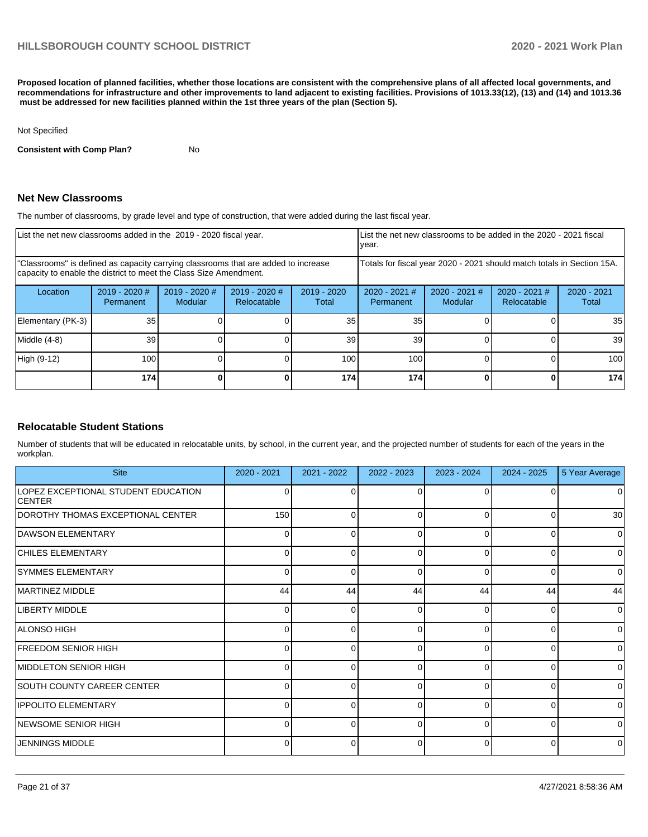**Proposed location of planned facilities, whether those locations are consistent with the comprehensive plans of all affected local governments, and recommendations for infrastructure and other improvements to land adjacent to existing facilities. Provisions of 1013.33(12), (13) and (14) and 1013.36 must be addressed for new facilities planned within the 1st three years of the plan (Section 5).** 

#### Not Specified

**Consistent with Comp Plan?** No

#### **Net New Classrooms**

The number of classrooms, by grade level and type of construction, that were added during the last fiscal year.

| List the net new classrooms added in the 2019 - 2020 fiscal year.                                                                                       |                                                                        |                                 |                                |                        | List the net new classrooms to be added in the 2020 - 2021 fiscal<br>year. |                            |                                |                        |
|---------------------------------------------------------------------------------------------------------------------------------------------------------|------------------------------------------------------------------------|---------------------------------|--------------------------------|------------------------|----------------------------------------------------------------------------|----------------------------|--------------------------------|------------------------|
| "Classrooms" is defined as capacity carrying classrooms that are added to increase<br>capacity to enable the district to meet the Class Size Amendment. | Totals for fiscal year 2020 - 2021 should match totals in Section 15A. |                                 |                                |                        |                                                                            |                            |                                |                        |
| Location                                                                                                                                                | 2019 - 2020 #<br>Permanent                                             | 2019 - 2020 #<br><b>Modular</b> | $2019 - 2020$ #<br>Relocatable | $2019 - 2020$<br>Total | 2020 - 2021 #<br>Permanent                                                 | $2020 - 2021$ #<br>Modular | $2020 - 2021$ #<br>Relocatable | $2020 - 2021$<br>Total |
| Elementary (PK-3)                                                                                                                                       | 35                                                                     |                                 |                                | 35                     | 35                                                                         |                            |                                | 35 <sub>1</sub>        |
| Middle (4-8)                                                                                                                                            | 39                                                                     |                                 |                                | 39                     | 39                                                                         |                            |                                | 39                     |
| High (9-12)                                                                                                                                             | 100                                                                    |                                 |                                | 100                    | 100                                                                        |                            | ΩI                             | 100                    |
|                                                                                                                                                         | 174                                                                    |                                 |                                | 174                    | 174                                                                        |                            | 0                              | 174                    |

#### **Relocatable Student Stations**

Number of students that will be educated in relocatable units, by school, in the current year, and the projected number of students for each of the years in the workplan.

| <b>Site</b>                                          | 2020 - 2021  | 2021 - 2022 | 2022 - 2023  | 2023 - 2024 | 2024 - 2025 | 5 Year Average  |
|------------------------------------------------------|--------------|-------------|--------------|-------------|-------------|-----------------|
| LOPEZ EXCEPTIONAL STUDENT EDUCATION<br><b>CENTER</b> | 0            |             | $\Omega$     | $\Omega$    |             | 0               |
| DOROTHY THOMAS EXCEPTIONAL CENTER                    | 150          | 0           | 0            | $\Omega$    | 0           | 30 <sup>°</sup> |
| DAWSON ELEMENTARY                                    | 0            | n           | 0            | $\Omega$    |             | $\overline{0}$  |
| <b>CHILES ELEMENTARY</b>                             | $\Omega$     | 0           | 0            | 0           | 0           | $\overline{0}$  |
| <b>SYMMES ELEMENTARY</b>                             | 0            | n           | 0            | 0           |             | $\Omega$        |
| MARTINEZ MIDDLE                                      | 44           | 44          | 44           | 44          | 44          | 44              |
| <b>LIBERTY MIDDLE</b>                                | <sup>0</sup> |             | ∩            | $\Omega$    |             | 0               |
| ALONSO HIGH                                          | $\Omega$     | 0           | 0            | $\Omega$    | 0           | $\Omega$        |
| <b>FREEDOM SENIOR HIGH</b>                           | 0            | ∩           | $\Omega$     | $\Omega$    | $\Omega$    | $\Omega$        |
| MIDDLETON SENIOR HIGH                                | $\Omega$     | 0           | 0            | $\Omega$    | 0           | $\overline{0}$  |
| <b>SOUTH COUNTY CAREER CENTER</b>                    | <sup>0</sup> | ∩           | <sup>0</sup> | $\Omega$    | $\Omega$    | $\Omega$        |
| <b>IPPOLITO ELEMENTARY</b>                           | $\Omega$     | 0           | 0            | 0           |             | $\overline{0}$  |
| <b>INEWSOME SENIOR HIGH</b>                          | $\Omega$     | $\Omega$    | $\Omega$     | $\Omega$    | $\Omega$    | $\Omega$        |
| JENNINGS MIDDLE                                      | 0            |             | <sup>0</sup> | $\Omega$    |             | 0               |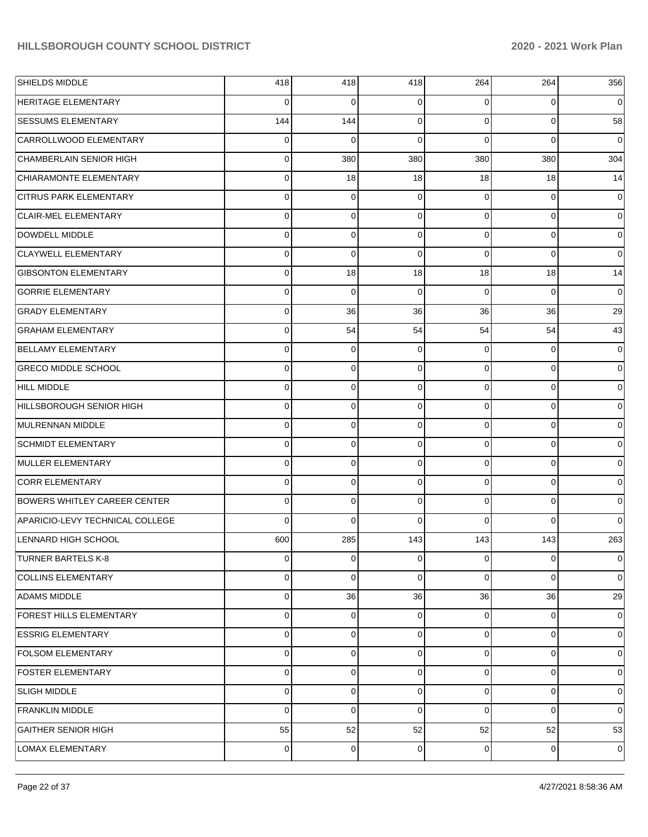| SHIELDS MIDDLE                      | 418            | 418 | 418         | 264            | 264      | 356            |
|-------------------------------------|----------------|-----|-------------|----------------|----------|----------------|
| HERITAGE ELEMENTARY                 | 0              | 0   | 0           | 0              | 0        | 0              |
| <b>SESSUMS ELEMENTARY</b>           | 144            | 144 | 0           | $\Omega$       | 0        | 58             |
| CARROLLWOOD ELEMENTARY              | 0              | 0   | $\mathbf 0$ | $\Omega$       | $\Omega$ | 0              |
| CHAMBERLAIN SENIOR HIGH             | 0              | 380 | 380         | 380            | 380      | 304            |
| CHIARAMONTE ELEMENTARY              | 0              | 18  | 18          | 18             | 18       | 14             |
| <b>CITRUS PARK ELEMENTARY</b>       | 0              | 0   | 0           | 0              | 0        | 0              |
| <b>CLAIR-MEL ELEMENTARY</b>         | 0              | 0   | 0           | $\Omega$       | 0        | 0              |
| DOWDELL MIDDLE                      | 0              | 0   | 0           | 0              | 0        | 0              |
| <b>CLAYWELL ELEMENTARY</b>          | 0              | 0   | $\mathbf 0$ | $\Omega$       | 0        | 0              |
| <b>GIBSONTON ELEMENTARY</b>         | 0              | 18  | 18          | 18             | 18       | 14             |
| <b>GORRIE ELEMENTARY</b>            | 0              | 0   | $\mathbf 0$ | $\Omega$       | 0        | 0              |
| <b>GRADY ELEMENTARY</b>             | 0              | 36  | 36          | 36             | 36       | 29             |
| <b>GRAHAM ELEMENTARY</b>            | 0              | 54  | 54          | 54             | 54       | 43             |
| <b>BELLAMY ELEMENTARY</b>           | 0              | 0   | 0           | 0              | 0        | 0              |
| <b>GRECO MIDDLE SCHOOL</b>          | 0              | 0   | 0           | $\Omega$       | 0        | 0              |
| <b>HILL MIDDLE</b>                  | 0              | 0   | 0           | $\Omega$       | 0        | 0              |
| HILLSBOROUGH SENIOR HIGH            | 0              | 0   | 0           | $\Omega$       | 0        | 0              |
| MULRENNAN MIDDLE                    | 0              | 0   | 0           | $\Omega$       | 0        | 0              |
| <b>SCHMIDT ELEMENTARY</b>           | 0              | 0   | 0           | $\Omega$       | 0        | 0              |
| MULLER ELEMENTARY                   | 0              | 0   | 0           | $\Omega$       | 0        | 0              |
| <b>CORR ELEMENTARY</b>              | 0              | 0   | 0           | 0              | 0        | 0              |
| <b>BOWERS WHITLEY CAREER CENTER</b> | 0              | 0   | 0           | $\Omega$       | 0        | 0              |
| APARICIO-LEVY TECHNICAL COLLEGE     | 0              | 0   | 0           | 0              | $\Omega$ | $\Omega$       |
| <b>LENNARD HIGH SCHOOL</b>          | 600            | 285 | 143         | 143            | 143      | 263            |
| <b>TURNER BARTELS K-8</b>           | $\Omega$       | 0   | 0           | $\overline{0}$ | 0        | $\overline{0}$ |
| <b>COLLINS ELEMENTARY</b>           | 0              | 0   | 0           | $\Omega$       | 0        | $\overline{0}$ |
| <b>ADAMS MIDDLE</b>                 | 0              | 36  | 36          | 36             | 36       | 29             |
| FOREST HILLS ELEMENTARY             | $\Omega$       | 0   | 0           | $\overline{0}$ | 0        | $\overline{0}$ |
| <b>ESSRIG ELEMENTARY</b>            | 0              | 0   | 0           | $\Omega$       | 0        | $\overline{0}$ |
| <b>FOLSOM ELEMENTARY</b>            | $\Omega$       | 0   | 0           | $\overline{0}$ | 0        | $\overline{0}$ |
| <b>FOSTER ELEMENTARY</b>            | 0              | 0   | 0           | $\Omega$       | 0        | $\overline{0}$ |
| <b>SLIGH MIDDLE</b>                 | $\Omega$       | 0   | 0           | $\overline{0}$ | 0        | $\overline{0}$ |
| <b>FRANKLIN MIDDLE</b>              | 0              | 0   | 0           | $\Omega$       | 0        | $\overline{0}$ |
| <b>GAITHER SENIOR HIGH</b>          | 55             | 52  | 52          | 52             | 52       | 53             |
| LOMAX ELEMENTARY                    | $\overline{0}$ | 0   | 0           | $\overline{0}$ | 0        | 0              |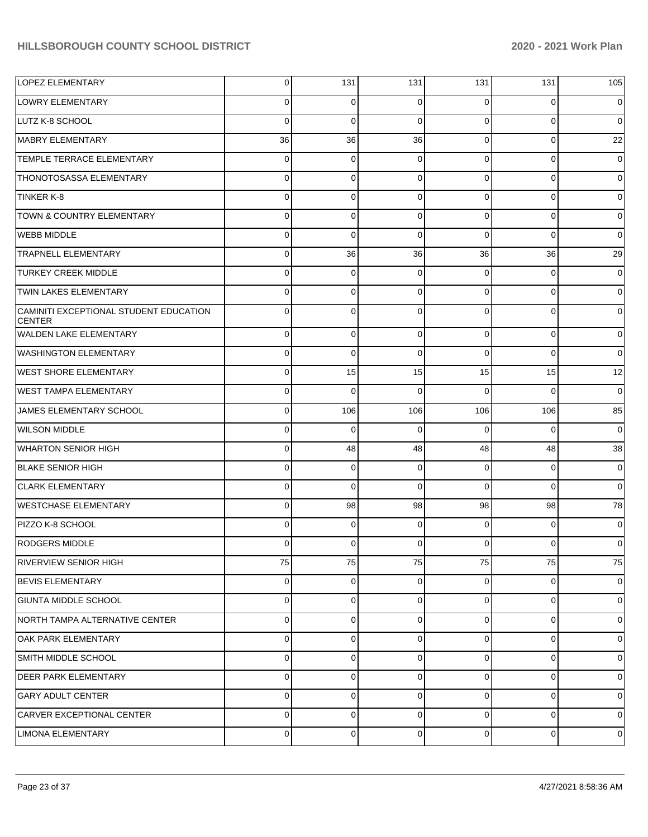| LOPEZ ELEMENTARY                                        | 0           | 131         | 131         | 131         | 131            | 105            |
|---------------------------------------------------------|-------------|-------------|-------------|-------------|----------------|----------------|
| LOWRY ELEMENTARY                                        | $\Omega$    | 0           | $\Omega$    | 0           | 0              | 0              |
| <b>LUTZ K-8 SCHOOL</b>                                  | $\Omega$    | 0           | $\Omega$    | $\Omega$    | $\mathbf 0$    | 0              |
| MABRY ELEMENTARY                                        | 36          | 36          | 36          | $\Omega$    | $\mathbf 0$    | 22             |
| <b>TEMPLE TERRACE ELEMENTARY</b>                        | $\Omega$    | 0           | $\Omega$    | $\Omega$    | $\mathbf 0$    | 0              |
| <b>THONOTOSASSA ELEMENTARY</b>                          | $\Omega$    | 0           | $\Omega$    | $\Omega$    | 0              | 0              |
| TINKER K-8                                              | $\Omega$    | 0           | $\Omega$    | $\Omega$    | 0              | 0              |
| <b>TOWN &amp; COUNTRY ELEMENTARY</b>                    | $\Omega$    | 0           | $\Omega$    | $\Omega$    | 0              | 0              |
| <b>WEBB MIDDLE</b>                                      | $\Omega$    | 0           | $\Omega$    | $\Omega$    | $\Omega$       | 0              |
| <b>TRAPNELL ELEMENTARY</b>                              | $\Omega$    | 36          | 36          | 36          | 36             | 29             |
| <b>TURKEY CREEK MIDDLE</b>                              | $\Omega$    | 0           | $\Omega$    | $\Omega$    | 0              | 0              |
| <b>TWIN LAKES ELEMENTARY</b>                            | $\Omega$    | 0           | $\Omega$    | $\Omega$    | 0              | 0              |
| CAMINITI EXCEPTIONAL STUDENT EDUCATION<br><b>CENTER</b> | $\Omega$    | $\Omega$    | $\Omega$    | $\Omega$    | $\Omega$       | $\Omega$       |
| <b>WALDEN LAKE ELEMENTARY</b>                           | $\mathbf 0$ | 0           | $\Omega$    | $\mathbf 0$ | 0              | 0              |
| <b>WASHINGTON ELEMENTARY</b>                            | $\mathbf 0$ | $\mathbf 0$ | $\Omega$    | $\Omega$    | $\Omega$       | 0              |
| <b>WEST SHORE ELEMENTARY</b>                            | $\mathbf 0$ | 15          | 15          | 15          | 15             | 12             |
| <b>WEST TAMPA ELEMENTARY</b>                            | $\mathbf 0$ | $\mathbf 0$ | $\Omega$    | $\Omega$    | $\Omega$       | $\mathbf 0$    |
| JAMES ELEMENTARY SCHOOL                                 | $\mathbf 0$ | 106         | 106         | 106         | 106            | 85             |
| <b>WILSON MIDDLE</b>                                    | $\mathbf 0$ | $\mathbf 0$ | $\Omega$    | 0           | $\Omega$       | $\mathbf 0$    |
| <b>WHARTON SENIOR HIGH</b>                              | $\mathbf 0$ | 48          | 48          | 48          | 48             | 38             |
| <b>BLAKE SENIOR HIGH</b>                                | $\mathbf 0$ | 0           | $\Omega$    | 0           | 0              | 0              |
| <b>CLARK ELEMENTARY</b>                                 | $\Omega$    | $\Omega$    | $\Omega$    | $\Omega$    | $\Omega$       | 0              |
| <b>WESTCHASE ELEMENTARY</b>                             | $\mathbf 0$ | 98          | 98          | 98          | 98             | 78             |
| PIZZO K-8 SCHOOL                                        | $\Omega$    | 0           | $\Omega$    | 0           | 0              | 0              |
| <b>RODGERS MIDDLE</b>                                   | 0           | 0           | $\mathbf 0$ | 0           | 0              | 0              |
| <b>RIVERVIEW SENIOR HIGH</b>                            | 75          | 75          | 75          | 75          | 75             | 75             |
| <b>BEVIS ELEMENTARY</b>                                 | $\mathbf 0$ | 0           | $\mathbf 0$ | $\mathbf 0$ | 0              | 0              |
| <b>GIUNTA MIDDLE SCHOOL</b>                             | $\mathbf 0$ | $\mathbf 0$ | $\Omega$    | $\mathbf 0$ | 0              | 0              |
| NORTH TAMPA ALTERNATIVE CENTER                          | $\mathbf 0$ | 0           | $\mathbf 0$ | $\mathbf 0$ | 0              | 0              |
| <b>OAK PARK ELEMENTARY</b>                              | $\mathbf 0$ | $\mathbf 0$ | $\Omega$    | $\mathbf 0$ | 0              | 0              |
| SMITH MIDDLE SCHOOL                                     | $\mathbf 0$ | $\mathbf 0$ | $\Omega$    | $\mathbf 0$ | 0              | 0              |
| <b>DEER PARK ELEMENTARY</b>                             | $\mathbf 0$ | $\mathbf 0$ | $\Omega$    | $\mathbf 0$ | 0              | $\mathbf 0$    |
| <b>GARY ADULT CENTER</b>                                | $\mathbf 0$ | 0           | $\Omega$    | $\mathbf 0$ | 0              | $\mathbf 0$    |
| CARVER EXCEPTIONAL CENTER                               | $\mathbf 0$ | $\mathbf 0$ | $\mathbf 0$ | $\mathbf 0$ | 0              | 0              |
| LIMONA ELEMENTARY                                       | $\mathbf 0$ | 0           | $\mathbf 0$ | 0           | $\overline{0}$ | $\overline{0}$ |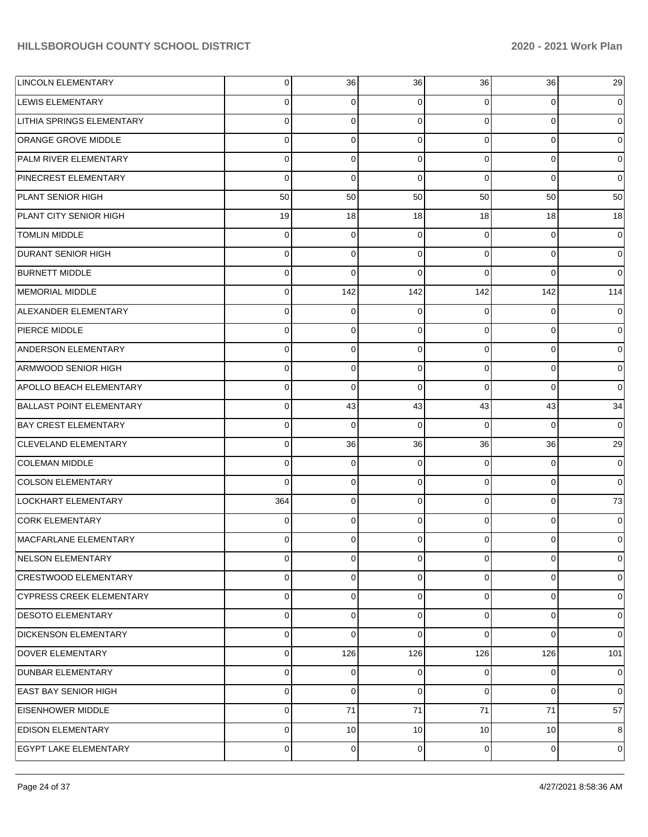| <b>LINCOLN ELEMENTARY</b>        | $\overline{0}$ | 36              | 36             | 36              | 36             | 29             |
|----------------------------------|----------------|-----------------|----------------|-----------------|----------------|----------------|
| <b>LEWIS ELEMENTARY</b>          | 0              | $\overline{0}$  | 0              | $\Omega$        | 0              | 0              |
| <b>LITHIA SPRINGS ELEMENTARY</b> | $\mathbf 0$    | $\overline{0}$  | $\Omega$       | $\Omega$        | $\Omega$       | $\Omega$       |
| ORANGE GROVE MIDDLE              | $\mathbf 0$    | $\overline{0}$  | $\Omega$       | $\Omega$        | $\mathbf 0$    | 0              |
| PALM RIVER ELEMENTARY            | $\mathbf 0$    | $\overline{0}$  | $\Omega$       | $\Omega$        | $\mathbf 0$    | $\Omega$       |
| PINECREST ELEMENTARY             | $\mathbf 0$    | $\overline{0}$  | $\Omega$       | $\Omega$        | $\Omega$       | $\Omega$       |
| PLANT SENIOR HIGH                | 50             | 50              | 50             | 50              | 50             | 50             |
| PLANT CITY SENIOR HIGH           | 19             | 18              | 18             | 18              | 18             | 18             |
| <b>TOMLIN MIDDLE</b>             | 0              | $\overline{0}$  | $\Omega$       | $\Omega$        | 0              | 0              |
| <b>DURANT SENIOR HIGH</b>        | $\mathbf 0$    | $\overline{0}$  | $\Omega$       | $\Omega$        | $\mathbf 0$    | $\overline{0}$ |
| <b>BURNETT MIDDLE</b>            | 0              | $\Omega$        | $\Omega$       | $\Omega$        | $\Omega$       | $\Omega$       |
| MEMORIAL MIDDLE                  | $\overline{0}$ | 142             | 142            | 142             | 142            | 114            |
| ALEXANDER ELEMENTARY             | 0              | $\overline{0}$  | 0              | $\Omega$        | $\Omega$       | $\Omega$       |
| PIERCE MIDDLE                    | $\mathbf 0$    | $\overline{0}$  | $\Omega$       | $\Omega$        | $\mathbf 0$    | $\overline{0}$ |
| <b>ANDERSON ELEMENTARY</b>       | 0              | $\overline{0}$  | $\Omega$       | $\Omega$        | $\mathbf 0$    | $\Omega$       |
| ARMWOOD SENIOR HIGH              | $\mathbf 0$    | $\overline{0}$  | $\Omega$       | $\Omega$        | $\Omega$       | 0              |
| APOLLO BEACH ELEMENTARY          | $\mathbf 0$    | $\Omega$        | $\Omega$       | $\Omega$        | $\Omega$       | $\Omega$       |
| <b>BALLAST POINT ELEMENTARY</b>  | $\overline{0}$ | 43              | 43             | 43              | 43             | 34             |
| <b>BAY CREST ELEMENTARY</b>      | 0              | $\overline{0}$  | $\Omega$       | $\Omega$        | $\Omega$       | $\Omega$       |
| <b>CLEVELAND ELEMENTARY</b>      | $\mathbf 0$    | 36              | 36             | 36              | 36             | 29             |
| <b>COLEMAN MIDDLE</b>            | $\mathbf 0$    | $\overline{0}$  | 0              | $\Omega$        | $\Omega$       | $\overline{0}$ |
| <b>COLSON ELEMENTARY</b>         | $\Omega$       | $\overline{0}$  | $\Omega$       | $\Omega$        | $\Omega$       | $\overline{0}$ |
| LOCKHART ELEMENTARY              | 364            | $\overline{0}$  | $\Omega$       | $\Omega$        | $\Omega$       | 73             |
| <b>CORK ELEMENTARY</b>           | 0              | $\overline{0}$  | $\Omega$       | $\Omega$        | $\mathbf 0$    | $\Omega$       |
| MACFARLANE ELEMENTARY            | $\Omega$       | $\overline{0}$  | 0              | 0               | $\Omega$       | 0              |
| NELSON ELEMENTARY                | $\mathbf 0$    | $\overline{0}$  | $\overline{0}$ | $\overline{0}$  | $\mathbf 0$    | $\overline{0}$ |
| <b>CRESTWOOD ELEMENTARY</b>      | $\overline{0}$ | $\overline{0}$  | $\Omega$       | $\overline{0}$  | $\mathbf 0$    | $\overline{0}$ |
| <b>CYPRESS CREEK ELEMENTARY</b>  | $\overline{0}$ | $\overline{0}$  | $\Omega$       | $\Omega$        | $\mathbf 0$    | $\overline{0}$ |
| <b>DESOTO ELEMENTARY</b>         | $\overline{0}$ | $\overline{0}$  | 0              | $\Omega$        | $\mathbf 0$    | $\overline{0}$ |
| <b>DICKENSON ELEMENTARY</b>      | $\mathbf 0$    | $\overline{0}$  | $\Omega$       | $\Omega$        | $\Omega$       | $\overline{0}$ |
| <b>DOVER ELEMENTARY</b>          | $\overline{0}$ | 126             | 126            | 126             | 126            | 101            |
| <b>DUNBAR ELEMENTARY</b>         | $\overline{0}$ | $\overline{0}$  | 0              | $\overline{0}$  | $\mathbf 0$    | $\overline{0}$ |
| <b>EAST BAY SENIOR HIGH</b>      | $\overline{0}$ | $\overline{0}$  | 0              | $\Omega$        | $\overline{0}$ | $\overline{0}$ |
| <b>EISENHOWER MIDDLE</b>         | 0              | 71              | 71             | 71              | 71             | 57             |
| <b>EDISON ELEMENTARY</b>         | $\overline{0}$ | 10 <sup>1</sup> | 10             | 10 <sup>1</sup> | 10             | 8              |
| EGYPT LAKE ELEMENTARY            | $\mathbf 0$    | $\overline{0}$  | 0              | $\overline{0}$  | $\mathbf 0$    | 0              |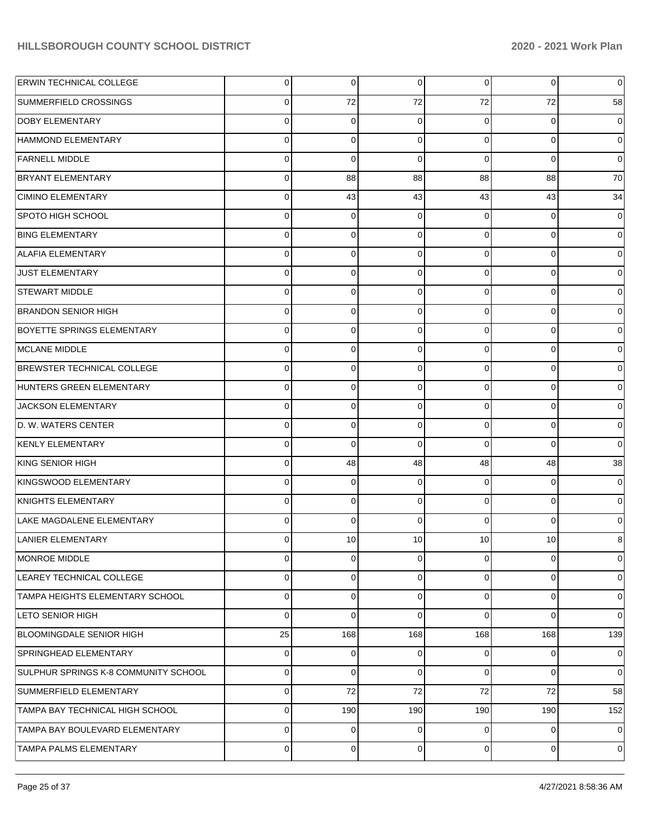| <b>ERWIN TECHNICAL COLLEGE</b>         | $\overline{0}$ | $\overline{0}$ | $\overline{0}$ | $\overline{0}$ | $\overline{0}$ | $\mathbf 0$    |
|----------------------------------------|----------------|----------------|----------------|----------------|----------------|----------------|
| SUMMERFIELD CROSSINGS                  | 0              | 72             | 72             | 72             | 72             | 58             |
| <b>DOBY ELEMENTARY</b>                 | $\Omega$       | $\Omega$       | $\Omega$       | 0              | 0              | $\mathbf 0$    |
| HAMMOND ELEMENTARY                     | $\mathbf 0$    | $\Omega$       | $\Omega$       | $\overline{0}$ | 0              | $\overline{0}$ |
| <b>FARNELL MIDDLE</b>                  | $\Omega$       | $\Omega$       | $\Omega$       | $\Omega$       | $\Omega$       | $\overline{0}$ |
| <b>BRYANT ELEMENTARY</b>               | $\mathbf 0$    | 88             | 88             | 88             | 88             | 70             |
| CIMINO ELEMENTARY                      | $\Omega$       | 43             | 43             | 43             | 43             | 34             |
| SPOTO HIGH SCHOOL                      | $\mathbf 0$    | $\Omega$       | $\Omega$       | 0              | 0              | $\mathbf 0$    |
| <b>BING ELEMENTARY</b>                 | $\Omega$       | $\Omega$       | $\Omega$       | $\overline{0}$ | 0              | $\overline{0}$ |
| <b>ALAFIA ELEMENTARY</b>               | $\mathbf 0$    | $\Omega$       | $\Omega$       | $\overline{0}$ | 0              | $\overline{0}$ |
| JUST ELEMENTARY                        | $\Omega$       | $\Omega$       | $\Omega$       | $\overline{0}$ | 0              | $\overline{0}$ |
| <b>STEWART MIDDLE</b>                  | $\mathbf 0$    | $\Omega$       | $\Omega$       | $\overline{0}$ | 0              | $\overline{0}$ |
| <b>BRANDON SENIOR HIGH</b>             | $\Omega$       | $\Omega$       | $\Omega$       | $\overline{0}$ | 0              | $\overline{0}$ |
| <b>BOYETTE SPRINGS ELEMENTARY</b>      | $\mathbf 0$    | $\Omega$       | $\Omega$       | $\overline{0}$ | 0              | $\overline{0}$ |
| MCLANE MIDDLE                          | $\Omega$       | $\Omega$       | $\Omega$       | $\overline{0}$ | 0              | $\overline{0}$ |
| BREWSTER TECHNICAL COLLEGE             | $\mathbf 0$    | $\Omega$       | $\Omega$       | $\overline{0}$ | 0              | $\overline{0}$ |
| HUNTERS GREEN ELEMENTARY               | $\Omega$       | $\Omega$       | $\Omega$       | $\Omega$       | 0              | $\overline{0}$ |
| JACKSON ELEMENTARY                     | $\mathbf 0$    | $\Omega$       | $\Omega$       | $\overline{0}$ | 0              | $\overline{0}$ |
| D. W. WATERS CENTER                    | $\Omega$       | $\Omega$       | $\Omega$       | $\overline{0}$ | 0              | $\overline{0}$ |
| <b>KENLY ELEMENTARY</b>                | $\mathbf 0$    | $\Omega$       | $\Omega$       | $\Omega$       | 0              | $\overline{0}$ |
| KING SENIOR HIGH                       | $\Omega$       | 48             | 48             | 48             | 48             | 38             |
| KINGSWOOD ELEMENTARY                   | $\mathbf 0$    | $\Omega$       | $\Omega$       | $\overline{0}$ | 0              | $\mathbf 0$    |
| KNIGHTS ELEMENTARY                     | $\Omega$       | $\Omega$       | $\Omega$       | $\overline{0}$ | 0              | $\mathbf 0$    |
| LAKE MAGDALENE ELEMENTARY              | $\Omega$       | $\Omega$       | $\Omega$       | $\Omega$       | 0              | $\mathbf 0$    |
| <b>LANIER ELEMENTARY</b>               | $\Omega$       | 10             | 10             | 10             | 10             | 8              |
| MONROE MIDDLE                          | $\mathbf 0$    | $\overline{0}$ | $\overline{0}$ | $\mathbf 0$    | $\overline{0}$ | $\mathbf 0$    |
| LEAREY TECHNICAL COLLEGE               | 0              | $\Omega$       | $\Omega$       | $\overline{0}$ | 0              | $\mathbf 0$    |
| <b>TAMPA HEIGHTS ELEMENTARY SCHOOL</b> | $\mathbf 0$    | $\Omega$       | $\Omega$       | $\overline{0}$ | 0              | $\mathbf 0$    |
| <b>LETO SENIOR HIGH</b>                | $\Omega$       | $\Omega$       | $\Omega$       | $\Omega$       | 0              | $\overline{0}$ |
| <b>BLOOMINGDALE SENIOR HIGH</b>        | 25             | 168            | 168            | 168            | 168            | 139            |
| <b>SPRINGHEAD ELEMENTARY</b>           | $\mathbf 0$    | $\Omega$       | $\Omega$       | $\overline{0}$ | $\mathbf 0$    | $\mathbf 0$    |
| SULPHUR SPRINGS K-8 COMMUNITY SCHOOL   | $\mathbf 0$    | $\Omega$       | $\Omega$       | $\overline{0}$ | 0              | $\overline{0}$ |
| SUMMERFIELD ELEMENTARY                 | $\mathbf 0$    | 72             | 72             | 72             | 72             | 58             |
| TAMPA BAY TECHNICAL HIGH SCHOOL        | $\mathbf 0$    | 190            | 190            | 190            | 190            | 152            |
| TAMPA BAY BOULEVARD ELEMENTARY         | $\mathbf 0$    | $\Omega$       | $\Omega$       | $\overline{0}$ | $\mathbf 0$    | $\overline{0}$ |
| <b>TAMPA PALMS ELEMENTARY</b>          | $\mathbf 0$    | 0              | 0              | $\overline{0}$ | $\mathbf 0$    | $\mathbf 0$    |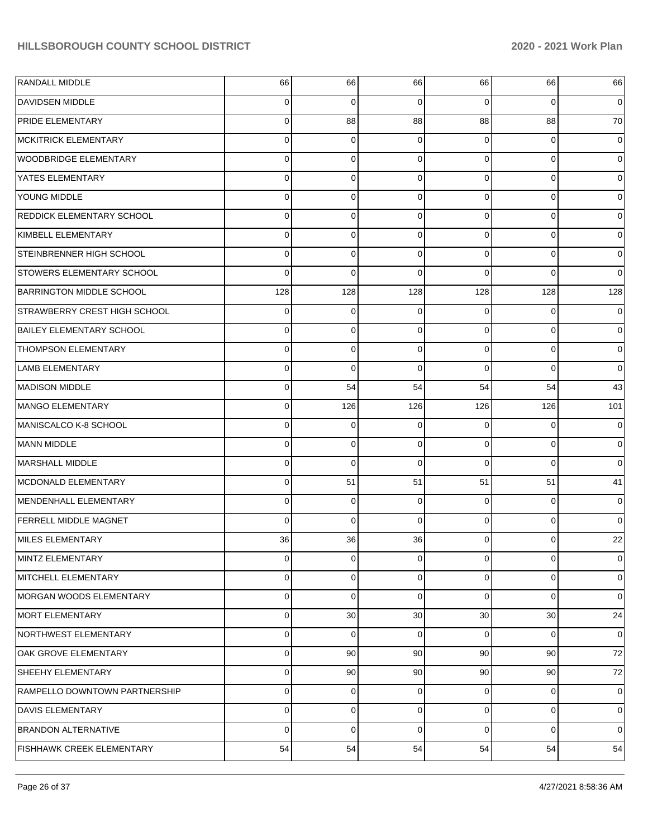| <b>RANDALL MIDDLE</b>               | 66             | 66             | 66             | 66             | 66             | 66          |
|-------------------------------------|----------------|----------------|----------------|----------------|----------------|-------------|
| <b>DAVIDSEN MIDDLE</b>              | 0              | 0              | 0              | 0              | 0              | 0           |
| <b>PRIDE ELEMENTARY</b>             | 0              | 88             | 88             | 88             | 88             | 70          |
| <b>MCKITRICK ELEMENTARY</b>         | 0              | $\mathbf 0$    | 0              | $\Omega$       | $\mathbf 0$    | 0           |
| <b>WOODBRIDGE ELEMENTARY</b>        | 0              | $\mathbf 0$    | 0              | $\Omega$       | $\mathbf 0$    | 0           |
| YATES ELEMENTARY                    | 0              | $\mathbf 0$    | 0              | 0              | $\mathbf 0$    | 0           |
| YOUNG MIDDLE                        | 0              | $\mathbf 0$    | 0              | $\Omega$       | $\mathbf 0$    | 0           |
| <b>REDDICK ELEMENTARY SCHOOL</b>    | 0              | $\mathbf 0$    | 0              | 0              | $\mathbf 0$    | 0           |
| KIMBELL ELEMENTARY                  | 0              | $\mathbf 0$    | 0              | $\Omega$       | $\mathbf 0$    | 0           |
| STEINBRENNER HIGH SCHOOL            | 0              | $\mathbf 0$    | 0              | 0              | $\Omega$       | 0           |
| <b>STOWERS ELEMENTARY SCHOOL</b>    | $\Omega$       | $\mathbf 0$    | $\Omega$       | 0              | $\Omega$       | $\Omega$    |
| <b>BARRINGTON MIDDLE SCHOOL</b>     | 128            | 128            | 128            | 128            | 128            | 128         |
| <b>STRAWBERRY CREST HIGH SCHOOL</b> | 0              | 0              | 0              | $\Omega$       | 0              | 0           |
| <b>BAILEY ELEMENTARY SCHOOL</b>     | 0              | $\mathbf 0$    | 0              | $\Omega$       | $\mathbf 0$    | 0           |
| <b>THOMPSON ELEMENTARY</b>          | 0              | $\mathbf 0$    | 0              | $\Omega$       | $\mathbf 0$    | 0           |
| <b>LAMB ELEMENTARY</b>              | 0              | $\mathbf 0$    | 0              | $\Omega$       | $\Omega$       | 0           |
| <b>MADISON MIDDLE</b>               | 0              | 54             | 54             | 54             | 54             | 43          |
| MANGO ELEMENTARY                    | 0              | 126            | 126            | 126            | 126            | 101         |
| MANISCALCO K-8 SCHOOL               | 0              | 0              | 0              | $\Omega$       | 0              | 0           |
| <b>MANN MIDDLE</b>                  | 0              | $\mathbf 0$    | 0              | $\Omega$       | $\mathbf 0$    | 0           |
| MARSHALL MIDDLE                     | 0              | $\mathbf 0$    | $\Omega$       | 0              | $\Omega$       | $\Omega$    |
| MCDONALD ELEMENTARY                 | 0              | 51             | 51             | 51             | 51             | 41          |
| MENDENHALL ELEMENTARY               | 0              | 0              | 0              | $\Omega$       | $\mathbf 0$    | 0           |
| <b>FERRELL MIDDLE MAGNET</b>        | $\Omega$       | $\mathbf 0$    | $\Omega$       | $\Omega$       | $\mathbf 0$    | $\mathbf 0$ |
| MILES ELEMENTARY                    | 36             | 36             | 36             | 0              | 0              | 22          |
| MINTZ ELEMENTARY                    | $\overline{0}$ | $\overline{0}$ | $\overline{0}$ | $\overline{0}$ | $\overline{0}$ | 0           |
| MITCHELL ELEMENTARY                 | 0              | 0              | 0              | $\overline{0}$ | 0              | 0           |
| MORGAN WOODS ELEMENTARY             | 0              | $\mathbf 0$    | 0              | $\Omega$       | $\mathbf 0$    | $\mathbf 0$ |
| MORT ELEMENTARY                     | 0              | 30             | 30             | 30             | 30             | 24          |
| NORTHWEST ELEMENTARY                | 0              | $\mathbf 0$    | 0              | $\overline{0}$ | 0              | 0           |
| OAK GROVE ELEMENTARY                | 0              | 90             | 90             | 90             | 90             | 72          |
| SHEEHY ELEMENTARY                   | 0              | 90             | 90             | 90             | 90             | 72          |
| RAMPELLO DOWNTOWN PARTNERSHIP       | 0              | $\overline{0}$ | 0              | $\overline{0}$ | $\mathbf 0$    | 0           |
| DAVIS ELEMENTARY                    | 0              | 0              | 0              | $\overline{0}$ | $\mathbf 0$    | $\mathbf 0$ |
| <b>BRANDON ALTERNATIVE</b>          | 0              | $\mathbf 0$    | $\Omega$       | $\Omega$       | $\mathbf 0$    | $\mathbf 0$ |
| <b>FISHHAWK CREEK ELEMENTARY</b>    | 54             | 54             | 54             | 54             | 54             | 54          |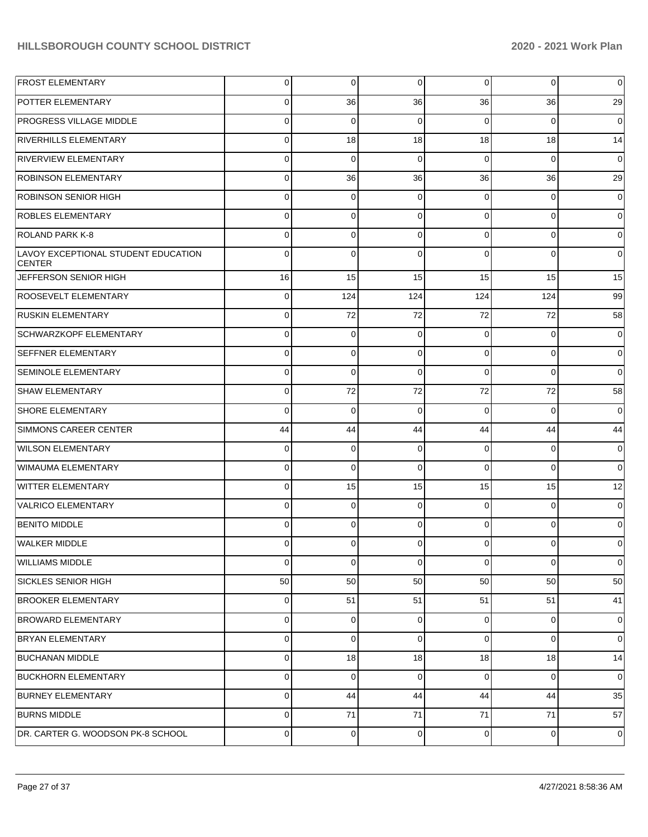| <b>FROST ELEMENTARY</b>                              | 0           | 0        | $\mathbf 0$ | 0        | $\overline{0}$ | $\mathbf 0$    |
|------------------------------------------------------|-------------|----------|-------------|----------|----------------|----------------|
| <b>POTTER ELEMENTARY</b>                             | 0           | 36       | 36          | 36       | 36             | 29             |
| <b>PROGRESS VILLAGE MIDDLE</b>                       | 0           | 0        | $\Omega$    | 0        | $\overline{0}$ | $\mathbf 0$    |
| <b>RIVERHILLS ELEMENTARY</b>                         | 0           | 18       | 18          | 18       | 18             | 14             |
| <b>RIVERVIEW ELEMENTARY</b>                          | 0           | 0        | $\Omega$    | $\Omega$ | $\overline{0}$ | $\mathbf 0$    |
| <b>ROBINSON ELEMENTARY</b>                           | 0           | 36       | 36          | 36       | 36             | 29             |
| <b>ROBINSON SENIOR HIGH</b>                          | 0           | 0        | $\Omega$    | 0        | $\overline{0}$ | $\mathbf 0$    |
| <b>ROBLES ELEMENTARY</b>                             | 0           | 0        | 0           | 0        | $\overline{0}$ | $\mathbf 0$    |
| <b>ROLAND PARK K-8</b>                               | 0           | 0        | $\Omega$    | 0        | $\overline{0}$ | $\mathbf 0$    |
| LAVOY EXCEPTIONAL STUDENT EDUCATION<br><b>CENTER</b> | 0           | $\Omega$ | $\Omega$    | $\Omega$ | $\overline{0}$ | $\mathbf 0$    |
| JEFFERSON SENIOR HIGH                                | 16          | 15       | 15          | 15       | 15             | 15             |
| ROOSEVELT ELEMENTARY                                 | 0           | 124      | 124         | 124      | 124            | 99             |
| <b>RUSKIN ELEMENTARY</b>                             | 0           | 72       | 72          | 72       | 72             | 58             |
| <b>SCHWARZKOPF ELEMENTARY</b>                        | 0           | $\Omega$ | $\Omega$    | 0        | $\overline{0}$ | $\mathbf 0$    |
| <b>SEFFNER ELEMENTARY</b>                            | 0           | 0        | $\Omega$    | 0        | $\overline{0}$ | $\overline{0}$ |
| <b>SEMINOLE ELEMENTARY</b>                           | $\mathbf 0$ | $\Omega$ | $\Omega$    | $\Omega$ | $\overline{0}$ | $\overline{0}$ |
| <b>SHAW ELEMENTARY</b>                               | 0           | 72       | 72          | 72       | 72             | 58             |
| <b>SHORE ELEMENTARY</b>                              | 0           | $\Omega$ | $\Omega$    | 0        | $\overline{0}$ | $\overline{0}$ |
| <b>SIMMONS CAREER CENTER</b>                         | 44          | 44       | 44          | 44       | 44             | 44             |
| <b>WILSON ELEMENTARY</b>                             | $\mathbf 0$ | 0        | $\Omega$    | 0        | $\overline{0}$ | $\mathbf 0$    |
| WIMAUMA ELEMENTARY                                   | 0           | 0        | $\Omega$    | $\Omega$ | $\overline{0}$ | $\overline{0}$ |
| <b>WITTER ELEMENTARY</b>                             | 0           | 15       | 15          | 15       | 15             | 12             |
| VALRICO ELEMENTARY                                   | $\mathbf 0$ | 0        | $\Omega$    | 0        | $\mathbf{0}$   | $\mathbf 0$    |
| <b>BENITO MIDDLE</b>                                 | 0           | 0        | $\Omega$    | 0        | $\overline{0}$ | $\mathbf 0$    |
| WALKER MIDDLE                                        | 0           | 0        | 0           | 0        | $\overline{0}$ | $\overline{0}$ |
| <b>WILLIAMS MIDDLE</b>                               | 0           | 0        | $\Omega$    | $\Omega$ | $\overline{0}$ | $\overline{0}$ |
| <b>SICKLES SENIOR HIGH</b>                           | 50          | 50       | 50          | 50       | 50             | 50             |
| <b>BROOKER ELEMENTARY</b>                            | $\mathbf 0$ | 51       | 51          | 51       | 51             | 41             |
| <b>BROWARD ELEMENTARY</b>                            | 0           | 0        | $\Omega$    | 0        | $\overline{0}$ | $\mathbf 0$    |
| <b>BRYAN ELEMENTARY</b>                              | $\mathbf 0$ | 0        | $\Omega$    | 0        | $\overline{0}$ | $\mathbf 0$    |
| <b>BUCHANAN MIDDLE</b>                               | $\mathbf 0$ | 18       | 18          | 18       | 18             | 14             |
| <b>BUCKHORN ELEMENTARY</b>                           | 0           | 0        | $\Omega$    | 0        | $\overline{0}$ | $\overline{0}$ |
| <b>BURNEY ELEMENTARY</b>                             | 0           | 44       | 44          | 44       | 44             | 35             |
| <b>BURNS MIDDLE</b>                                  | 0           | 71       | 71          | 71       | 71             | 57             |
| DR. CARTER G. WOODSON PK-8 SCHOOL                    | 0           | 0        | 0           | 0        | $\overline{0}$ | $\mathbf 0$    |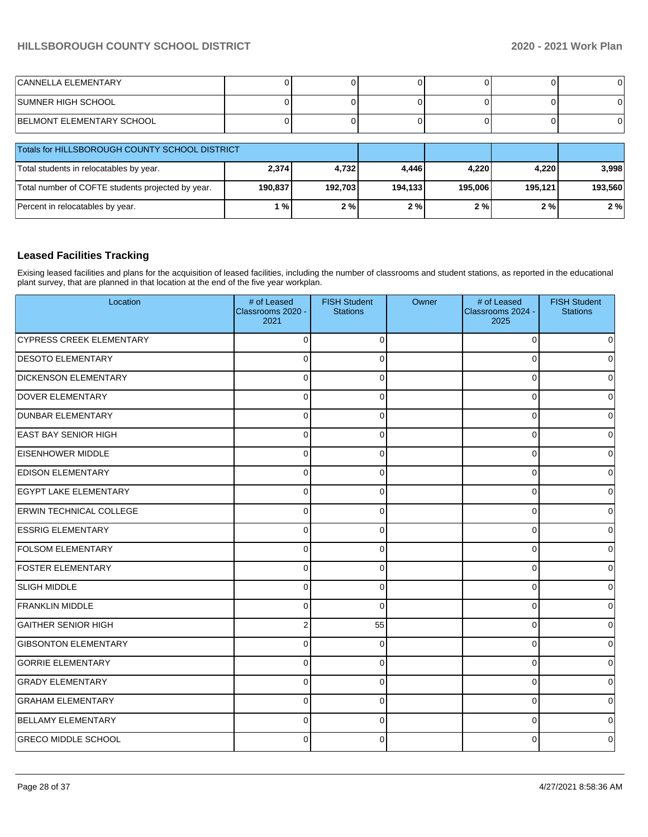| <b>CANNELLA ELEMENTARY</b> |  |  |  |
|----------------------------|--|--|--|
| SUMNER HIGH SCHOOL         |  |  |  |
| BELMONT ELEMENTARY SCHOOL  |  |  |  |

| <b>Totals for HILLSBOROUGH COUNTY SCHOOL DISTRICT</b> |         |         |         |         |         |         |
|-------------------------------------------------------|---------|---------|---------|---------|---------|---------|
| Total students in relocatables by year.               | 2,374   | 4,732   | 4.446   | 4.220   | 4.220   | 3,998   |
| Total number of COFTE students projected by year.     | 190,837 | 192.703 | 194.133 | 195.006 | 195.121 | 193,560 |
| Percent in relocatables by year.                      | 1%      | 2%      | 2%      | 2%      | 2%      | 2%      |

### **Leased Facilities Tracking**

Exising leased facilities and plans for the acquisition of leased facilities, including the number of classrooms and student stations, as reported in the educational plant survey, that are planned in that location at the end of the five year workplan.

| Location                        | # of Leased<br>Classrooms 2020 -<br>2021 | <b>FISH Student</b><br><b>Stations</b> | Owner | # of Leased<br>Classrooms 2024 -<br>2025 | <b>FISH Student</b><br><b>Stations</b> |
|---------------------------------|------------------------------------------|----------------------------------------|-------|------------------------------------------|----------------------------------------|
| <b>CYPRESS CREEK ELEMENTARY</b> | $\Omega$                                 | $\Omega$                               |       | $\Omega$                                 | 0                                      |
| <b>DESOTO ELEMENTARY</b>        | $\Omega$                                 | $\Omega$                               |       | $\Omega$                                 | $\Omega$                               |
| <b>DICKENSON ELEMENTARY</b>     | $\Omega$                                 | $\mathbf 0$                            |       | $\Omega$                                 | 0                                      |
| <b>DOVER ELEMENTARY</b>         | $\Omega$                                 | $\Omega$                               |       | $\Omega$                                 | $\overline{0}$                         |
| <b>DUNBAR ELEMENTARY</b>        | $\Omega$                                 | $\Omega$                               |       | $\Omega$                                 | $\mathbf 0$                            |
| <b>EAST BAY SENIOR HIGH</b>     | $\Omega$                                 | $\Omega$                               |       | 0                                        | $\Omega$                               |
| <b>EISENHOWER MIDDLE</b>        | $\mathbf 0$                              | $\Omega$                               |       | $\Omega$                                 | $\overline{0}$                         |
| <b>EDISON ELEMENTARY</b>        | $\Omega$                                 | $\Omega$                               |       | 0                                        | $\overline{0}$                         |
| <b>EGYPT LAKE ELEMENTARY</b>    | $\Omega$                                 | $\Omega$                               |       | $\Omega$                                 | $\overline{0}$                         |
| <b>ERWIN TECHNICAL COLLEGE</b>  | $\Omega$                                 | $\Omega$                               |       | $\Omega$                                 | $\overline{0}$                         |
| <b>ESSRIG ELEMENTARY</b>        | $\Omega$                                 | $\Omega$                               |       | $\Omega$                                 | 0                                      |
| <b>FOLSOM ELEMENTARY</b>        | $\Omega$                                 | $\Omega$                               |       | $\Omega$                                 | $\overline{0}$                         |
| <b>FOSTER ELEMENTARY</b>        | $\mathbf 0$                              | $\mathbf 0$                            |       | $\mathbf 0$                              | $\overline{0}$                         |
| <b>SLIGH MIDDLE</b>             | $\Omega$                                 | $\Omega$                               |       | $\Omega$                                 | $\overline{0}$                         |
| <b>FRANKLIN MIDDLE</b>          | $\Omega$                                 | $\Omega$                               |       | 0                                        | 0                                      |
| <b>GAITHER SENIOR HIGH</b>      | 2                                        | 55                                     |       | 0                                        | $\overline{0}$                         |
| <b>GIBSONTON ELEMENTARY</b>     | 0                                        | $\Omega$                               |       | $\Omega$                                 | $\overline{0}$                         |
| <b>GORRIE ELEMENTARY</b>        | $\mathbf 0$                              | $\Omega$                               |       | $\Omega$                                 | $\overline{0}$                         |
| <b>GRADY ELEMENTARY</b>         | $\Omega$                                 | $\Omega$                               |       | $\Omega$                                 | $\overline{0}$                         |
| <b>GRAHAM ELEMENTARY</b>        | $\Omega$                                 | $\mathbf{0}$                           |       | $\Omega$                                 | $\mathbf 0$                            |
| BELLAMY ELEMENTARY              | $\Omega$                                 | $\Omega$                               |       | $\Omega$                                 | 0                                      |
| <b>GRECO MIDDLE SCHOOL</b>      | $\Omega$                                 | $\Omega$                               |       | ∩                                        | 0                                      |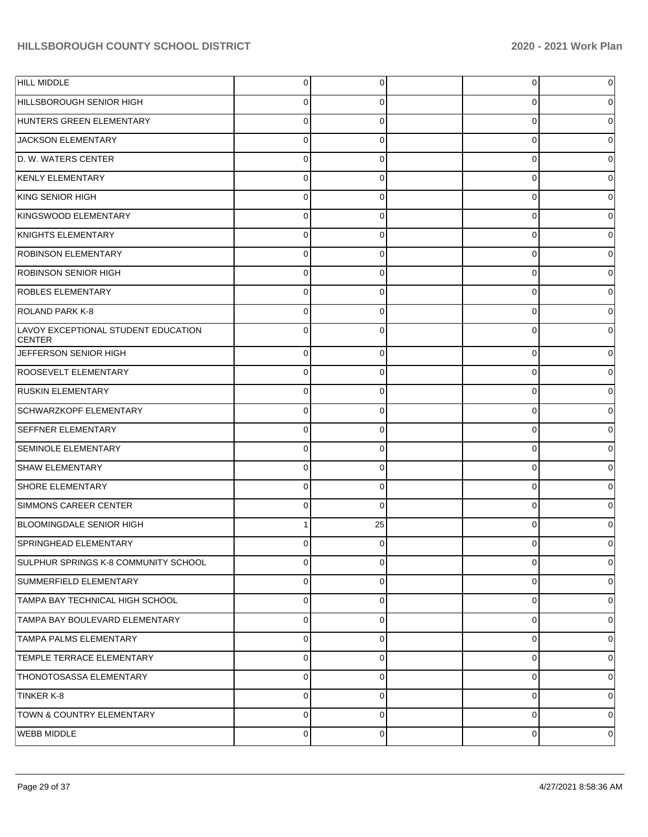| <b>HILL MIDDLE</b>                                   | $\mathbf 0$    | 0           | 0           | 0 |
|------------------------------------------------------|----------------|-------------|-------------|---|
| HILLSBOROUGH SENIOR HIGH                             | 0              | 0           | 0           | O |
| HUNTERS GREEN ELEMENTARY                             | 0              | 0           | 0           |   |
| JACKSON ELEMENTARY                                   | $\mathbf 0$    | 0           | 0           |   |
| D. W. WATERS CENTER                                  | 0              | 0           | 0           |   |
| <b>KENLY ELEMENTARY</b>                              | $\mathbf 0$    | 0           | 0           |   |
| KING SENIOR HIGH                                     | 0              | 0           | 0           |   |
| KINGSWOOD ELEMENTARY                                 | $\mathbf 0$    | 0           | 0           |   |
| KNIGHTS ELEMENTARY                                   | 0              | 0           | 0           |   |
| <b>ROBINSON ELEMENTARY</b>                           | $\mathbf 0$    | 0           | 0           |   |
| <b>ROBINSON SENIOR HIGH</b>                          | 0              | 0           | 0           |   |
| <b>ROBLES ELEMENTARY</b>                             | $\mathbf 0$    | 0           | 0           |   |
| <b>ROLAND PARK K-8</b>                               | $\Omega$       | 0           | 0           |   |
| LAVOY EXCEPTIONAL STUDENT EDUCATION<br><b>CENTER</b> | $\mathbf 0$    | 0           | 0           |   |
| JEFFERSON SENIOR HIGH                                | $\mathbf 0$    | 0           | 0           | 0 |
| ROOSEVELT ELEMENTARY                                 | $\mathbf 0$    | $\Omega$    | 0           |   |
| <b>RUSKIN ELEMENTARY</b>                             | $\mathbf 0$    | 0           | 0           | 0 |
| SCHWARZKOPF ELEMENTARY                               | $\mathbf 0$    | 0           | 0           |   |
| <b>SEFFNER ELEMENTARY</b>                            | $\mathbf 0$    | 0           | 0           | 0 |
| <b>SEMINOLE ELEMENTARY</b>                           | $\mathbf 0$    | $\Omega$    | 0           |   |
| <b>SHAW ELEMENTARY</b>                               | $\mathbf 0$    | 0           | 0           | 0 |
| SHORE ELEMENTARY                                     | $\Omega$       | 0           | 0           |   |
| SIMMONS CAREER CENTER                                | $\mathbf 0$    | $\Omega$    | 0           | 0 |
| <b>BLOOMINGDALE SENIOR HIGH</b>                      |                | 25          | $\Omega$    |   |
| SPRINGHEAD ELEMENTARY                                | 0              | 0           | 0           | 0 |
| SULPHUR SPRINGS K-8 COMMUNITY SCHOOL                 | $\mathbf 0$    | 0           | 0           | 0 |
| SUMMERFIELD ELEMENTARY                               | $\overline{0}$ | $\mathbf 0$ | $\mathbf 0$ | 0 |
| TAMPA BAY TECHNICAL HIGH SCHOOL                      | $\mathbf 0$    | $\Omega$    | $\mathbf 0$ | 0 |
| TAMPA BAY BOULEVARD ELEMENTARY                       | $\mathbf 0$    | $\mathbf 0$ | $\mathbf 0$ | 0 |
| TAMPA PALMS ELEMENTARY                               | $\mathbf 0$    | 0           | 0           | 0 |
| TEMPLE TERRACE ELEMENTARY                            | $\overline{0}$ | $\mathbf 0$ | $\mathbf 0$ | 0 |
| THONOTOSASSA ELEMENTARY                              | $\mathbf 0$    | $\Omega$    | $\mathbf 0$ | 0 |
| <b>TINKER K-8</b>                                    | $\mathbf 0$    | $\mathbf 0$ | $\mathbf 0$ | 0 |
| <b>TOWN &amp; COUNTRY ELEMENTARY</b>                 | $\mathbf 0$    | 0           | $\mathbf 0$ | 0 |
| <b>WEBB MIDDLE</b>                                   | $\overline{0}$ | $\mathbf 0$ | 0           | 0 |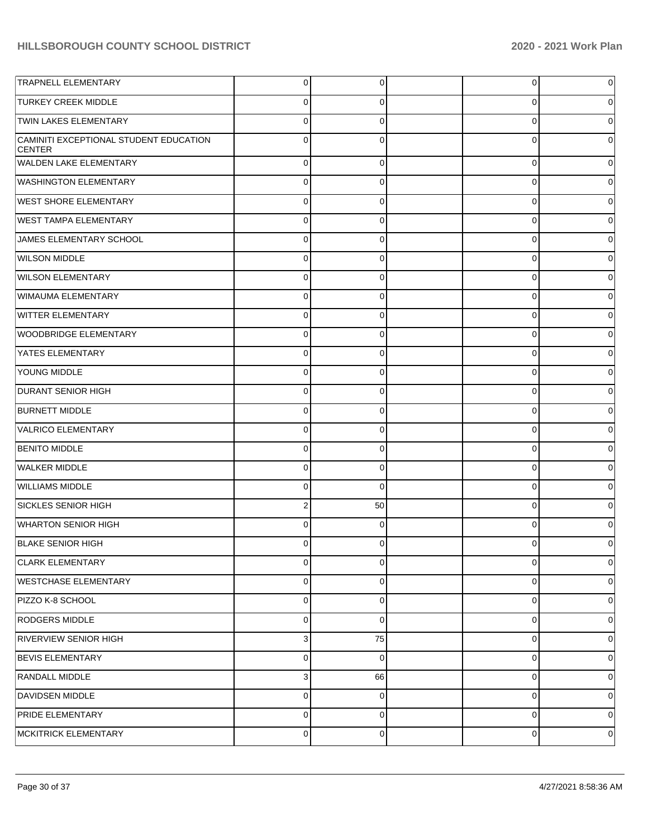| <b>TRAPNELL ELEMENTARY</b>                              | $\overline{0}$ | $\mathbf 0$ | $\overline{0}$ | $\overline{0}$ |
|---------------------------------------------------------|----------------|-------------|----------------|----------------|
| <b>TURKEY CREEK MIDDLE</b>                              | $\overline{0}$ | $\Omega$    | 0              | $\overline{0}$ |
| <b>TWIN LAKES ELEMENTARY</b>                            | $\overline{0}$ | $\Omega$    | $\Omega$       | $\overline{0}$ |
| CAMINITI EXCEPTIONAL STUDENT EDUCATION<br><b>CENTER</b> | $\overline{0}$ | $\Omega$    | 0              | $\overline{0}$ |
| WALDEN LAKE ELEMENTARY                                  | $\overline{0}$ | $\Omega$    | 0              | $\overline{0}$ |
| <b>WASHINGTON ELEMENTARY</b>                            | $\overline{0}$ | $\Omega$    | 0              | $\overline{0}$ |
| <b>WEST SHORE ELEMENTARY</b>                            | $\overline{0}$ | $\mathbf 0$ | 0              | $\overline{0}$ |
| <b>WEST TAMPA ELEMENTARY</b>                            | $\overline{0}$ | $\Omega$    | $\Omega$       | $\overline{0}$ |
| JAMES ELEMENTARY SCHOOL                                 | $\overline{0}$ | $\mathbf 0$ | 0              | $\overline{0}$ |
| <b>WILSON MIDDLE</b>                                    | $\overline{0}$ | $\Omega$    | $\Omega$       | $\overline{0}$ |
| <b>WILSON ELEMENTARY</b>                                | $\overline{0}$ | $\mathbf 0$ | 0              | $\overline{0}$ |
| WIMAUMA ELEMENTARY                                      | $\overline{0}$ | $\Omega$    | 0              | $\overline{0}$ |
| WITTER ELEMENTARY                                       | $\overline{0}$ | $\mathbf 0$ | 0              | $\overline{0}$ |
| WOODBRIDGE ELEMENTARY                                   | $\overline{0}$ | $\Omega$    | 0              | $\overline{0}$ |
| YATES ELEMENTARY                                        | $\overline{0}$ | $\mathbf 0$ | 0              | $\overline{0}$ |
| YOUNG MIDDLE                                            | $\overline{0}$ | $\Omega$    | $\Omega$       | $\overline{0}$ |
| <b>DURANT SENIOR HIGH</b>                               | $\overline{0}$ | $\mathbf 0$ | 0              | $\overline{0}$ |
| <b>BURNETT MIDDLE</b>                                   | $\overline{0}$ | $\Omega$    | 0              | $\overline{0}$ |
| VALRICO ELEMENTARY                                      | $\overline{0}$ | $\mathbf 0$ | 0              | $\overline{0}$ |
| <b>BENITO MIDDLE</b>                                    | $\overline{0}$ | $\Omega$    | 0              | $\overline{0}$ |
| <b>WALKER MIDDLE</b>                                    | $\overline{0}$ | $\mathbf 0$ | 0              | $\overline{0}$ |
| <b>WILLIAMS MIDDLE</b>                                  | $\overline{0}$ | $\Omega$    | $\Omega$       | $\overline{0}$ |
| <b>SICKLES SENIOR HIGH</b>                              | $\overline{2}$ | 50          | 0              | $\overline{0}$ |
| <b>WHARTON SENIOR HIGH</b>                              | $\overline{0}$ | $\Omega$    | $\Omega$       | $\overline{0}$ |
| BLAKE SENIOR HIGH                                       | $\overline{0}$ | 0           | 0              | $\overline{0}$ |
| <b>CLARK ELEMENTARY</b>                                 | $\overline{0}$ | $\mathbf 0$ | 0              | $\overline{0}$ |
| <b>WESTCHASE ELEMENTARY</b>                             | $\overline{0}$ | $\mathbf 0$ | 0              | $\overline{0}$ |
| PIZZO K-8 SCHOOL                                        | $\overline{0}$ | $\mathbf 0$ | 0              | $\overline{0}$ |
| RODGERS MIDDLE                                          | $\overline{0}$ | $\mathbf 0$ | 0              | $\overline{0}$ |
| <b>RIVERVIEW SENIOR HIGH</b>                            | 3 <sup>1</sup> | 75          | 0              | $\overline{0}$ |
| <b>BEVIS ELEMENTARY</b>                                 | $\overline{0}$ | $\mathbf 0$ | 0              | $\overline{0}$ |
| RANDALL MIDDLE                                          | 3 <sup>1</sup> | 66          | 0              | $\overline{0}$ |
| <b>DAVIDSEN MIDDLE</b>                                  | $\overline{0}$ | $\mathbf 0$ | 0              | $\overline{0}$ |
| <b>PRIDE ELEMENTARY</b>                                 | $\overline{0}$ | $\mathbf 0$ | 0              | $\overline{0}$ |
| MCKITRICK ELEMENTARY                                    | $\overline{0}$ | $\mathbf 0$ | 0              | 0              |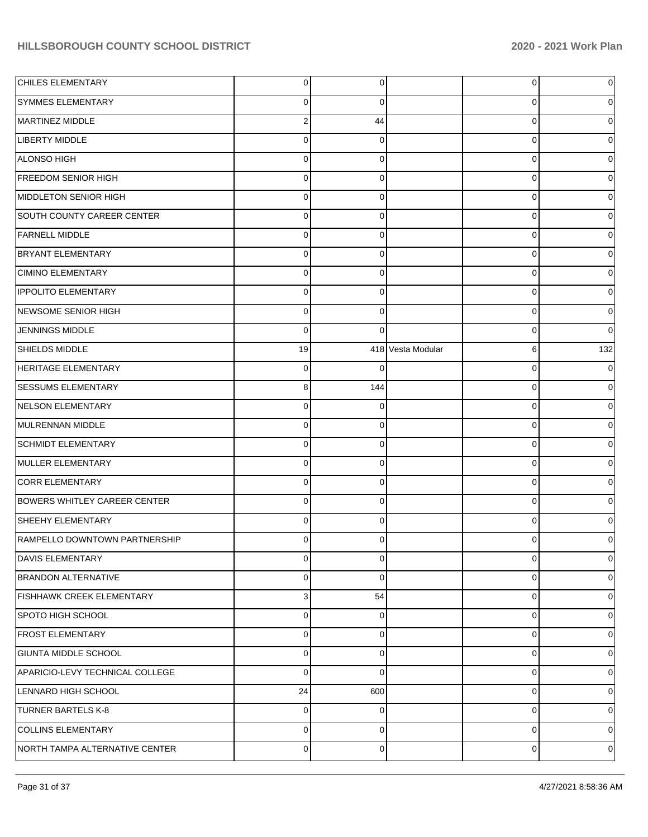| <b>CHILES ELEMENTARY</b>            | $\overline{0}$ | 0           |                   | 0           | 0           |
|-------------------------------------|----------------|-------------|-------------------|-------------|-------------|
| <b>SYMMES ELEMENTARY</b>            | 0              | 0           |                   | 0           | 0           |
| MARTINEZ MIDDLE                     | $\overline{a}$ | 44          |                   | 0           | 0           |
| LIBERTY MIDDLE                      | 0              | 0           |                   | 0           | 0           |
| ALONSO HIGH                         | $\mathbf 0$    | $\Omega$    |                   | 0           | 0           |
| <b>FREEDOM SENIOR HIGH</b>          | 0              | 0           |                   | 0           | 0           |
| MIDDLETON SENIOR HIGH               | $\mathbf 0$    | 0           |                   | 0           | 0           |
| SOUTH COUNTY CAREER CENTER          | 0              | $\Omega$    |                   | 0           | 0           |
| <b>FARNELL MIDDLE</b>               | $\mathbf 0$    | $\Omega$    |                   | 0           | 0           |
| <b>BRYANT ELEMENTARY</b>            | 0              | 0           |                   | 0           | 0           |
| <b>CIMINO ELEMENTARY</b>            | $\mathbf 0$    | $\Omega$    |                   | 0           | 0           |
| <b>IPPOLITO ELEMENTARY</b>          | 0              | 0           |                   | 0           | 0           |
| NEWSOME SENIOR HIGH                 | $\mathbf 0$    | $\Omega$    |                   | 0           | 0           |
| <b>JENNINGS MIDDLE</b>              | $\Omega$       | $\Omega$    |                   | 0           | 0           |
| <b>SHIELDS MIDDLE</b>               | 19             |             | 418 Vesta Modular | 6           | 132         |
| HERITAGE ELEMENTARY                 | $\mathbf 0$    |             |                   | 0           | 0           |
| <b>SESSUMS ELEMENTARY</b>           | 8              | 144         |                   | 0           | $\Omega$    |
| NELSON ELEMENTARY                   | 0              | 0           |                   | 0           | 0           |
| MULRENNAN MIDDLE                    | $\mathbf 0$    | 0           |                   | 0           | 0           |
| <b>SCHMIDT ELEMENTARY</b>           | 0              | 0           |                   | 0           | 0           |
| MULLER ELEMENTARY                   | 0              | $\Omega$    |                   | 0           | 0           |
| <b>CORR ELEMENTARY</b>              | 0              | $\Omega$    |                   | 0           | 0           |
| <b>BOWERS WHITLEY CAREER CENTER</b> | $\mathbf 0$    | $\Omega$    |                   | 0           | 0           |
| <b>SHEEHY ELEMENTARY</b>            | 0              | 0           |                   | 0           | 0           |
| RAMPELLO DOWNTOWN PARTNERSHIP       | 0              |             |                   | O           | o           |
| <b>DAVIS ELEMENTARY</b>             | $\overline{0}$ | 0           |                   | 0           | $\mathbf 0$ |
| BRANDON ALTERNATIVE                 | $\Omega$       | $\Omega$    |                   | 0           | 0           |
| FISHHAWK CREEK ELEMENTARY           | 3              | 54          |                   | $\mathbf 0$ | 0           |
| SPOTO HIGH SCHOOL                   | $\Omega$       | $\Omega$    |                   | $\mathbf 0$ | 0           |
| <b>FROST ELEMENTARY</b>             | $\Omega$       | $\Omega$    |                   | $\mathbf 0$ | 0           |
| <b>GIUNTA MIDDLE SCHOOL</b>         | $\Omega$       | $\Omega$    |                   | 0           | 0           |
| APARICIO-LEVY TECHNICAL COLLEGE     | $\Omega$       | $\Omega$    |                   | $\mathbf 0$ | 0           |
| LENNARD HIGH SCHOOL                 | 24             | 600         |                   | 0           | 0           |
| <b>TURNER BARTELS K-8</b>           | $\Omega$       | $\Omega$    |                   | $\mathbf 0$ | 0           |
| COLLINS ELEMENTARY                  | $\Omega$       | $\Omega$    |                   | 0           | 0           |
| NORTH TAMPA ALTERNATIVE CENTER      | $\mathbf 0$    | $\mathbf 0$ |                   | $\mathbf 0$ | 0           |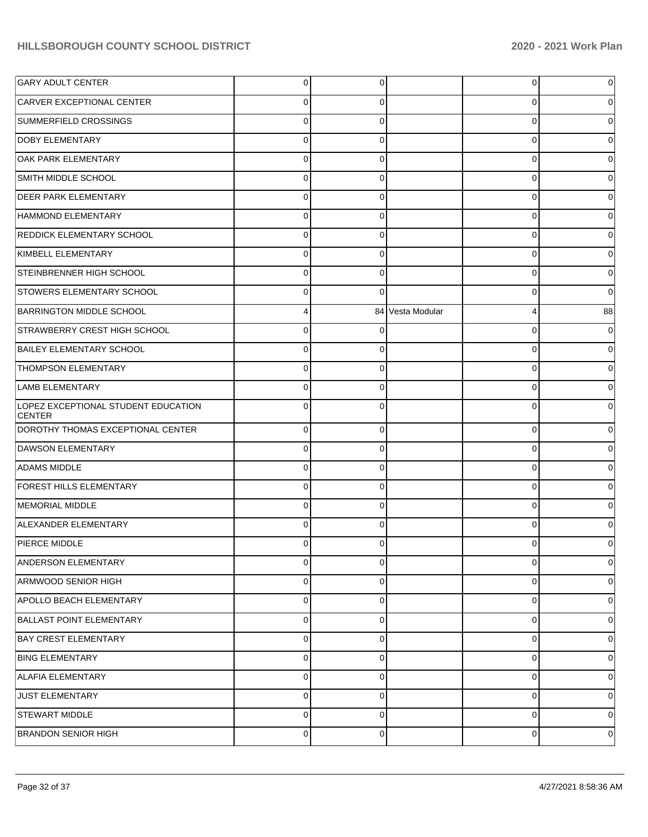| <b>GARY ADULT CENTER</b>                             | $\Omega$    | 0        |                  | 0           | 0  |
|------------------------------------------------------|-------------|----------|------------------|-------------|----|
| CARVER EXCEPTIONAL CENTER                            |             | 0        |                  | 0           |    |
| SUMMERFIELD CROSSINGS                                | $\Omega$    | 0        |                  | 0           |    |
| <b>DOBY ELEMENTARY</b>                               | C           | 0        |                  | 0           |    |
| OAK PARK ELEMENTARY                                  | n           | 0        |                  | 0           |    |
| SMITH MIDDLE SCHOOL                                  | 0           | 0        |                  | 0           |    |
| <b>DEER PARK ELEMENTARY</b>                          | $\Omega$    | 0        |                  | 0           |    |
| HAMMOND ELEMENTARY                                   | 0           | 0        |                  | 0           |    |
| <b>REDDICK ELEMENTARY SCHOOL</b>                     | C           | 0        |                  | 0           |    |
| KIMBELL ELEMENTARY                                   | C           | 0        |                  | 0           |    |
| STEINBRENNER HIGH SCHOOL                             | n           | 0        |                  | 0           |    |
| <b>STOWERS ELEMENTARY SCHOOL</b>                     | 0           | 0        |                  | 0           | 0  |
| <b>BARRINGTON MIDDLE SCHOOL</b>                      |             |          | 84 Vesta Modular | 4           | 88 |
| STRAWBERRY CREST HIGH SCHOOL                         | C           | O        |                  | 0           |    |
| <b>BAILEY ELEMENTARY SCHOOL</b>                      |             | 0        |                  | 0           |    |
| <b>THOMPSON ELEMENTARY</b>                           | 0           | 0        |                  | 0           |    |
| <b>LAMB ELEMENTARY</b>                               |             | 0        |                  | 0           |    |
| LOPEZ EXCEPTIONAL STUDENT EDUCATION<br><b>CENTER</b> | $\Omega$    | 0        |                  | 0           |    |
| DOROTHY THOMAS EXCEPTIONAL CENTER                    | $\Omega$    | 0        |                  | 0           | o  |
| DAWSON ELEMENTARY                                    | $\Omega$    | 0        |                  | 0           |    |
| <b>ADAMS MIDDLE</b>                                  | 0           | 0        |                  | 0           | 0  |
| <b>FOREST HILLS ELEMENTARY</b>                       | $\Omega$    | 0        |                  | 0           |    |
| MEMORIAL MIDDLE                                      | $\Omega$    | 0        |                  | $\mathbf 0$ |    |
| <b>ALEXANDER ELEMENTARY</b>                          | $\Omega$    | $\Omega$ |                  | $\Omega$    |    |
| PIERCE MIDDLE                                        | 0           | 0        |                  | 0           | 0  |
| ANDERSON ELEMENTARY                                  | 0           | $\Omega$ |                  | $\mathbf 0$ | 0  |
| ARMWOOD SENIOR HIGH                                  | $\mathbf 0$ | 0        |                  | $\mathbf 0$ | 0  |
| APOLLO BEACH ELEMENTARY                              | $\Omega$    | $\Omega$ |                  | $\mathbf 0$ | 0  |
| <b>BALLAST POINT ELEMENTARY</b>                      | $\Omega$    | $\Omega$ |                  | $\mathbf 0$ | 0  |
| <b>BAY CREST ELEMENTARY</b>                          | $\Omega$    | $\Omega$ |                  | $\mathbf 0$ | 0  |
| <b>BING ELEMENTARY</b>                               | $\mathbf 0$ | 0        |                  | $\mathbf 0$ | 0  |
| <b>ALAFIA ELEMENTARY</b>                             | $\Omega$    | 0        |                  | $\mathbf 0$ | 0  |
| <b>JUST ELEMENTARY</b>                               | $\Omega$    | $\Omega$ |                  | $\mathbf 0$ | 0  |
| <b>STEWART MIDDLE</b>                                | $\Omega$    | $\Omega$ |                  | $\mathbf 0$ | 0  |
| <b>BRANDON SENIOR HIGH</b>                           | 0           | 0        |                  | $\mathbf 0$ | 0  |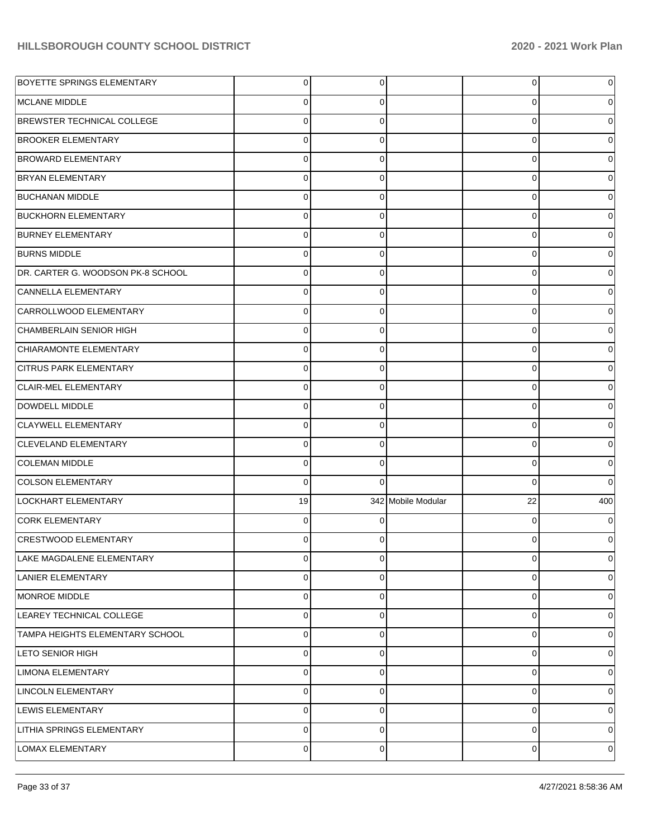| BOYETTE SPRINGS ELEMENTARY        | $\overline{0}$ | 0        |                    | $\overline{0}$ | 0        |
|-----------------------------------|----------------|----------|--------------------|----------------|----------|
| <b>MCLANE MIDDLE</b>              | 0              | 0        |                    | 0              |          |
| <b>BREWSTER TECHNICAL COLLEGE</b> | $\overline{0}$ | $\Omega$ |                    | 0              |          |
| <b>BROOKER ELEMENTARY</b>         | $\overline{0}$ | 0        |                    | 0              |          |
| <b>BROWARD ELEMENTARY</b>         | $\overline{0}$ | $\Omega$ |                    | 0              |          |
| <b>BRYAN ELEMENTARY</b>           | $\overline{0}$ | 0        |                    | 0              |          |
| <b>BUCHANAN MIDDLE</b>            | $\overline{0}$ | $\Omega$ |                    | 0              |          |
| <b>BUCKHORN ELEMENTARY</b>        | $\overline{0}$ | 0        |                    | 0              |          |
| <b>BURNEY ELEMENTARY</b>          | $\overline{0}$ | $\Omega$ |                    | 0              |          |
| <b>BURNS MIDDLE</b>               | $\overline{0}$ | 0        |                    | 0              |          |
| DR. CARTER G. WOODSON PK-8 SCHOOL | $\overline{0}$ | $\Omega$ |                    | 0              |          |
| CANNELLA ELEMENTARY               | $\overline{0}$ | 0        |                    | 0              |          |
| CARROLLWOOD ELEMENTARY            | $\overline{0}$ | $\Omega$ |                    | 0              |          |
| <b>CHAMBERLAIN SENIOR HIGH</b>    | $\overline{0}$ | 0        |                    | 0              |          |
| CHIARAMONTE ELEMENTARY            | $\overline{0}$ | $\Omega$ |                    | 0              |          |
| <b>CITRUS PARK ELEMENTARY</b>     | $\overline{0}$ | 0        |                    | 0              |          |
| <b>CLAIR-MEL ELEMENTARY</b>       | $\overline{0}$ | $\Omega$ |                    | 0              |          |
| DOWDELL MIDDLE                    | $\overline{0}$ | 0        |                    | 0              |          |
| CLAYWELL ELEMENTARY               | $\overline{0}$ | $\Omega$ |                    | 0              |          |
| <b>CLEVELAND ELEMENTARY</b>       | $\overline{0}$ | 0        |                    | 0              | 0        |
| COLEMAN MIDDLE                    | $\overline{0}$ | $\Omega$ |                    | 0              | 0        |
| <b>COLSON ELEMENTARY</b>          | $\mathbf 0$    | $\Omega$ |                    | $\Omega$       | $\Omega$ |
| LOCKHART ELEMENTARY               | 19             |          | 342 Mobile Modular | 22             | 400      |
| <b>CORK ELEMENTARY</b>            | $\overline{0}$ | 0        |                    | 0              |          |
| <b>CRESTWOOD ELEMENTARY</b>       | $\Omega$       | 0        |                    | 0              |          |
| LAKE MAGDALENE ELEMENTARY         | $\overline{0}$ | 0        |                    | $\overline{0}$ | 0        |
| LANIER ELEMENTARY                 | $\overline{0}$ | 0        |                    | 0              | 0        |
| MONROE MIDDLE                     | $\overline{0}$ | 0        |                    | 0              | $\Omega$ |
| LEAREY TECHNICAL COLLEGE          | $\overline{0}$ | 0        |                    | 0              | 0        |
| TAMPA HEIGHTS ELEMENTARY SCHOOL   | $\overline{0}$ | $\Omega$ |                    | 0              | $\Omega$ |
| LETO SENIOR HIGH                  | $\overline{0}$ | 0        |                    | 0              | 0        |
| <b>LIMONA ELEMENTARY</b>          | $\overline{0}$ | 0        |                    | 0              | $\Omega$ |
| LINCOLN ELEMENTARY                | $\overline{0}$ | 0        |                    | 0              | 0        |
| LEWIS ELEMENTARY                  | $\overline{0}$ | $\Omega$ |                    | 0              | $\Omega$ |
| LITHIA SPRINGS ELEMENTARY         | $\mathbf{0}$   | 0        |                    | 0              | 0        |
| LOMAX ELEMENTARY                  | $\mathbf 0$    | 0        |                    | 0              | 0        |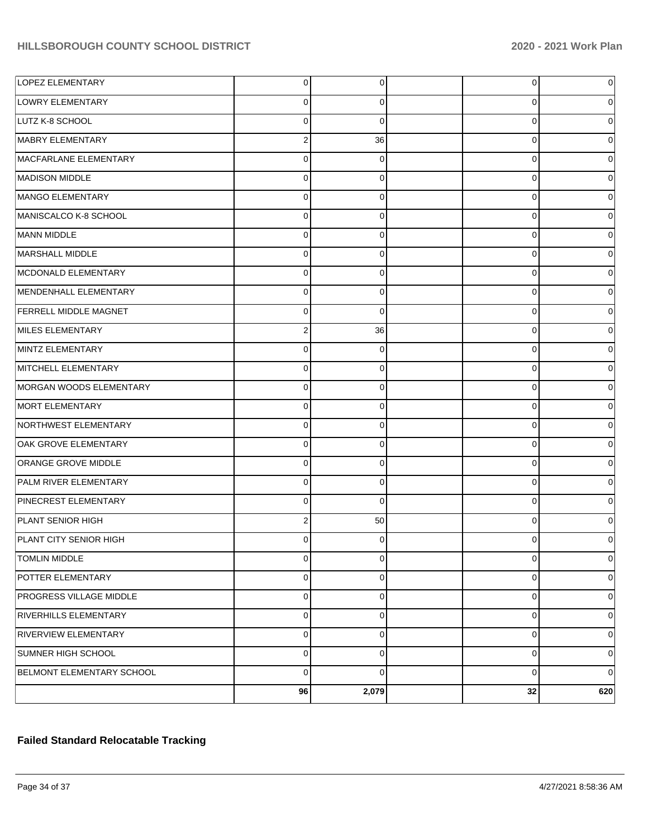| <b>LOPEZ ELEMENTARY</b>        | 0              | $\overline{0}$ | 0           | 0              |
|--------------------------------|----------------|----------------|-------------|----------------|
| LOWRY ELEMENTARY               | 0              | 0              | 0           | 0              |
| LUTZ K-8 SCHOOL                | $\overline{0}$ | $\Omega$       | $\Omega$    | $\overline{0}$ |
| MABRY ELEMENTARY               | 2              | 36             | $\mathbf 0$ | $\overline{0}$ |
| MACFARLANE ELEMENTARY          | $\overline{0}$ | $\Omega$       | $\Omega$    | $\overline{0}$ |
| MADISON MIDDLE                 | 0              | 0              | $\mathbf 0$ | 0              |
| MANGO ELEMENTARY               | $\overline{0}$ | 0              | $\mathbf 0$ | $\overline{0}$ |
| MANISCALCO K-8 SCHOOL          | $\mathbf 0$    | 0              | $\mathbf 0$ | 0              |
| MANN MIDDLE                    | $\overline{0}$ | $\Omega$       | $\Omega$    | $\overline{0}$ |
| MARSHALL MIDDLE                | $\mathbf 0$    | 0              | $\mathbf 0$ | 0              |
| MCDONALD ELEMENTARY            | $\overline{0}$ | 0              | $\mathbf 0$ | $\overline{0}$ |
| MENDENHALL ELEMENTARY          | $\overline{0}$ | 0              | $\mathbf 0$ | 0              |
| <b>FERRELL MIDDLE MAGNET</b>   | $\overline{0}$ | $\Omega$       | $\Omega$    | $\overline{0}$ |
| MILES ELEMENTARY               | 2              | 36             | $\mathbf 0$ | 0              |
| MINTZ ELEMENTARY               | $\overline{0}$ | 0              | $\Omega$    | $\overline{0}$ |
| MITCHELL ELEMENTARY            | $\overline{0}$ | 0              | $\mathbf 0$ | 0              |
| MORGAN WOODS ELEMENTARY        | $\overline{0}$ | $\Omega$       | $\Omega$    | $\overline{0}$ |
| MORT ELEMENTARY                | 0              | 0              | $\mathbf 0$ | 0              |
| NORTHWEST ELEMENTARY           | $\overline{0}$ | $\Omega$       | $\Omega$    | $\overline{0}$ |
| OAK GROVE ELEMENTARY           | $\overline{0}$ | 0              | $\mathbf 0$ | 0              |
| ORANGE GROVE MIDDLE            | $\overline{0}$ | $\Omega$       | $\Omega$    | $\overline{0}$ |
| PALM RIVER ELEMENTARY          | $\overline{0}$ | 0              | $\mathbf 0$ | 0              |
| PINECREST ELEMENTARY           | $\overline{0}$ | $\Omega$       | $\Omega$    | $\overline{0}$ |
| PLANT SENIOR HIGH              | 2              | 50             | $\Omega$    | 0              |
| <b>PLANT CITY SENIOR HIGH</b>  | 0              | 0              | C           | 0              |
| <b>TOMLIN MIDDLE</b>           | $\mathbf 0$    | $\overline{0}$ | 0           | 0              |
| POTTER ELEMENTARY              | $\overline{0}$ | 0              | 0           | $\overline{0}$ |
| <b>PROGRESS VILLAGE MIDDLE</b> | $\overline{0}$ | $\overline{0}$ | $\mathbf 0$ | $\mathbf 0$    |
| RIVERHILLS ELEMENTARY          | $\overline{0}$ | $\mathbf 0$    | $\mathbf 0$ | $\overline{0}$ |
| RIVERVIEW ELEMENTARY           | $\overline{0}$ | $\overline{0}$ | $\mathbf 0$ | $\overline{0}$ |
| <b>SUMNER HIGH SCHOOL</b>      | $\overline{0}$ | $\Omega$       | 0           | $\overline{0}$ |
| BELMONT ELEMENTARY SCHOOL      | $\overline{0}$ | $\Omega$       | $\mathbf 0$ | $\overline{0}$ |
|                                | 96             | 2,079          | 32          | 620            |

## **Failed Standard Relocatable Tracking**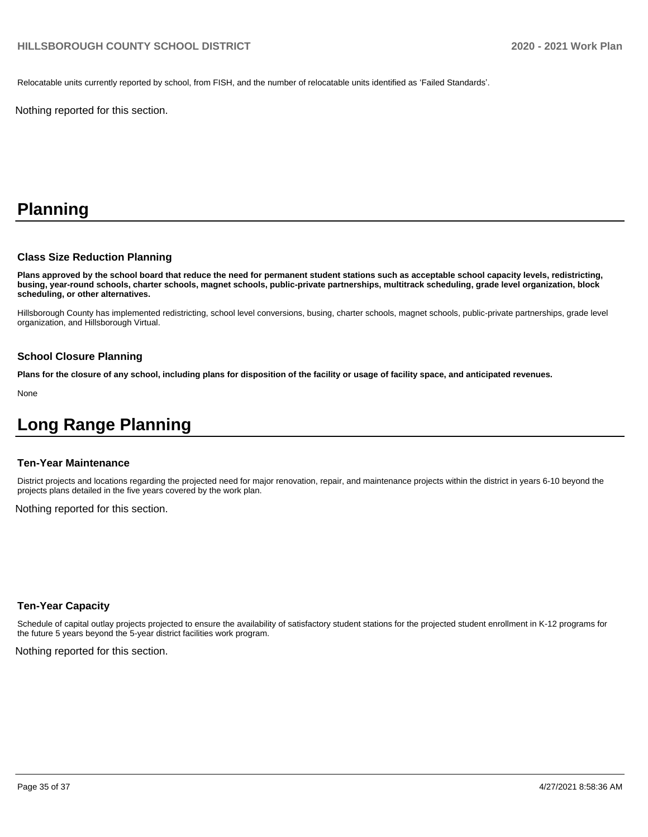Relocatable units currently reported by school, from FISH, and the number of relocatable units identified as 'Failed Standards'.

Nothing reported for this section.

# **Planning**

#### **Class Size Reduction Planning**

**Plans approved by the school board that reduce the need for permanent student stations such as acceptable school capacity levels, redistricting, busing, year-round schools, charter schools, magnet schools, public-private partnerships, multitrack scheduling, grade level organization, block scheduling, or other alternatives.**

Hillsborough County has implemented redistricting, school level conversions, busing, charter schools, magnet schools, public-private partnerships, grade level organization, and Hillsborough Virtual.

#### **School Closure Planning**

**Plans for the closure of any school, including plans for disposition of the facility or usage of facility space, and anticipated revenues.** 

None

# **Long Range Planning**

#### **Ten-Year Maintenance**

District projects and locations regarding the projected need for major renovation, repair, and maintenance projects within the district in years 6-10 beyond the projects plans detailed in the five years covered by the work plan.

Nothing reported for this section.

#### **Ten-Year Capacity**

Schedule of capital outlay projects projected to ensure the availability of satisfactory student stations for the projected student enrollment in K-12 programs for the future 5 years beyond the 5-year district facilities work program.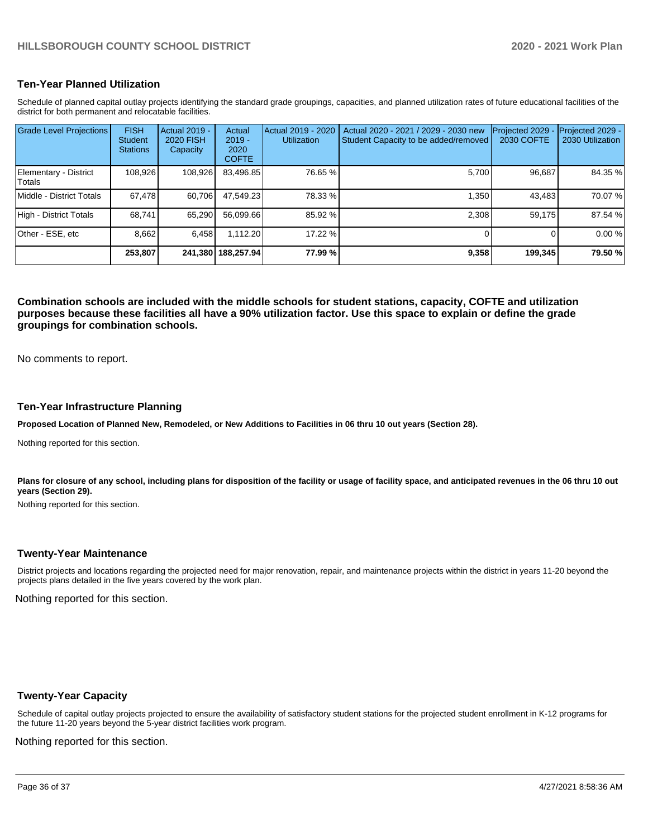#### **Ten-Year Planned Utilization**

Schedule of planned capital outlay projects identifying the standard grade groupings, capacities, and planned utilization rates of future educational facilities of the district for both permanent and relocatable facilities.

| <b>Grade Level Projections</b>   | <b>FISH</b><br><b>Student</b><br><b>Stations</b> | Actual 2019 -<br>2020 FISH<br>Capacity | Actual<br>$2019 -$<br>2020<br><b>COFTE</b> | Actual 2019 - 2020<br><b>Utilization</b> | Actual 2020 - 2021 / 2029 - 2030 new<br>Student Capacity to be added/removed | Projected 2029<br>2030 COFTE | Projected 2029 -<br>2030 Utilization |
|----------------------------------|--------------------------------------------------|----------------------------------------|--------------------------------------------|------------------------------------------|------------------------------------------------------------------------------|------------------------------|--------------------------------------|
| Elementary - District<br>lTotals | 108.926                                          | 108,926                                | 83,496.85                                  | 76.65 %                                  | 5.700                                                                        | 96.687                       | 84.35 %                              |
| Middle - District Totals         | 67,478                                           | 60.706                                 | 47.549.23                                  | 78.33 %                                  | 1.350                                                                        | 43,483                       | 70.07 %                              |
| High - District Totals           | 68.741                                           | 65,290                                 | 56,099.66                                  | 85.92 %                                  | 2.308                                                                        | 59.175                       | 87.54 %                              |
| Other - ESE, etc                 | 8.662                                            | 6.458                                  | 1,112.20                                   | 17.22 %                                  |                                                                              |                              | 0.00 %                               |
|                                  | 253,807                                          |                                        | 241,380 188,257.94                         | 77.99 %                                  | 9,358                                                                        | 199,345                      | 79.50 %                              |

**Combination schools are included with the middle schools for student stations, capacity, COFTE and utilization purposes because these facilities all have a 90% utilization factor. Use this space to explain or define the grade groupings for combination schools.** 

No comments to report.

#### **Ten-Year Infrastructure Planning**

**Proposed Location of Planned New, Remodeled, or New Additions to Facilities in 06 thru 10 out years (Section 28).**

Nothing reported for this section.

Plans for closure of any school, including plans for disposition of the facility or usage of facility space, and anticipated revenues in the 06 thru 10 out **years (Section 29).**

Nothing reported for this section.

#### **Twenty-Year Maintenance**

District projects and locations regarding the projected need for major renovation, repair, and maintenance projects within the district in years 11-20 beyond the projects plans detailed in the five years covered by the work plan.

Nothing reported for this section.

#### **Twenty-Year Capacity**

Schedule of capital outlay projects projected to ensure the availability of satisfactory student stations for the projected student enrollment in K-12 programs for the future 11-20 years beyond the 5-year district facilities work program.